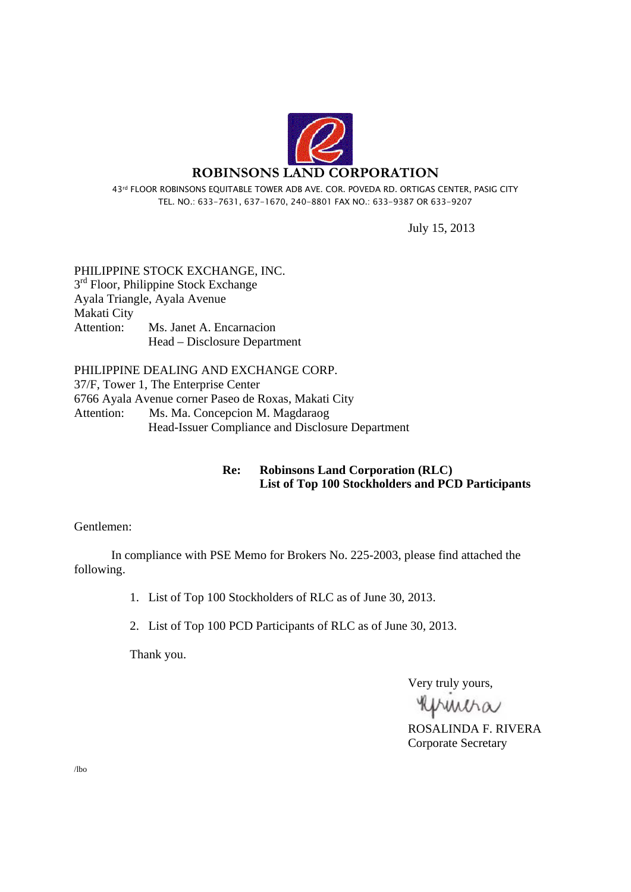

43rd FLOOR ROBINSONS EQUITABLE TOWER ADB AVE. COR. POVEDA RD. ORTIGAS CENTER, PASIG CITY TEL. NO.: 633-7631, 637-1670, 240-8801 FAX NO.: 633-9387 OR 633-9207

July 15, 2013

PHILIPPINE STOCK EXCHANGE, INC.  $3<sup>rd</sup>$  Floor, Philippine Stock Exchange Ayala Triangle, Ayala Avenue Makati City Attention: Ms. Janet A. Encarnacion Head – Disclosure Department

PHILIPPINE DEALING AND EXCHANGE CORP. 37/F, Tower 1, The Enterprise Center 6766 Ayala Avenue corner Paseo de Roxas, Makati City Attention: Ms. Ma. Concepcion M. Magdaraog Head-Issuer Compliance and Disclosure Department

#### **Re: Robinsons Land Corporation (RLC) List of Top 100 Stockholders and PCD Participants**

Gentlemen:

 In compliance with PSE Memo for Brokers No. 225-2003, please find attached the following.

1. List of Top 100 Stockholders of RLC as of June 30, 2013.

2. List of Top 100 PCD Participants of RLC as of June 30, 2013.

Thank you.

Very truly yours,

Mucha

ROSALINDA F. RIVERA Corporate Secretary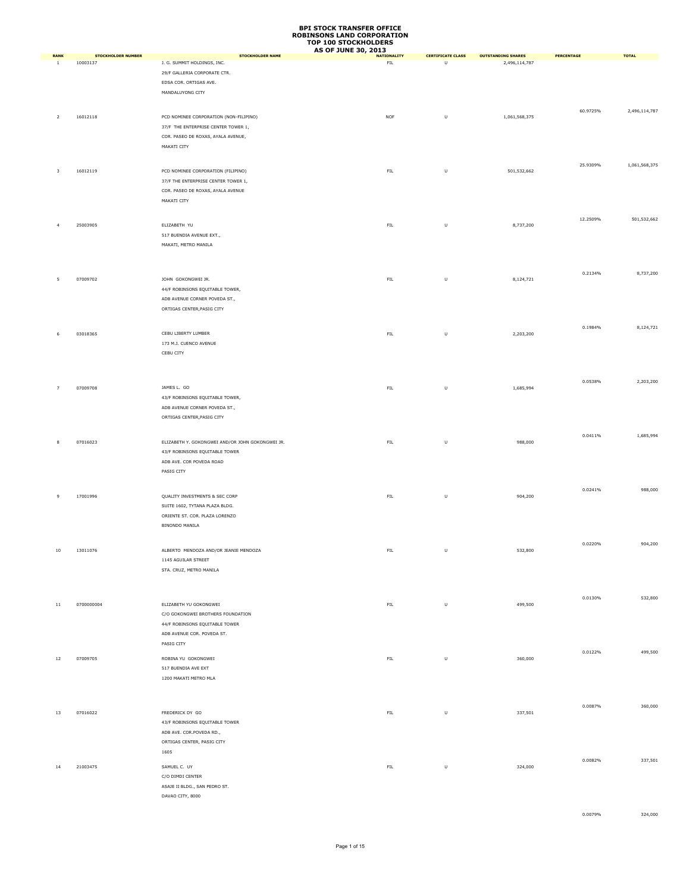|                             |                                       |                                                                                                                                         | <b>AS OF JUNE 30, 2013</b>        |                               |                                            |            |               |
|-----------------------------|---------------------------------------|-----------------------------------------------------------------------------------------------------------------------------------------|-----------------------------------|-------------------------------|--------------------------------------------|------------|---------------|
| <b>RANK</b><br>$\mathbf{1}$ | <b>STOCKHOLDER NUMBER</b><br>10003137 | <b>STOCKHOLDER NAME</b><br>J. G. SUMMIT HOLDINGS, INC.<br>29/F GALLERIA CORPORATE CTR.<br>EDSA COR. ORTIGAS AVE.                        | <b>NATIONALITY</b><br>${\sf FIL}$ | <b>CERTIFICATE CLASS</b><br>U | <b>OUTSTANDING SHARES</b><br>2,496,114,787 | PERCENTAGE | <b>TOTAL</b>  |
| $\overline{2}$              | 16012118                              | MANDALUYONG CITY<br>PCD NOMINEE CORPORATION (NON-FILIPINO)<br>37/F THE ENTERPRISE CENTER TOWER 1,<br>COR. PASEO DE ROXAS, AYALA AVENUE, | <b>NOF</b>                        | $\sf U$                       | 1,061,568,375                              | 60.9725%   | 2,496,114,787 |
| $\overline{\mathbf{3}}$     | 16012119                              | MAKATI CITY<br>PCD NOMINEE CORPORATION (FILIPINO)<br>37/F THE ENTERPRISE CENTER TOWER 1,                                                | ${\sf FIL}$                       | $\sf U$                       | 501,532,662                                | 25.9309%   | 1,061,568,375 |
| $\overline{4}$              | 25003905                              | COR. PASEO DE ROXAS, AYALA AVENUE<br>MAKATI CITY<br>ELIZABETH YU<br>517 BUENDIA AVENUE EXT.,                                            | ${\sf FIL}$                       | $\sf U$                       | 8,737,200                                  | 12.2509%   | 501,532,662   |
| 5                           | 07009702                              | MAKATI, METRO MANILA<br>JOHN GOKONGWEI JR.                                                                                              | ${\sf FIL}$                       | $\sf U$                       | 8,124,721                                  | 0.2134%    | 8,737,200     |
|                             |                                       | 44/F ROBINSONS EQUITABLE TOWER,<br>ADB AVENUE CORNER POVEDA ST.,<br>ORTIGAS CENTER, PASIG CITY                                          |                                   |                               |                                            | 0.1984%    | 8,124,721     |
| 6                           | 03018365                              | CEBU LIBERTY LUMBER<br>173 M.J. CUENCO AVENUE<br>CEBU CITY                                                                              | ${\sf FIL}$                       | $\sf U$                       | 2,203,200                                  |            |               |
| $\overline{7}$              | 07009708                              | JAMES L. GO<br>43/F ROBINSONS EQUITABLE TOWER,<br>ADB AVENUE CORNER POVEDA ST.,<br>ORTIGAS CENTER, PASIG CITY                           | ${\sf FIL}$                       | $\sf U$                       | 1,685,994                                  | 0.0538%    | 2,203,200     |
| 8                           | 07016023                              | ELIZABETH Y. GOKONGWEI AND/OR JOHN GOKONGWEI JR.<br>43/F ROBINSONS EQUITABLE TOWER<br>ADB AVE. COR POVEDA ROAD<br>PASIG CITY            | ${\sf FIL}$                       | U                             | 988,000                                    | 0.0411%    | 1,685,994     |
| 9                           | 17001996                              | QUALITY INVESTMENTS & SEC CORP<br>SUITE 1602, TYTANA PLAZA BLDG.<br>ORIENTE ST. COR. PLAZA LORENZO                                      | ${\sf FIL}$                       | U                             | 904,200                                    | 0.0241%    | 988,000       |
|                             | 13011076                              | <b>BINONDO MANILA</b><br>ALBERTO MENDOZA AND/OR JEANIE MENDOZA<br>1145 AGUILAR STREET<br>STA. CRUZ, METRO MANILA                        | ${\sf FIL}$                       | $\sf U$                       | 532,800                                    | 0.0220%    | 904,200       |
| $11\,$                      | 0700000004                            | ELIZABETH YU GOKONGWEI<br>C/O GOKONGWEI BROTHERS FOUNDATION<br>44/F ROBINSONS EQUITABLE TOWER                                           | ${\sf FIL}$                       | $\sf U$                       | 499,500                                    | 0.0130%    | 532,800       |
| 12                          | 07009705                              | ADB AVENUE COR. POVEDA ST.<br>PASIG CITY<br>ROBINA YU GOKONGWEI<br>517 BUENDIA AVE EXT                                                  | ${\sf FIL}$                       | $\sf U$                       | 360,000                                    | 0.0122%    | 499,500       |
| 13                          | 07016022                              | 1200 MAKATI METRO MLA<br>FREDERICK DY GO<br>43/F ROBINSONS EQUITABLE TOWER                                                              | ${\sf FIL}$                       | $\sf U$                       | 337,501                                    | 0.0087%    | 360,000       |
| 14                          | 21003475                              | ADB AVE. COR.POVEDA RD.,<br>ORTIGAS CENTER, PASIG CITY<br>1605<br>SAMUEL C. UY                                                          | ${\sf FIL}$                       | $\sf U$                       | 324,000                                    | 0.0082%    | 337,501       |
|                             |                                       | C/O DIMDI CENTER<br>ASAJE II BLDG., SAN PEDRO ST.<br>DAVAO CITY, 8000                                                                   |                                   |                               |                                            |            |               |

0.0079% 324,000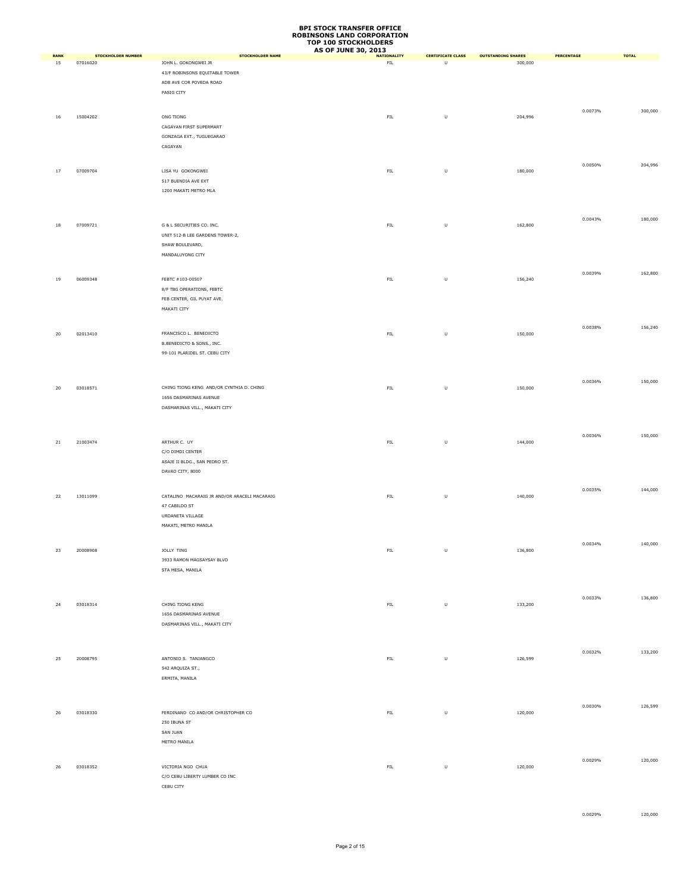|                   |                                       |                                                                                                              | <b>AS OF JUNE 30, 2013</b>        |                                     |                                      |                   |              |
|-------------------|---------------------------------------|--------------------------------------------------------------------------------------------------------------|-----------------------------------|-------------------------------------|--------------------------------------|-------------------|--------------|
| <b>RANK</b><br>15 | <b>STOCKHOLDER NUMBER</b><br>07016020 | <b>STOCKHOLDER NAME</b><br>JOHN L. GOKONGWEI JR<br>43/F ROBINSONS EQUITABLE TOWER<br>ADB AVE COR POVEDA ROAD | <b>NATIONALITY</b><br>${\sf FIL}$ | <b>CERTIFICATE CLASS</b><br>$\sf U$ | <b>OUTSTANDING SHARES</b><br>300,000 | <b>PERCENTAGE</b> | <b>TOTAL</b> |
| 16                | 15004202                              | PASIG CITY<br>ONG TIONG<br>CAGAYAN FIRST SUPERMART                                                           | ${\sf FIL}$                       | $\sf U$                             | 204,996                              | 0.0073%           | 300,000      |
|                   |                                       | GONZAGA EXT., TUGUEGARAO<br>CAGAYAN                                                                          |                                   |                                     |                                      | 0.0050%           | 204,996      |
| 17                | 07009704                              | LISA YU GOKONGWEI<br>517 BUENDIA AVE EXT<br>1200 MAKATI METRO MLA                                            | ${\sf FIL}$                       | $\sf U$                             | 180,000                              |                   |              |
| $18\,$            | 07009721                              | G & L SECURITIES CO. INC.<br>UNIT 512-B LEE GARDENS TOWER-2,<br>SHAW BOULEVARD,                              | ${\sf FIL}$                       | $\sf U$                             | 162,800                              | 0.0043%           | 180,000      |
| 19                | 06009348                              | MANDALUYONG CITY<br>FEBTC #103-00507<br>8/F TBG OPERATIONS, FEBTC                                            | ${\sf FIL}$                       | $\sf U$                             | 156,240                              | 0.0039%           | 162,800      |
| $20\,$            | 02013410                              | FEB CENTER, GIL PUYAT AVE.<br>MAKATI CITY<br>FRANCISCO L. BENEDICTO                                          | ${\sf FIL}$                       | $\sf U$                             | 150,000                              | 0.0038%           | 156,240      |
|                   |                                       | B.BENEDICTO & SONS., INC.<br>99-101 PLARIDEL ST. CEBU CITY                                                   |                                   |                                     |                                      |                   |              |
| 20                | 03018571                              | CHING TIONG KENG AND/OR CYNTHIA D. CHING<br>1656 DASMARINAS AVENUE<br>DASMARINAS VILL., MAKATI CITY          | ${\sf FIL}$                       | $\sf U$                             | 150,000                              | 0.0036%           | 150,000      |
| 21                | 21003474                              | ARTHUR C. UY<br>C/O DIMDI CENTER<br>ASAJE II BLDG., SAN PEDRO ST.                                            | ${\sf FIL}$                       | $\sf U$                             | 144,000                              | 0.0036%           | 150,000      |
| 22                | 13011099                              | DAVAO CITY, 8000<br>CATALINO MACARAIG JR AND/OR ARACELI MACARAIG                                             | ${\sf FIL}$                       | $\sf U$                             | 140,000                              | 0.0035%           | 144,000      |
|                   |                                       | 47 CABILDO ST<br>URDANETA VILLAGE<br>MAKATI, METRO MANILA                                                    |                                   |                                     |                                      | 0.0034%           | 140,000      |
| 23                | 20008908                              | JOLLY TING<br>3933 RAMON MAGSAYSAY BLVD<br>STA MESA, MANILA                                                  | ${\sf FIL}$                       | $\sf U$                             | 136,800                              |                   |              |
| ${\bf 24}$        | 03018314                              | CHING TIONG KENG<br>1656 DASMARINAS AVENUE<br>DASMARINAS VILL., MAKATI CITY                                  | ${\sf FIL}$                       | $\cup$                              | 133,200                              | 0.0033%           | 136,800      |
| 25                | 20008795                              | ANTONIO S. TANJANGCO<br>542 ARQUIZA ST.,                                                                     | ${\sf FIL}$                       | $\cup$                              | 126,599                              | 0.0032%           | 133,200      |
|                   |                                       | ERMITA, MANILA                                                                                               |                                   |                                     |                                      | 0.0030%           | 126,599      |
| 26                | 03018330                              | FERDINAND CO AND/OR CHRISTOPHER CO<br>250 IBUNA ST<br>SAN JUAN<br>METRO MANILA                               | ${\sf FIL}$                       | $\cup$                              | 120,000                              |                   |              |
| 26                | 03018352                              | VICTORIA NGO CHUA<br>C/O CEBU LIBERTY LUMBER CO INC<br>CEBU CITY                                             | ${\sf FIL}$                       | $\sf U$                             | 120,000                              | 0.0029%           | 120,000      |

0.0029% 120,000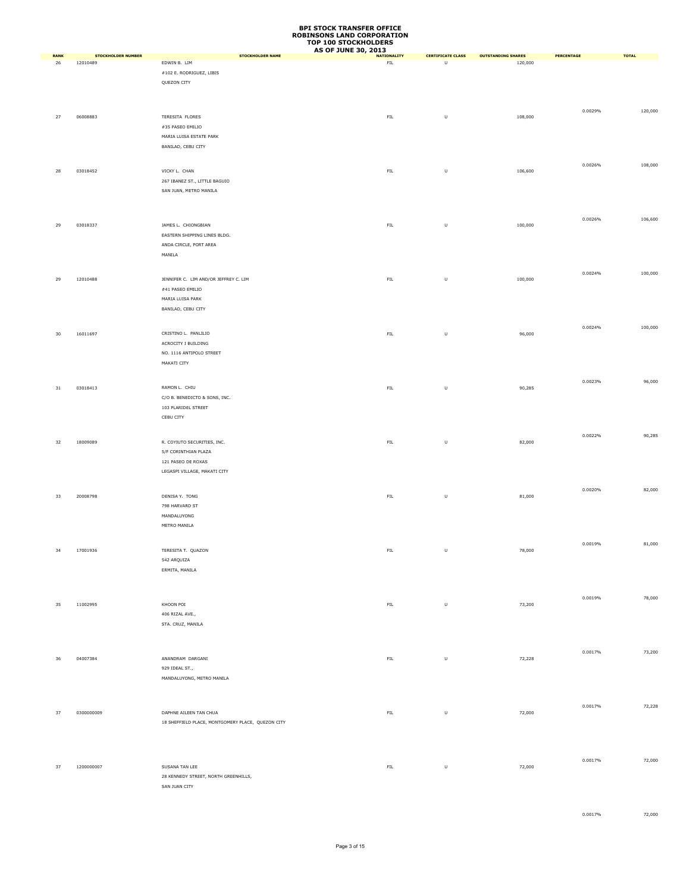|                   |                                       |                                                                                                           | <b>AS OF JUNE 30, 2013</b>        |                                     |                                      |            |              |
|-------------------|---------------------------------------|-----------------------------------------------------------------------------------------------------------|-----------------------------------|-------------------------------------|--------------------------------------|------------|--------------|
| <b>RANK</b><br>26 | <b>STOCKHOLDER NUMBER</b><br>12010489 | <b>STOCKHOLDER NAME</b><br>EDWIN B. LIM<br>#102 E. RODRIGUEZ, LIBIS<br>QUEZON CITY                        | <b>NATIONALITY</b><br>${\sf FIL}$ | <b>CERTIFICATE CLASS</b><br>$\sf U$ | <b>OUTSTANDING SHARES</b><br>120,000 | PERCENTAGE | <b>TOTAL</b> |
| 27                | 06008883                              | TERESITA FLORES<br>#35 PASEO EMILIO<br>MARIA LUISA ESTATE PARK<br>BANILAD, CEBU CITY                      | ${\sf FIL}$                       | $\sf U$                             | 108,000                              | 0.0029%    | 120,000      |
| 28                | 03018452                              | VICKY L. CHAN<br>267 IBANEZ ST., LITTLE BAGUIO<br>SAN JUAN, METRO MANILA                                  | ${\sf FIL}$                       | $\sf U$                             | 106,600                              | 0.0026%    | 108,000      |
| 29                | 03018337                              | JAMES L. CHIONGBIAN<br>EASTERN SHIPPING LINES BLDG.<br>ANDA CIRCLE, PORT AREA<br>MANILA                   | ${\sf FIL}$                       | $\sf U$                             | 100,000                              | 0.0026%    | 106,600      |
| 29                | 12010488                              | JENNIFER C. LIM AND/OR JEFFREY C. LIM<br>#41 PASEO EMILIO<br>MARIA LUISA PARK<br>BANILAD, CEBU CITY       | ${\sf FIL}$                       | $\sf U$                             | 100,000                              | 0.0024%    | 100,000      |
| 30                | 16011697                              | CRISTINO L. PANLILIO<br>ACROCITY I BUILDING<br>NO. 1116 ANTIPOLO STREET<br>MAKATI CITY                    | ${\sf FIL}$                       | $\sf U$                             | 96,000                               | 0.0024%    | 100,000      |
| 31                | 03018413                              | RAMON L. CHIU<br>C/O B. BENEDICTO & SONS, INC.<br>103 PLARIDEL STREET<br>CEBU CITY                        | ${\sf FIL}$                       | $\sf U$                             | 90,285                               | 0.0023%    | 96,000       |
| 32                | 18009089                              | R. COYIUTO SECURITIES, INC.<br>5/F CORINTHIAN PLAZA<br>121 PASEO DE ROXAS<br>LEGASPI VILLAGE, MAKATI CITY | ${\sf FIL}$                       | U                                   | 82,000                               | 0.0022%    | 90,285       |
| 33                | 20008798                              | DENISA Y. TONG<br>798 HARVARD ST<br>MANDALUYONG<br>METRO MANILA                                           | ${\sf FIL}$                       | U                                   | 81,000                               | 0.0020%    | 82,000       |
|                   | 34 17001936                           | TERESITA T. QUAZON<br>542 ARQUIZA<br>ERMITA, MANILA                                                       | ${\sf FIL}$                       | U                                   | 78,000                               | 0.0019%    | 81,000       |
| 35                | 11002995                              | KHOON POI<br>406 RIZAL AVE.,<br>STA. CRUZ, MANILA                                                         | ${\sf FIL}$                       | $\sf U$                             | 73,200                               | 0.0019%    | 78,000       |
| 36                | 04007384                              | ANANDRAM DARGANI<br>929 IDEAL ST.,<br>MANDALUYONG, METRO MANILA                                           | ${\sf FIL}$                       | $\sf U$                             | 72,228                               | 0.0017%    | 73,200       |
| 37                | 0300000009                            | DAPHNE AILEEN TAN CHUA<br>18 SHEFFIELD PLACE, MONTGOMERY PLACE, QUEZON CITY                               | ${\sf FIL}$                       | $\sf U$                             | 72,000                               | 0.0017%    | 72,228       |
| 37                | 1200000007                            | SUSANA TAN LEE<br>28 KENNEDY STREET, NORTH GREENHILLS,<br>SAN JUAN CITY                                   | ${\sf FIL}$                       | U                                   | 72,000                               | 0.0017%    | 72,000       |

0.0017% 72,000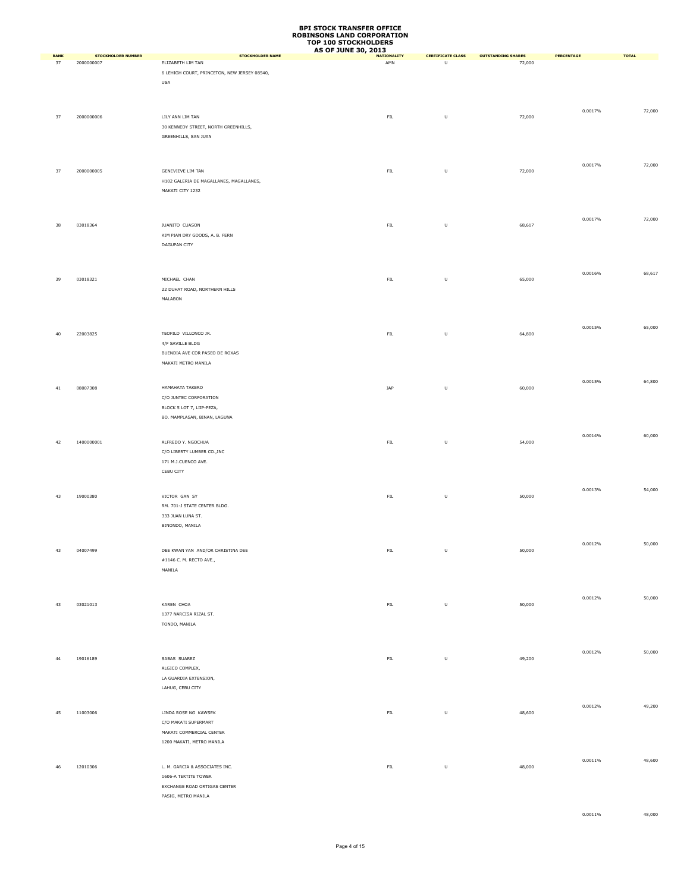|                   |                                         |                                                                                                                                            | <b>AS OF JUNE 30, 2013</b> |                                     |                                     |                   |              |
|-------------------|-----------------------------------------|--------------------------------------------------------------------------------------------------------------------------------------------|----------------------------|-------------------------------------|-------------------------------------|-------------------|--------------|
| <b>RANK</b><br>37 | <b>STOCKHOLDER NUMBER</b><br>2000000007 | <b>STOCKHOLDER NAME</b><br>ELIZABETH LIM TAN<br>6 LEHIGH COURT, PRINCETON, NEW JERSEY 08540,<br>USA                                        | <b>NATIONALITY</b><br>AMN  | <b>CERTIFICATE CLASS</b><br>$\sf U$ | <b>OUTSTANDING SHARES</b><br>72,000 | <b>PERCENTAGE</b> | <b>TOTAL</b> |
| 37                | 2000000006                              | LILY ANN LIM TAN<br>30 KENNEDY STREET, NORTH GREENHILLS,<br>GREENHILLS, SAN JUAN                                                           | ${\sf FIL}$                | $\sf U$                             | 72,000                              | 0.0017%           | 72,000       |
| 37                | 2000000005                              | GENEVIEVE LIM TAN<br>H102 GALERIA DE MAGALLANES, MAGALLANES,<br>MAKATI CITY 1232                                                           | ${\sf FIL}$                | $\sf U$                             | 72,000                              | 0.0017%           | 72,000       |
| 38                | 03018364                                | JUANITO CUASON<br>KIM PIAN DRY GOODS, A. B. FERN<br>DAGUPAN CITY                                                                           | ${\sf FIL}$                | $\sf U$                             | 68,617                              | 0.0017%           | 72,000       |
| 39                | 03018321                                | MICHAEL CHAN<br>22 DUHAT ROAD, NORTHERN HILLS<br>MALABON                                                                                   | ${\sf FIL}$                | $\sf U$                             | 65,000                              | 0.0016%           | 68,617       |
| $40\,$            | 22003825                                | TEOFILO VILLONCO JR.<br>4/F SAVILLE BLDG<br>BUENDIA AVE COR PASEO DE ROXAS                                                                 | ${\sf FIL}$                | $\sf U$                             | 64,800                              | 0.0015%           | 65,000       |
| 41                | 08007308                                | MAKATI METRO MANILA<br>HAMAHATA TAKERO<br>C/O JUNTEC CORPORATION<br>BLOCK 5 LOT 7, LIIP-PEZA,                                              | JAP                        | $\sf U$                             | 60,000                              | 0.0015%           | 64,800       |
| 42                | 1400000001                              | BO. MAMPLASAN, BINAN, LAGUNA<br>ALFREDO Y. NGOCHUA<br>C/O LIBERTY LUMBER CO., INC<br>171 M.J.CUENCO AVE.                                   | ${\sf FIL}$                | $\sf U$                             | 54,000                              | 0.0014%           | 60,000       |
| 43                | 19000380                                | CEBU CITY<br>VICTOR GAN SY<br>RM. 701-J STATE CENTER BLDG.<br>333 JUAN LUNA ST.                                                            | ${\sf FIL}$                | $\sf U$                             | 50,000                              | 0.0013%           | 54,000       |
| 43                | 04007499                                | BINONDO, MANILA<br>DEE KWAN YAN AND/OR CHRISTINA DEE<br>#1146 C. M. RECTO AVE.,<br>MANILA                                                  | ${\sf FIL}$                | $\sf U$                             | 50,000                              | 0.0012%           | 50,000       |
| 43                | 03021013                                | KAREN CHOA<br>1377 NARCISA RIZAL ST.<br>TONDO, MANILA                                                                                      | ${\sf FIL}$                | $\cup$                              | 50,000                              | 0.0012%           | 50,000       |
| 44                | 19016189                                | SABAS SUAREZ<br>ALGICO COMPLEX,<br>LA GUARDIA EXTENSION,                                                                                   | ${\sf FIL}$                | $\cup$                              | 49,200                              | 0.0012%           | 50,000       |
| 45                | 11003006                                | LAHUG, CEBU CITY<br>LINDA ROSE NG KAWSEK<br>C/O MAKATI SUPERMART<br>MAKATI COMMERCIAL CENTER                                               | ${\sf FIL}$                | $\cup$                              | 48,600                              | 0.0012%           | 49,200       |
| 46                | 12010306                                | 1200 MAKATI, METRO MANILA<br>L. M. GARCIA & ASSOCIATES INC.<br>1606-A TEKTITE TOWER<br>EXCHANGE ROAD ORTIGAS CENTER<br>PASIG, METRO MANILA | ${\sf FIL}$                | $\sf U$                             | 48,000                              | 0.0011%           | 48,600       |

0.0011% 48,000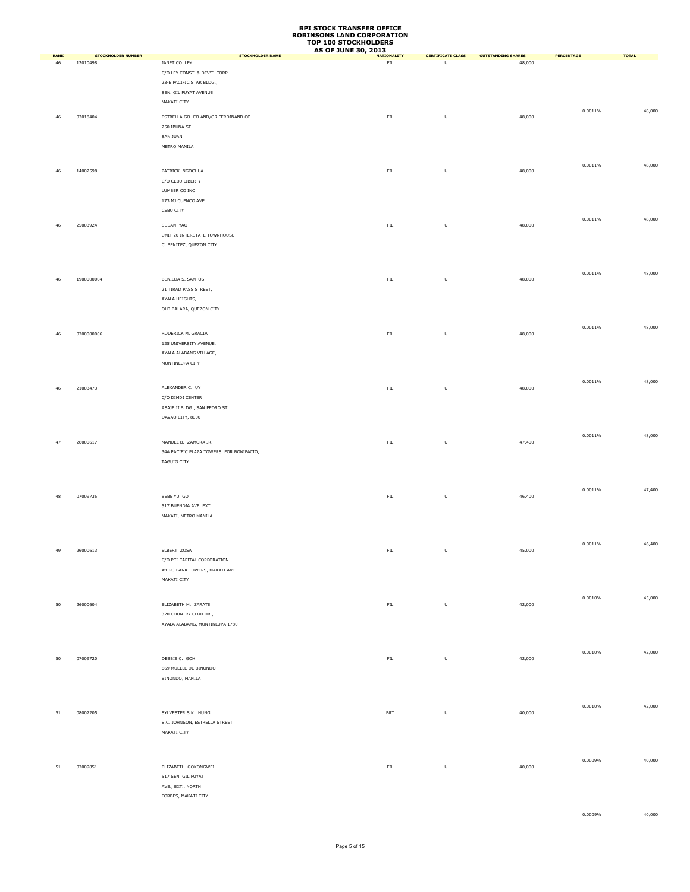|                   |                                       |                                                                                                            | <b>AS OF JUNE 30, 2013</b>        |                                     |                                     |                   |              |
|-------------------|---------------------------------------|------------------------------------------------------------------------------------------------------------|-----------------------------------|-------------------------------------|-------------------------------------|-------------------|--------------|
| <b>RANK</b><br>46 | <b>STOCKHOLDER NUMBER</b><br>12010498 | <b>STOCKHOLDER NAME</b><br>JANET CO LEY<br>C/O LEY CONST. & DEV'T. CORP.                                   | <b>NATIONALITY</b><br>${\sf FIL}$ | <b>CERTIFICATE CLASS</b><br>$\sf U$ | <b>OUTSTANDING SHARES</b><br>48,000 | <b>PERCENTAGE</b> | <b>TOTAL</b> |
|                   |                                       | 23-E PACIFIC STAR BLDG.,<br>SEN. GIL PUYAT AVENUE<br>MAKATI CITY                                           |                                   |                                     |                                     | 0.0011%           |              |
| $46\,$            | 03018404                              | ESTRELLA GO CO AND/OR FERDINAND CO<br>250 IBUNA ST<br>SAN JUAN<br>METRO MANILA                             | ${\sf FIL}$                       | $\sf U$                             | 48,000                              |                   | 48,000       |
| 46                | 14002598                              | PATRICK NGOCHUA<br>C/O CEBU LIBERTY<br>LUMBER CO INC<br>173 MJ CUENCO AVE                                  | ${\sf FIL}$                       | $\cup$                              | 48,000                              | 0.0011%           | 48,000       |
| 46                | 25003924                              | CEBU CITY<br>SUSAN YAO<br>UNIT 20 INTERSTATE TOWNHOUSE<br>C. BENITEZ, QUEZON CITY                          | ${\sf FIL}$                       | $\cup$                              | 48,000                              | 0.0011%           | 48,000       |
| 46                | 1900000004                            | BENILDA S. SANTOS<br>21 TIRAD PASS STREET,<br>AYALA HEIGHTS,                                               | ${\sf FIL}$                       | $\sf U$                             | 48,000                              | 0.0011%           | 48,000       |
| 46                | 0700000006                            | OLD BALARA, QUEZON CITY<br>RODERICK M. GRACIA<br>125 UNIVERSITY AVENUE,<br>AYALA ALABANG VILLAGE,          | ${\sf FIL}$                       | $\sf U$                             | 48,000                              | 0.0011%           | 48,000       |
| 46                | 21003473                              | MUNTINLUPA CITY<br>ALEXANDER C. UY<br>C/O DIMDI CENTER<br>ASAJE II BLDG., SAN PEDRO ST.                    | ${\sf FIL}$                       | $\sf U$                             | 48,000                              | 0.0011%           | 48,000       |
| 47                | 26000617                              | DAVAO CITY, 8000<br>MANUEL B. ZAMORA JR.<br>34A PACIFIC PLAZA TOWERS, FOR BONIFACIO,<br><b>TAGUIG CITY</b> | ${\sf FIL}$                       | U                                   | 47,400                              | 0.0011%           | 48,000       |
| 48                | 07009735                              | BEBE YU GO<br>517 BUENDIA AVE. EXT.<br>MAKATI, METRO MANILA                                                | ${\sf FIL}$                       | $\sf U$                             | 46,400                              | 0.0011%           | 47,400       |
| 49                | 26000613                              | ELBERT ZOSA<br>C/O PCI CAPITAL CORPORATION<br>#1 PCIBANK TOWERS, MAKATI AVE                                | ${\sf FIL}$                       | U                                   | 45,000                              | 0.0011%           | 46,400       |
| 50                | 26000604                              | MAKATI CITY<br>ELIZABETH M. ZARATE<br>320 COUNTRY CLUB DR.,<br>AYALA ALABANG, MUNTINLUPA 1780              | ${\sf FIL}$                       | $\sf U$                             | 42,000                              | 0.0010%           | 45,000       |
| 50                | 07009720                              | DEBBIE C. GOH<br>669 MUELLE DE BINONDO<br>BINONDO, MANILA                                                  | ${\sf FIL}$                       | $\cup$                              | 42,000                              | 0.0010%           | 42,000       |
| 51                | 08007205                              | SYLVESTER S.K. HUNG<br>S.C. JOHNSON, ESTRELLA STREET<br>MAKATI CITY                                        | <b>BRT</b>                        | $\cup$                              | 40,000                              | 0.0010%           | 42,000       |
| 51                | 07009851                              | ELIZABETH GOKONGWEI<br>517 SEN. GIL PUYAT<br>AVE., EXT., NORTH                                             | ${\sf FIL}$                       | $\sf U$                             | 40,000                              | 0.0009%           | 40,000       |
|                   |                                       | FORBES, MAKATI CITY                                                                                        |                                   |                                     |                                     |                   |              |

0.0009% 40,000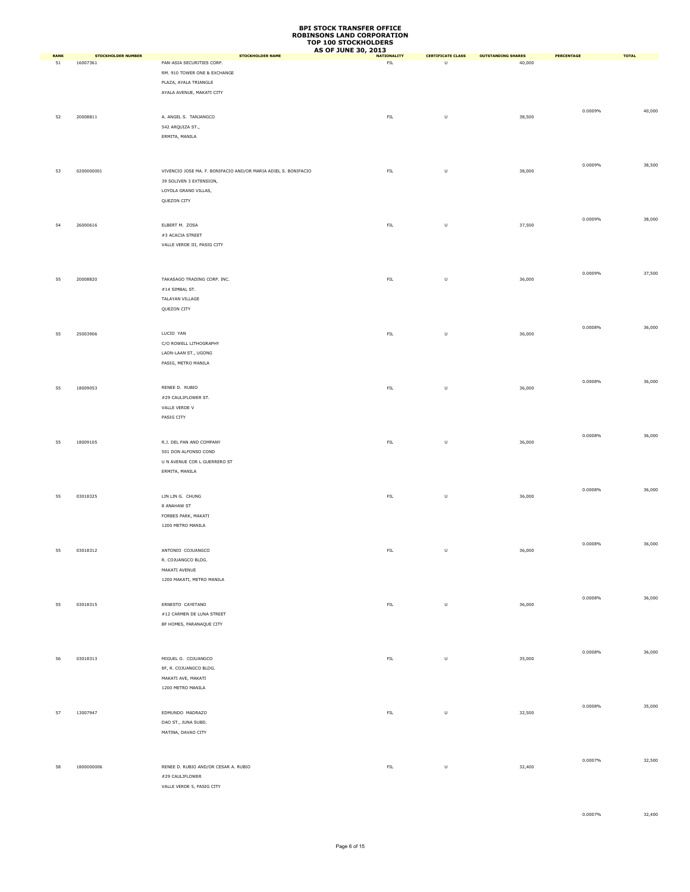|             |                           |                                                                | <b>AS OF JUNE 30, 2013</b> |                          |                           |                   |              |
|-------------|---------------------------|----------------------------------------------------------------|----------------------------|--------------------------|---------------------------|-------------------|--------------|
| <b>RANK</b> | <b>STOCKHOLDER NUMBER</b> | <b>STOCKHOLDER NAME</b>                                        | <b>NATIONALITY</b>         | <b>CERTIFICATE CLASS</b> | <b>OUTSTANDING SHARES</b> | <b>PERCENTAGE</b> | <b>TOTAL</b> |
| ${\bf 51}$  | 16007361                  | PAN-ASIA SECURITIES CORP.                                      | FIL                        | U                        | 40,000                    |                   |              |
|             |                           | RM. 910 TOWER ONE & EXCHANGE                                   |                            |                          |                           |                   |              |
|             |                           | PLAZA, AYALA TRIANGLE                                          |                            |                          |                           |                   |              |
|             |                           | AYALA AVENUE, MAKATI CITY                                      |                            |                          |                           |                   |              |
|             |                           |                                                                |                            |                          |                           |                   |              |
|             |                           |                                                                |                            |                          |                           | 0.0009%           | 40,000       |
| 52          | 20008811                  | A. ANGEL S. TANJANGCO                                          | ${\sf FIL}$                | $\sf U$                  | 38,500                    |                   |              |
|             |                           | 542 ARQUIZA ST.,                                               |                            |                          |                           |                   |              |
|             |                           | ERMITA, MANILA                                                 |                            |                          |                           |                   |              |
|             |                           |                                                                |                            |                          |                           |                   |              |
|             |                           |                                                                |                            |                          |                           |                   |              |
|             |                           |                                                                |                            |                          |                           | 0.0009%           | 38,500       |
| 53          | 0200000001                | VIVENCIO JOSE MA. F. BONIFACIO AND/OR MARIA ADIEL S. BONIFACIO | ${\sf FIL}$                | $\sf U$                  | 38,000                    |                   |              |
|             |                           | 39 SOLIVEN 3 EXTENSION,                                        |                            |                          |                           |                   |              |
|             |                           | LOYOLA GRAND VILLAS,                                           |                            |                          |                           |                   |              |
|             |                           | QUEZON CITY                                                    |                            |                          |                           |                   |              |
|             |                           |                                                                |                            |                          |                           |                   |              |
|             |                           |                                                                |                            |                          |                           | 0.0009%           | 38,000       |
| 54          | 26000616                  | ELBERT M. ZOSA                                                 | ${\sf FIL}$                | $\sf U$                  | 37,500                    |                   |              |
|             |                           | #3 ACACIA STREET                                               |                            |                          |                           |                   |              |
|             |                           | VALLE VERDE III, PASIG CITY                                    |                            |                          |                           |                   |              |
|             |                           |                                                                |                            |                          |                           |                   |              |
|             |                           |                                                                |                            |                          |                           |                   |              |
|             |                           |                                                                |                            |                          |                           | 0.0009%           | 37,500       |
| 55          | 20008820                  | TAKASAGO TRADING CORP. INC.                                    | ${\sf FIL}$                | $\sf U$                  | 36,000                    |                   |              |
|             |                           | $\#14$ SIMBAL ST.                                              |                            |                          |                           |                   |              |
|             |                           | TALAYAN VILLAGE                                                |                            |                          |                           |                   |              |
|             |                           | QUEZON CITY                                                    |                            |                          |                           |                   |              |
|             |                           |                                                                |                            |                          |                           |                   |              |
|             |                           |                                                                |                            |                          |                           | 0.0008%           | 36,000       |
| 55          | 25003906                  | LUCIO YAN                                                      | ${\sf FIL}$                | $\sf U$                  | 36,000                    |                   |              |
|             |                           | C/O ROWELL LITHOGRAPHY                                         |                            |                          |                           |                   |              |
|             |                           | LAON-LAAN ST., UGONG                                           |                            |                          |                           |                   |              |
|             |                           | PASIG, METRO MANILA                                            |                            |                          |                           |                   |              |
|             |                           |                                                                |                            |                          |                           |                   |              |
|             |                           |                                                                |                            |                          |                           |                   |              |
| 55          | 18009053                  | RENEE D. RUBIO                                                 | ${\sf FIL}$                | $\sf U$                  | 36,000                    | 0.0008%           | 36,000       |
|             |                           | #29 CAULIFLOWER ST.                                            |                            |                          |                           |                   |              |
|             |                           |                                                                |                            |                          |                           |                   |              |
|             |                           | VALLE VERDE V                                                  |                            |                          |                           |                   |              |
|             |                           | PASIG CITY                                                     |                            |                          |                           |                   |              |
|             |                           |                                                                |                            |                          |                           |                   |              |
| 55          | 18009105                  | R.J. DEL PAN AND COMPANY                                       | ${\sf FIL}$                | $\cup$                   | 36,000                    | 0.0008%           | 36,000       |
|             |                           |                                                                |                            |                          |                           |                   |              |
|             |                           | 501 DON ALFONSO COND                                           |                            |                          |                           |                   |              |
|             |                           | U N AVENUE COR L GUERRERO ST                                   |                            |                          |                           |                   |              |
|             |                           | ERMITA, MANILA                                                 |                            |                          |                           |                   |              |
|             |                           |                                                                |                            |                          |                           |                   |              |
|             |                           |                                                                |                            |                          |                           | 0.0008%           | 36,000       |
| 55          | 03018325                  | LIN LIN G. CHUNG                                               | ${\sf FIL}$                | $\cup$                   | 36,000                    |                   |              |
|             |                           | 8 ANAHAW ST                                                    |                            |                          |                           |                   |              |
|             |                           | FORBES PARK, MAKATI                                            |                            |                          |                           |                   |              |
|             |                           | 1200 METRO MANILA                                              |                            |                          |                           |                   |              |
|             |                           |                                                                |                            |                          |                           |                   |              |
|             |                           |                                                                |                            |                          |                           | 0.0008%           | 36,000       |
|             | 55 03018312               | ANTONIO COJUANGCO                                              | ${\sf FIL}$                | $\mathbf{U}$             | 36,000                    |                   |              |
|             |                           | R. COJUANGCO BLDG.                                             |                            |                          |                           |                   |              |
|             |                           | MAKATI AVENUE                                                  |                            |                          |                           |                   |              |
|             |                           | 1200 MAKATI, METRO MANILA                                      |                            |                          |                           |                   |              |
|             |                           |                                                                |                            |                          |                           |                   |              |
|             |                           |                                                                |                            |                          |                           | 0.0008%           | 36,000       |
| 55          | 03018315                  | ERNESTO CAYETANO                                               | ${\sf FIL}$                | $\sf U$                  | 36,000                    |                   |              |
|             |                           | #12 CARMEN DE LUNA STREET                                      |                            |                          |                           |                   |              |
|             |                           | BF HOMES, PARANAQUE CITY                                       |                            |                          |                           |                   |              |
|             |                           |                                                                |                            |                          |                           |                   |              |
|             |                           |                                                                |                            |                          |                           |                   |              |
|             |                           |                                                                |                            |                          |                           | 0.0008%           | 36,000       |
| 56          | 03018313                  | MIGUEL O. COJUANGCO                                            | ${\sf FIL}$                | $\cup$                   | 35,000                    |                   |              |
|             |                           | 8F, R. COJUANGCO BLDG.                                         |                            |                          |                           |                   |              |
|             |                           | MAKATI AVE, MAKATI                                             |                            |                          |                           |                   |              |
|             |                           |                                                                |                            |                          |                           |                   |              |
|             |                           | 1200 METRO MANILA                                              |                            |                          |                           |                   |              |
|             |                           |                                                                |                            |                          |                           |                   |              |
| 57          | 13007947                  | EDMUNDO MADRAZO                                                | ${\sf FIL}$                | $\sf U$                  | 32,500                    | 0.0008%           | 35,000       |
|             |                           |                                                                |                            |                          |                           |                   |              |
|             |                           | DAO ST., JUNA SUBD.                                            |                            |                          |                           |                   |              |
|             |                           | MATINA, DAVAO CITY                                             |                            |                          |                           |                   |              |
|             |                           |                                                                |                            |                          |                           |                   |              |
|             |                           |                                                                |                            |                          |                           |                   |              |
|             |                           |                                                                |                            |                          |                           | 0.0007%           | 32,500       |
| 58          | 1800000006                | RENEE D. RUBIO AND/OR CESAR A. RUBIO                           | ${\sf FIL}$                | $\sf U$                  | 32,400                    |                   |              |
|             |                           | #29 CAULIFLOWER                                                |                            |                          |                           |                   |              |
|             |                           | VALLE VERDE 5, PASIG CITY                                      |                            |                          |                           |                   |              |

0.0007% 32,400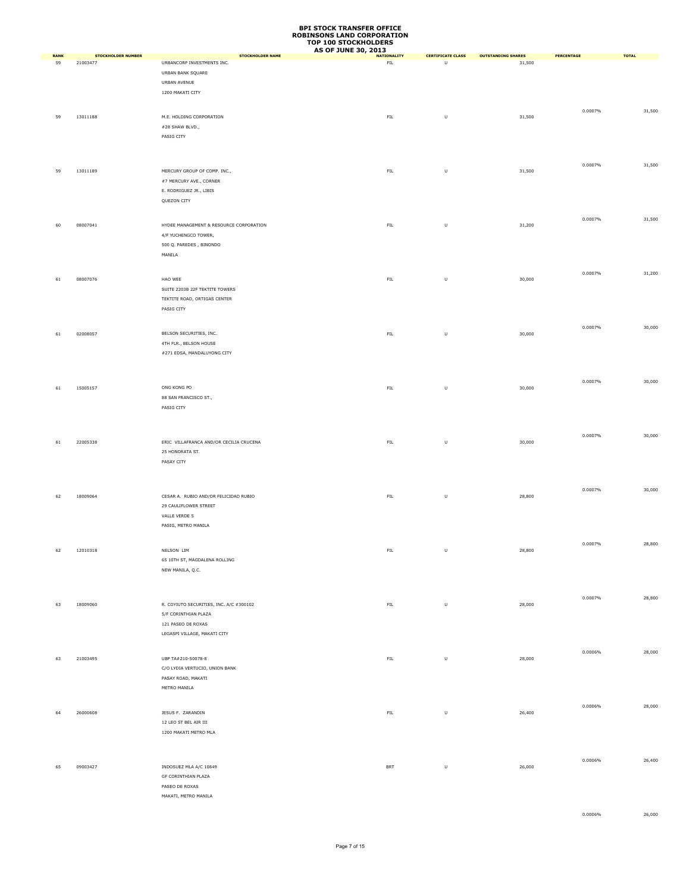|                   |                                       | STOCKHOLDER NAME                        | <b>AS OF JUNE 30, 2013</b>        |                                     |                                     |            |              |
|-------------------|---------------------------------------|-----------------------------------------|-----------------------------------|-------------------------------------|-------------------------------------|------------|--------------|
| <b>RANK</b><br>59 | <b>STOCKHOLDER NUMBER</b><br>21003477 | URBANCORP INVESTMENTS INC.              | <b>NATIONALITY</b><br>${\sf FIL}$ | <b>CERTIFICATE CLASS</b><br>$\sf U$ | <b>OUTSTANDING SHARES</b><br>31,500 | PERCENTAGE | <b>TOTAL</b> |
|                   |                                       |                                         |                                   |                                     |                                     |            |              |
|                   |                                       | URBAN BANK SQUARE                       |                                   |                                     |                                     |            |              |
|                   |                                       | URBAN AVENUE                            |                                   |                                     |                                     |            |              |
|                   |                                       | 1200 MAKATI CITY                        |                                   |                                     |                                     |            |              |
|                   |                                       |                                         |                                   |                                     |                                     |            |              |
|                   |                                       |                                         |                                   |                                     |                                     | 0.0007%    | 31,500       |
| 59                | 13011188                              | M.E. HOLDING CORPORATION                | ${\sf FIL}$                       | $\sf U$                             | 31,500                              |            |              |
|                   |                                       | #28 SHAW BLVD.,                         |                                   |                                     |                                     |            |              |
|                   |                                       | PASIG CITY                              |                                   |                                     |                                     |            |              |
|                   |                                       |                                         |                                   |                                     |                                     |            |              |
|                   |                                       |                                         |                                   |                                     |                                     |            |              |
|                   |                                       |                                         |                                   |                                     |                                     |            |              |
|                   |                                       |                                         |                                   |                                     |                                     | 0.0007%    | 31,500       |
| 59                | 13011189                              | MERCURY GROUP OF COMP. INC.,            | ${\sf FIL}$                       | $\sf U$                             | 31,500                              |            |              |
|                   |                                       | #7 MERCURY AVE., CORNER                 |                                   |                                     |                                     |            |              |
|                   |                                       | E. RODRIGUEZ JR., LIBIS                 |                                   |                                     |                                     |            |              |
|                   |                                       | QUEZON CITY                             |                                   |                                     |                                     |            |              |
|                   |                                       |                                         |                                   |                                     |                                     |            |              |
|                   |                                       |                                         |                                   |                                     |                                     | 0.0007%    | 31,500       |
| 60                | 08007041                              | HYDEE MANAGEMENT & RESOURCE CORPORATION | ${\sf FIL}$                       | $\cup$                              | 31,200                              |            |              |
|                   |                                       | 4/F YUCHENGCO TOWER,                    |                                   |                                     |                                     |            |              |
|                   |                                       | 500 Q. PAREDES, BINONDO                 |                                   |                                     |                                     |            |              |
|                   |                                       |                                         |                                   |                                     |                                     |            |              |
|                   |                                       | MANILA                                  |                                   |                                     |                                     |            |              |
|                   |                                       |                                         |                                   |                                     |                                     |            |              |
|                   |                                       |                                         |                                   |                                     |                                     | 0.0007%    | 31,200       |
| 61                | 08007076                              | HAO WEE                                 | ${\sf FIL}$                       | $\cup$                              | 30,000                              |            |              |
|                   |                                       | SUITE 2203B 22F TEKTITE TOWERS          |                                   |                                     |                                     |            |              |
|                   |                                       | TEKTITE ROAD, ORTIGAS CENTER            |                                   |                                     |                                     |            |              |
|                   |                                       | PASIG CITY                              |                                   |                                     |                                     |            |              |
|                   |                                       |                                         |                                   |                                     |                                     |            |              |
|                   |                                       |                                         |                                   |                                     |                                     |            |              |
| 61                | 02008057                              | BELSON SECURITIES, INC.                 | ${\sf FIL}$                       | $\sf U$                             | 30,000                              | 0.0007%    | 30,000       |
|                   |                                       |                                         |                                   |                                     |                                     |            |              |
|                   |                                       | 4TH FLR., BELSON HOUSE                  |                                   |                                     |                                     |            |              |
|                   |                                       | #271 EDSA, MANDALUYONG CITY             |                                   |                                     |                                     |            |              |
|                   |                                       |                                         |                                   |                                     |                                     |            |              |
|                   |                                       |                                         |                                   |                                     |                                     |            |              |
|                   |                                       |                                         |                                   |                                     |                                     | 0.0007%    | 30,000       |
| 61                | 15005157                              | ONG KONG PO                             | ${\sf FIL}$                       | $\sf U$                             | 30,000                              |            |              |
|                   |                                       | 88 SAN FRANCISCO ST.,                   |                                   |                                     |                                     |            |              |
|                   |                                       | PASIG CITY                              |                                   |                                     |                                     |            |              |
|                   |                                       |                                         |                                   |                                     |                                     |            |              |
|                   |                                       |                                         |                                   |                                     |                                     |            |              |
|                   |                                       |                                         |                                   |                                     |                                     |            |              |
|                   |                                       |                                         |                                   |                                     |                                     | 0.0007%    | 30,000       |
| 61                | 22005338                              | ERIC VILLAFRANCA AND/OR CECILIA CRUCENA | ${\sf FIL}$                       | $\sf U$                             | 30,000                              |            |              |
|                   |                                       | 25 HONORATA ST.                         |                                   |                                     |                                     |            |              |
|                   |                                       | PASAY CITY                              |                                   |                                     |                                     |            |              |
|                   |                                       |                                         |                                   |                                     |                                     |            |              |
|                   |                                       |                                         |                                   |                                     |                                     |            |              |
|                   |                                       |                                         |                                   |                                     |                                     | 0.0007%    | 30,000       |
| 62                | 18009064                              | CESAR A. RUBIO AND/OR FELICIDAD RUBIO   | ${\sf FIL}$                       | $\sf U$                             | 28,800                              |            |              |
|                   |                                       | 29 CAULIFLOWER STREET                   |                                   |                                     |                                     |            |              |
|                   |                                       |                                         |                                   |                                     |                                     |            |              |
|                   |                                       | VALLE VERDE 5                           |                                   |                                     |                                     |            |              |
|                   |                                       | PASIG, METRO MANILA                     |                                   |                                     |                                     |            |              |
|                   |                                       |                                         |                                   |                                     |                                     |            |              |
|                   |                                       |                                         |                                   |                                     |                                     | 0.0007%    | 28,800       |
|                   | 62 12010318                           | NELSON LIM                              | ${\sf FIL}$                       | $\sf U$                             | 28,800                              |            |              |
|                   |                                       | 65 10TH ST, MAGDALENA ROLLING           |                                   |                                     |                                     |            |              |
|                   |                                       | NEW MANILA, Q.C.                        |                                   |                                     |                                     |            |              |
|                   |                                       |                                         |                                   |                                     |                                     |            |              |
|                   |                                       |                                         |                                   |                                     |                                     |            |              |
|                   |                                       |                                         |                                   |                                     |                                     |            |              |
| 63                | 18009060                              | R. COYIUTO SECURITIES, INC. A/C #300102 | ${\sf FIL}$                       | $\sf U$                             | 28,000                              | 0.0007%    | 28,800       |
|                   |                                       |                                         |                                   |                                     |                                     |            |              |
|                   |                                       | 5/F CORINTHIAN PLAZA                    |                                   |                                     |                                     |            |              |
|                   |                                       | 121 PASEO DE ROXAS                      |                                   |                                     |                                     |            |              |
|                   |                                       | LEGASPI VILLAGE, MAKATI CITY            |                                   |                                     |                                     |            |              |
|                   |                                       |                                         |                                   |                                     |                                     |            |              |
|                   |                                       |                                         |                                   |                                     |                                     | 0.0006%    | 28,000       |
| 63                | 21003495                              | UBP TA#210-50078-8                      | ${\sf FIL}$                       | $\sf U$                             | 28,000                              |            |              |
|                   |                                       | C/O LYDIA VERTUCIO, UNION BANK          |                                   |                                     |                                     |            |              |
|                   |                                       |                                         |                                   |                                     |                                     |            |              |
|                   |                                       | PASAY ROAD, MAKATI                      |                                   |                                     |                                     |            |              |
|                   |                                       | METRO MANILA                            |                                   |                                     |                                     |            |              |
|                   |                                       |                                         |                                   |                                     |                                     |            |              |
|                   |                                       |                                         |                                   |                                     |                                     | 0.0006%    | 28,000       |
| 64                | 26000608                              | JESUS F. ZARANDIN                       | ${\sf FIL}$                       | $\sf U$                             | 26,400                              |            |              |
|                   |                                       | 12 LEO ST BEL AIR III                   |                                   |                                     |                                     |            |              |
|                   |                                       | 1200 MAKATI METRO MLA                   |                                   |                                     |                                     |            |              |
|                   |                                       |                                         |                                   |                                     |                                     |            |              |
|                   |                                       |                                         |                                   |                                     |                                     |            |              |
|                   |                                       |                                         |                                   |                                     |                                     |            |              |
| 65                | 09003427                              | INDOSUEZ MLA A/C 10849                  | BRT                               | $\sf U$                             | 26,000                              | 0.0006%    | 26,400       |
|                   |                                       |                                         |                                   |                                     |                                     |            |              |
|                   |                                       | GF CORINTHIAN PLAZA                     |                                   |                                     |                                     |            |              |
|                   |                                       | PASEO DE ROXAS                          |                                   |                                     |                                     |            |              |
|                   |                                       | MAKATI, METRO MANILA                    |                                   |                                     |                                     |            |              |
|                   |                                       |                                         |                                   |                                     |                                     |            |              |

0.0006% 26,000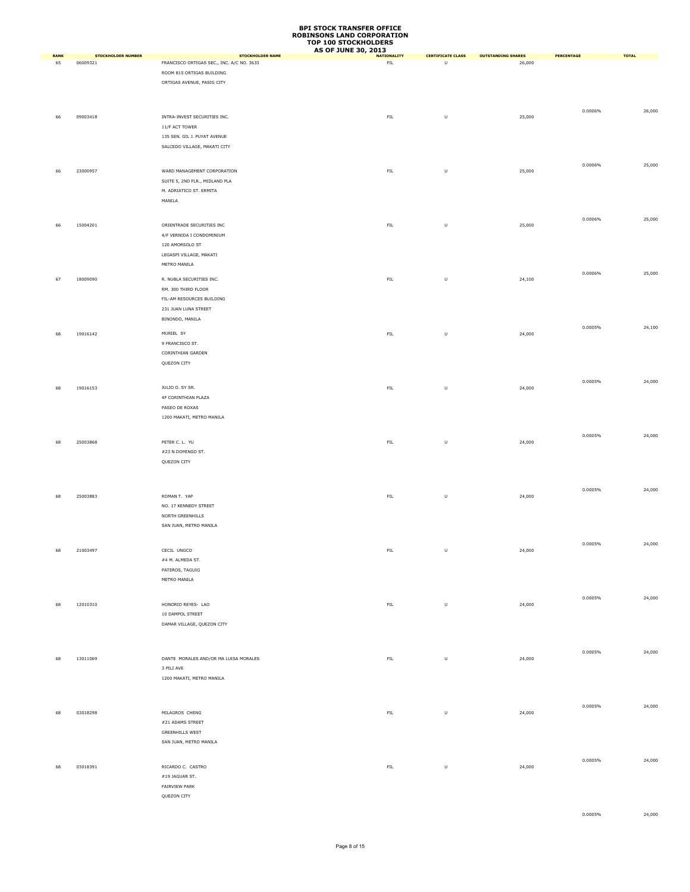|                   |                    |                                                               | <b>AS OF JUNE 30, 2013</b> |                               |                           |            |              |
|-------------------|--------------------|---------------------------------------------------------------|----------------------------|-------------------------------|---------------------------|------------|--------------|
| <b>RANK</b><br>65 | STOCKHOLDER NUMBER | STOCKHOLDER NAME<br>FRANCISCO ORTIGAS SEC., INC. A/C NO. 3633 | <b>NATIONALITY</b>         | <b>CERTIFICATE CLASS</b><br>U | <b>OUTSTANDING SHARES</b> | PERCENTAGE | <b>TOTAL</b> |
|                   | 06009321           |                                                               | ${\sf FIL}$                |                               | 26,000                    |            |              |
|                   |                    | ROOM 815 ORTIGAS BUILDING                                     |                            |                               |                           |            |              |
|                   |                    | ORTIGAS AVENUE, PASIG CITY                                    |                            |                               |                           |            |              |
|                   |                    |                                                               |                            |                               |                           |            |              |
|                   |                    |                                                               |                            |                               |                           |            |              |
|                   |                    |                                                               |                            |                               |                           | 0.0006%    | 26,000       |
| 66                | 09003418           | INTRA-INVEST SECURITIES INC.                                  | ${\sf FIL}$                | $\sf U$                       | 25,000                    |            |              |
|                   |                    | 11/F ACT TOWER                                                |                            |                               |                           |            |              |
|                   |                    | 135 SEN. GIL J. PUYAT AVENUE                                  |                            |                               |                           |            |              |
|                   |                    |                                                               |                            |                               |                           |            |              |
|                   |                    | SALCEDO VILLAGE, MAKATI CITY                                  |                            |                               |                           |            |              |
|                   |                    |                                                               |                            |                               |                           |            |              |
|                   |                    |                                                               |                            |                               |                           | 0.0006%    | 25,000       |
| 66                | 23000957           | WARD MANAGEMENT CORPORATION                                   | ${\sf FIL}$                | $\sf U$                       | 25,000                    |            |              |
|                   |                    | SUITE 5, 2ND FLR., MIDLAND PLA                                |                            |                               |                           |            |              |
|                   |                    | M. ADRIATICO ST. ERMITA                                       |                            |                               |                           |            |              |
|                   |                    | MANILA                                                        |                            |                               |                           |            |              |
|                   |                    |                                                               |                            |                               |                           |            |              |
|                   |                    |                                                               |                            |                               |                           | 0.0006%    | 25,000       |
| 66                | 15004201           | ORIENTRADE SECURITIES INC                                     | ${\sf FIL}$                | $\sf U$                       | 25,000                    |            |              |
|                   |                    | 4/F VERNIDA I CONDOMINIUM                                     |                            |                               |                           |            |              |
|                   |                    |                                                               |                            |                               |                           |            |              |
|                   |                    | 120 AMORSOLO ST                                               |                            |                               |                           |            |              |
|                   |                    | LEGASPI VILLAGE, MAKATI                                       |                            |                               |                           |            |              |
|                   |                    | METRO MANILA                                                  |                            |                               |                           |            |              |
|                   |                    |                                                               |                            |                               |                           | 0.0006%    | 25,000       |
| 67                | 18009090           | R. NUBLA SECURITIES INC.                                      | ${\sf FIL}$                | $\sf U$                       | 24,100                    |            |              |
|                   |                    | RM. 300 THIRD FLOOR                                           |                            |                               |                           |            |              |
|                   |                    | FIL-AM RESOURCES BUILDING                                     |                            |                               |                           |            |              |
|                   |                    | 231 JUAN LUNA STREET                                          |                            |                               |                           |            |              |
|                   |                    |                                                               |                            |                               |                           |            |              |
|                   |                    | BINONDO, MANILA                                               |                            |                               |                           |            |              |
|                   |                    | MURIEL SY                                                     |                            |                               |                           | 0.0005%    | 24,100       |
| 68                | 19016142           |                                                               | ${\sf FIL}$                | $\sf U$                       | 24,000                    |            |              |
|                   |                    | 9 FRANCISCO ST.                                               |                            |                               |                           |            |              |
|                   |                    | CORINTHIAN GARDEN                                             |                            |                               |                           |            |              |
|                   |                    | QUEZON CITY                                                   |                            |                               |                           |            |              |
|                   |                    |                                                               |                            |                               |                           |            |              |
|                   |                    |                                                               |                            |                               |                           | 0.0005%    | 24,000       |
| 68                | 19016153           | JULIO O. SY SR.                                               | ${\sf FIL}$                | $\sf U$                       | 24,000                    |            |              |
|                   |                    | 4F CORINTHIAN PLAZA                                           |                            |                               |                           |            |              |
|                   |                    |                                                               |                            |                               |                           |            |              |
|                   |                    | PASEO DE ROXAS                                                |                            |                               |                           |            |              |
|                   |                    | 1200 MAKATI, METRO MANILA                                     |                            |                               |                           |            |              |
|                   |                    |                                                               |                            |                               |                           |            |              |
|                   |                    |                                                               |                            |                               |                           | 0.0005%    | 24,000       |
| 68                | 25003868           | PETER C. L. YU                                                | ${\sf FIL}$                | $\sf U$                       | 24,000                    |            |              |
|                   |                    | #23 N DOMINGO ST.                                             |                            |                               |                           |            |              |
|                   |                    | QUEZON CITY                                                   |                            |                               |                           |            |              |
|                   |                    |                                                               |                            |                               |                           |            |              |
|                   |                    |                                                               |                            |                               |                           |            |              |
|                   |                    |                                                               |                            |                               |                           | 0.0005%    | 24,000       |
| 68                | 25003883           | ROMAN T. YAP                                                  | ${\sf FIL}$                | $\sf U$                       | 24,000                    |            |              |
|                   |                    | NO. 17 KENNEDY STREET                                         |                            |                               |                           |            |              |
|                   |                    |                                                               |                            |                               |                           |            |              |
|                   |                    | NORTH GREENHILLS                                              |                            |                               |                           |            |              |
|                   |                    | SAN JUAN, METRO MANILA                                        |                            |                               |                           |            |              |
|                   |                    |                                                               |                            |                               |                           |            |              |
|                   |                    |                                                               |                            |                               |                           | 0.0005%    | 24,000       |
|                   | 68 21003497        | CECIL UNGCO                                                   | ${\sf FIL}$                | U                             | 24,000                    |            |              |
|                   |                    | #4 M. ALMEDA ST.                                              |                            |                               |                           |            |              |
|                   |                    | PATEROS, TAGUIG                                               |                            |                               |                           |            |              |
|                   |                    | METRO MANILA                                                  |                            |                               |                           |            |              |
|                   |                    |                                                               |                            |                               |                           |            |              |
|                   |                    |                                                               |                            |                               |                           |            |              |
| 68                | 12010310           | HONORIO REYES- LAO                                            | FL                         | $\sf U$                       | 24,000                    | 0.0005%    | 24,000       |
|                   |                    |                                                               |                            |                               |                           |            |              |
|                   |                    | 10 DAMPOL STREET                                              |                            |                               |                           |            |              |
|                   |                    | DAMAR VILLAGE, QUEZON CITY                                    |                            |                               |                           |            |              |
|                   |                    |                                                               |                            |                               |                           |            |              |
|                   |                    |                                                               |                            |                               |                           |            |              |
|                   |                    |                                                               |                            |                               |                           | 0.0005%    | 24,000       |
| 68                | 13011069           | DANTE MORALES AND/OR MA LUISA MORALES                         | ${\sf FIL}$                | $\sf U$                       | 24,000                    |            |              |
|                   |                    | 3 PILI AVE                                                    |                            |                               |                           |            |              |
|                   |                    | 1200 MAKATI, METRO MANILA                                     |                            |                               |                           |            |              |
|                   |                    |                                                               |                            |                               |                           |            |              |
|                   |                    |                                                               |                            |                               |                           |            |              |
|                   |                    |                                                               |                            |                               |                           |            |              |
|                   |                    |                                                               |                            |                               |                           | 0.0005%    | 24,000       |
| 68                | 03018298           | MILAGROS CHENG                                                | ${\sf FIL}$                | $\sf U$                       | 24,000                    |            |              |
|                   |                    | #21 ADAMS STREET                                              |                            |                               |                           |            |              |
|                   |                    | <b>GREENHILLS WEST</b>                                        |                            |                               |                           |            |              |
|                   |                    | SAN JUAN, METRO MANILA                                        |                            |                               |                           |            |              |
|                   |                    |                                                               |                            |                               |                           |            |              |
|                   |                    |                                                               |                            |                               |                           | 0.0005%    | 24,000       |
| 68                | 03018391           | RICARDO C. CASTRO                                             | ${\sf FIL}$                | $\cup$                        | 24,000                    |            |              |
|                   |                    | #19 JAGUAR ST.                                                |                            |                               |                           |            |              |
|                   |                    |                                                               |                            |                               |                           |            |              |
|                   |                    | FAIRVIEW PARK                                                 |                            |                               |                           |            |              |
|                   |                    | QUEZON CITY                                                   |                            |                               |                           |            |              |

0.0005% 24,000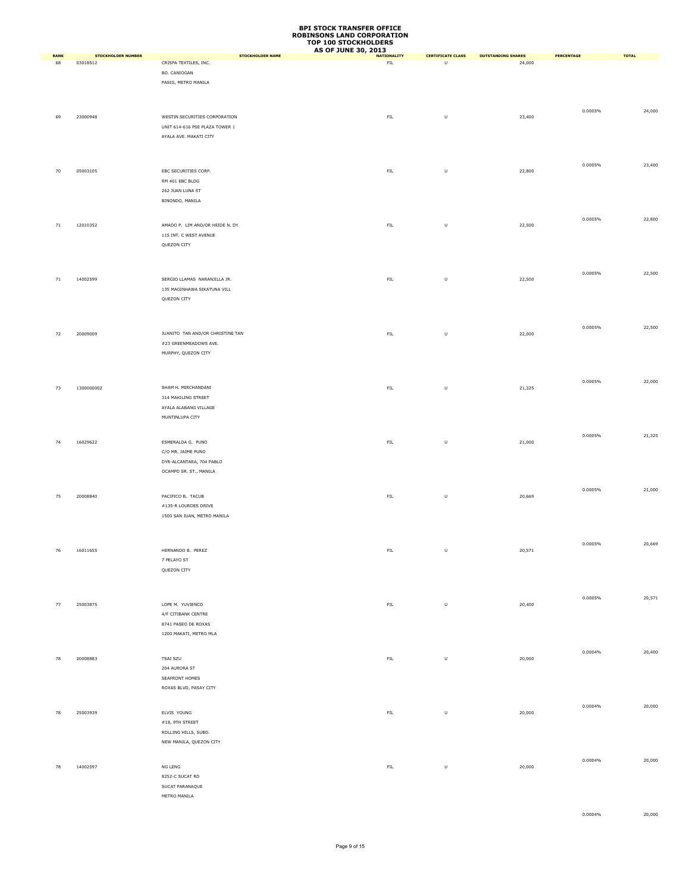|             |                           |                                  | <b>AS OF JUNE 30, 2013</b> |                    |                          |                           |            |              |
|-------------|---------------------------|----------------------------------|----------------------------|--------------------|--------------------------|---------------------------|------------|--------------|
| <b>RANK</b> | <b>STOCKHOLDER NUMBER</b> | <b>STOCKHOLDER NAME</b>          |                            | <b>NATIONALITY</b> | <b>CERTIFICATE CLASS</b> | <b>OUTSTANDING SHARES</b> | PERCENTAGE | <b>TOTAL</b> |
| 68          | 03018512                  | CRISPA TEXTILES, INC.            |                            | ${\sf FIL}$        | $\sf U$                  | 24,000                    |            |              |
|             |                           | BO. CANIOGAN                     |                            |                    |                          |                           |            |              |
|             |                           | PASIG, METRO MANILA              |                            |                    |                          |                           |            |              |
|             |                           |                                  |                            |                    |                          |                           |            |              |
|             |                           |                                  |                            |                    |                          |                           |            |              |
|             |                           |                                  |                            |                    |                          |                           | 0.0005%    | 24,000       |
| 69          | 23000948                  | WESTIN SECURITIES CORPORATION    |                            | ${\sf FIL}$        | $\sf U$                  | 23,400                    |            |              |
|             |                           | UNIT 614-616 PSE PLAZA TOWER 1   |                            |                    |                          |                           |            |              |
|             |                           | AYALA AVE. MAKATI CITY           |                            |                    |                          |                           |            |              |
|             |                           |                                  |                            |                    |                          |                           |            |              |
|             |                           |                                  |                            |                    |                          |                           |            |              |
|             |                           |                                  |                            |                    |                          |                           | 0.0005%    | 23,400       |
| 70          | 05003105                  | EBC SECURITIES CORP.             |                            | FL                 | $\sf U$                  | 22,800                    |            |              |
|             |                           | RM 401 EBC BLDG                  |                            |                    |                          |                           |            |              |
|             |                           | 262 JUAN LUNA ST                 |                            |                    |                          |                           |            |              |
|             |                           | BINONDO, MANILA                  |                            |                    |                          |                           |            |              |
|             |                           |                                  |                            |                    |                          |                           |            |              |
|             |                           |                                  |                            |                    |                          |                           | 0.0005%    | 22,800       |
| $71\,$      | 12010352                  | AMADO P. LIM AND/OR HEIDE N. DY  |                            | FL                 | $\sf U$                  | 22,500                    |            |              |
|             |                           | 115 INT. C WEST AVENUE           |                            |                    |                          |                           |            |              |
|             |                           | QUEZON CITY                      |                            |                    |                          |                           |            |              |
|             |                           |                                  |                            |                    |                          |                           |            |              |
|             |                           |                                  |                            |                    |                          |                           |            |              |
|             |                           |                                  |                            |                    |                          |                           | 0.0005%    | 22,500       |
| $71\,$      | 14002599                  | SERGIO LLAMAS NARANJILLA JR.     |                            | FL                 | $\sf U$                  | 22,500                    |            |              |
|             |                           | 135 MAGINHAWA SIKATUNA VILL      |                            |                    |                          |                           |            |              |
|             |                           | QUEZON CITY                      |                            |                    |                          |                           |            |              |
|             |                           |                                  |                            |                    |                          |                           |            |              |
|             |                           |                                  |                            |                    |                          |                           |            |              |
|             |                           |                                  |                            |                    |                          |                           |            |              |
| 72          | 20009009                  | JUANITO TAN AND/OR CHRISTINE TAN |                            | FL                 | $\sf U$                  | 22,000                    | 0.0005%    | 22,500       |
|             |                           | #23 GREENMEADOWS AVE.            |                            |                    |                          |                           |            |              |
|             |                           |                                  |                            |                    |                          |                           |            |              |
|             |                           | MURPHY, QUEZON CITY              |                            |                    |                          |                           |            |              |
|             |                           |                                  |                            |                    |                          |                           |            |              |
|             |                           |                                  |                            |                    |                          |                           |            |              |
|             |                           |                                  |                            |                    |                          |                           | 0.0005%    | 22,000       |
| 73          | 1300000002                | SHAM H. MIRCHANDANI              |                            | FL                 | $\sf U$                  | 21,325                    |            |              |
|             |                           | 314 MAKILING STREET              |                            |                    |                          |                           |            |              |
|             |                           | AYALA ALABANG VILLAGE            |                            |                    |                          |                           |            |              |
|             |                           | MUNTINLUPA CITY                  |                            |                    |                          |                           |            |              |
|             |                           |                                  |                            |                    |                          |                           |            |              |
|             |                           |                                  |                            |                    |                          |                           | 0.0005%    | 21,325       |
| 74          | 16029622                  | ESMERALDA G. PUNO                |                            | ${\sf FIL}$        | $\sf U$                  | 21,000                    |            |              |
|             |                           | C/O MR. JAIME PUNO               |                            |                    |                          |                           |            |              |
|             |                           | DYR-ALCANTARA, 704 PABLO         |                            |                    |                          |                           |            |              |
|             |                           | OCAMPO SR. ST., MANILA           |                            |                    |                          |                           |            |              |
|             |                           |                                  |                            |                    |                          |                           |            |              |
|             |                           |                                  |                            |                    |                          |                           | 0.0005%    | 21,000       |
| 75          | 20008840                  | PACIFICO B. TACUB                |                            | ${\sf FIL}$        | $\sf U$                  | 20,669                    |            |              |
|             |                           | #135-R LOURDES DRIVE             |                            |                    |                          |                           |            |              |
|             |                           | 1500 SAN JUAN, METRO MANILA      |                            |                    |                          |                           |            |              |
|             |                           |                                  |                            |                    |                          |                           |            |              |
|             |                           |                                  |                            |                    |                          |                           |            |              |
|             |                           |                                  |                            |                    |                          |                           | 0.0005%    | 20,669       |
|             |                           | HERNANDO B. PEREZ                |                            | ${\sf FIL}$        | $\mathbf{U}$             | 20,571                    |            |              |
|             |                           | 7 PELAYO ST                      |                            |                    |                          |                           |            |              |
|             |                           | QUEZON CITY                      |                            |                    |                          |                           |            |              |
|             |                           |                                  |                            |                    |                          |                           |            |              |
|             |                           |                                  |                            |                    |                          |                           |            |              |
|             |                           |                                  |                            |                    |                          |                           |            |              |
| 77          | 25003875                  | LOPE M. YUVIENCO                 |                            | ${\sf FIL}$        | $\sf U$                  | 20,400                    | 0.0005%    | 20,571       |
|             |                           | 4/F CITIBANK CENTRE              |                            |                    |                          |                           |            |              |
|             |                           |                                  |                            |                    |                          |                           |            |              |
|             |                           | 8741 PASEO DE ROXAS              |                            |                    |                          |                           |            |              |
|             |                           | 1200 MAKATI, METRO MLA           |                            |                    |                          |                           |            |              |
|             |                           |                                  |                            |                    |                          |                           |            |              |
| 78          | 20008883                  | TSAI SZU                         |                            | ${\sf FIL}$        | $\sf U$                  | 20,000                    | 0.0004%    | 20,400       |
|             |                           |                                  |                            |                    |                          |                           |            |              |
|             |                           | 204 AURORA ST                    |                            |                    |                          |                           |            |              |
|             |                           | SEAFRONT HOMES                   |                            |                    |                          |                           |            |              |
|             |                           | ROXAS BLVD, PASAY CITY           |                            |                    |                          |                           |            |              |
|             |                           |                                  |                            |                    |                          |                           |            |              |
|             |                           |                                  |                            |                    |                          |                           | 0.0004%    | 20,000       |
| 78          | 25003939                  | ELVIS YOUNG                      |                            | ${\sf FIL}$        | $\sf U$                  | 20,000                    |            |              |
|             |                           | $\#18,$ 9TH STREET               |                            |                    |                          |                           |            |              |
|             |                           | ROLLING HILLS, SUBD.             |                            |                    |                          |                           |            |              |
|             |                           | NEW MANILA, QUEZON CITY          |                            |                    |                          |                           |            |              |
|             |                           |                                  |                            |                    |                          |                           |            |              |
|             |                           |                                  |                            |                    |                          |                           | 0.0004%    | 20,000       |
| 78          | 14002597                  | NG LENG                          |                            | ${\sf FIL}$        | $\sf U$                  | 20,000                    |            |              |
|             |                           | 8252-C SUCAT RD                  |                            |                    |                          |                           |            |              |
|             |                           | SUCAT PARANAQUE                  |                            |                    |                          |                           |            |              |
|             |                           | METRO MANILA                     |                            |                    |                          |                           |            |              |
|             |                           |                                  |                            |                    |                          |                           |            |              |

0.0004% 20,000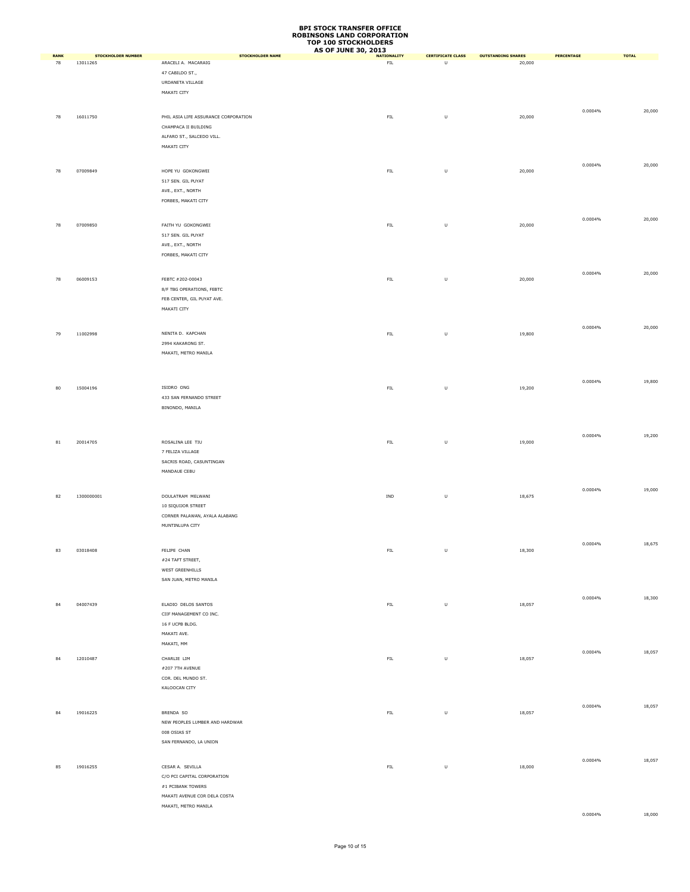|            |                                       |                                                | <b>AS OF JUNE 30, 2013</b>        |                                     |                                     |                   |              |
|------------|---------------------------------------|------------------------------------------------|-----------------------------------|-------------------------------------|-------------------------------------|-------------------|--------------|
| RANK<br>78 | <b>STOCKHOLDER NUMBER</b><br>13011265 | <b>STOCKHOLDER NAME</b><br>ARACELI A. MACARAIG | <b>NATIONALITY</b><br>${\sf FIL}$ | <b>CERTIFICATE CLASS</b><br>$\sf U$ | <b>OUTSTANDING SHARES</b><br>20,000 | <b>PERCENTAGE</b> | <b>TOTAL</b> |
|            |                                       | 47 CABILDO ST.,                                |                                   |                                     |                                     |                   |              |
|            |                                       | URDANETA VILLAGE                               |                                   |                                     |                                     |                   |              |
|            |                                       |                                                |                                   |                                     |                                     |                   |              |
|            |                                       | MAKATI CITY                                    |                                   |                                     |                                     |                   |              |
|            |                                       |                                                |                                   |                                     |                                     |                   |              |
| 78         | 16011750                              | PHIL ASIA LIFE ASSURANCE CORPORATION           | ${\sf FIL}$                       | $\sf U$                             | 20,000                              | 0.0004%           | 20,000       |
|            |                                       | CHAMPACA II BUILDING                           |                                   |                                     |                                     |                   |              |
|            |                                       | ALFARO ST., SALCEDO VILL.                      |                                   |                                     |                                     |                   |              |
|            |                                       |                                                |                                   |                                     |                                     |                   |              |
|            |                                       | MAKATI CITY                                    |                                   |                                     |                                     |                   |              |
|            |                                       |                                                |                                   |                                     |                                     |                   |              |
| 78         | 07009849                              | HOPE YU GOKONGWEI                              | ${\sf FIL}$                       | $\sf U$                             | 20,000                              | 0.0004%           | 20,000       |
|            |                                       | 517 SEN. GIL PUYAT                             |                                   |                                     |                                     |                   |              |
|            |                                       | AVE., EXT., NORTH                              |                                   |                                     |                                     |                   |              |
|            |                                       | FORBES, MAKATI CITY                            |                                   |                                     |                                     |                   |              |
|            |                                       |                                                |                                   |                                     |                                     |                   |              |
|            |                                       |                                                |                                   |                                     |                                     | 0.0004%           | 20,000       |
| 78         | 07009850                              | FAITH YU GOKONGWEI                             | ${\sf FIL}$                       | $\sf U$                             | 20,000                              |                   |              |
|            |                                       | 517 SEN. GIL PUYAT                             |                                   |                                     |                                     |                   |              |
|            |                                       | AVE., EXT., NORTH                              |                                   |                                     |                                     |                   |              |
|            |                                       | FORBES, MAKATI CITY                            |                                   |                                     |                                     |                   |              |
|            |                                       |                                                |                                   |                                     |                                     |                   |              |
|            |                                       |                                                |                                   |                                     |                                     | 0.0004%           |              |
| 78         | 06009153                              | FEBTC #202-00043                               | ${\sf FIL}$                       | $\sf U$                             | 20,000                              |                   | 20,000       |
|            |                                       | 8/F TBG OPERATIONS, FEBTC                      |                                   |                                     |                                     |                   |              |
|            |                                       | FEB CENTER, GIL PUYAT AVE.                     |                                   |                                     |                                     |                   |              |
|            |                                       | MAKATI CITY                                    |                                   |                                     |                                     |                   |              |
|            |                                       |                                                |                                   |                                     |                                     |                   |              |
|            |                                       |                                                |                                   |                                     |                                     | 0.0004%           |              |
| 79         | 11002998                              | NENITA D. KAPCHAN                              | ${\sf FIL}$                       | $\sf U$                             | 19,800                              |                   | 20,000       |
|            |                                       | 2994 KAKARONG ST.                              |                                   |                                     |                                     |                   |              |
|            |                                       | MAKATI, METRO MANILA                           |                                   |                                     |                                     |                   |              |
|            |                                       |                                                |                                   |                                     |                                     |                   |              |
|            |                                       |                                                |                                   |                                     |                                     |                   |              |
|            |                                       |                                                |                                   |                                     |                                     | 0.0004%           | 19,800       |
| 80         | 15004196                              | ISIDRO ONG                                     | ${\sf FIL}$                       | $\sf U$                             | 19,200                              |                   |              |
|            |                                       | 433 SAN FERNANDO STREET                        |                                   |                                     |                                     |                   |              |
|            |                                       | BINONDO, MANILA                                |                                   |                                     |                                     |                   |              |
|            |                                       |                                                |                                   |                                     |                                     |                   |              |
|            |                                       |                                                |                                   |                                     |                                     |                   |              |
|            |                                       |                                                |                                   |                                     |                                     | 0.0004%           | 19,200       |
| 81         | 20014705                              | ROSALINA LEE TIU                               | ${\sf FIL}$                       | $\cup$                              | 19,000                              |                   |              |
|            |                                       | 7 FELIZA VILLAGE                               |                                   |                                     |                                     |                   |              |
|            |                                       | SACRIS ROAD, CASUNTINGAN                       |                                   |                                     |                                     |                   |              |
|            |                                       | MANDAUE CEBU                                   |                                   |                                     |                                     |                   |              |
|            |                                       |                                                |                                   |                                     |                                     |                   |              |
|            |                                       |                                                |                                   |                                     |                                     | 0.0004%           | 19,000       |
| 82         | 1300000001                            | DOULATRAM MELWANI                              | IND                               | $\sf U$                             | 18,675                              |                   |              |
|            |                                       | 10 SIQUIJOR STREET                             |                                   |                                     |                                     |                   |              |
|            |                                       | CORNER PALAWAN, AYALA ALABANG                  |                                   |                                     |                                     |                   |              |
|            |                                       | MUNTINLUPA CITY                                |                                   |                                     |                                     |                   |              |
|            |                                       |                                                |                                   |                                     |                                     |                   |              |
|            |                                       |                                                |                                   |                                     |                                     | 0.0004%           | 18,675       |
| 83         | 03018408                              | FELIPE CHAN                                    | ${\sf FIL}$                       | $\sf U$                             | 18,300                              |                   |              |
|            |                                       | #24 TAFT STREET,                               |                                   |                                     |                                     |                   |              |
|            |                                       | WEST GREENHILLS                                |                                   |                                     |                                     |                   |              |
|            |                                       | SAN JUAN, METRO MANILA                         |                                   |                                     |                                     |                   |              |
|            |                                       |                                                |                                   |                                     |                                     |                   |              |
|            |                                       |                                                |                                   |                                     |                                     | 0.0004%           | 18,300       |
| 84         | 04007439                              | ELADIO DELOS SANTOS                            | ${\sf FIL}$                       | $\sf U$                             | 18,057                              |                   |              |
|            |                                       | CIIF MANAGEMENT CO INC.                        |                                   |                                     |                                     |                   |              |
|            |                                       | 16 F UCPB BLDG.                                |                                   |                                     |                                     |                   |              |
|            |                                       | MAKATI AVE.                                    |                                   |                                     |                                     |                   |              |
|            |                                       | MAKATI, MM                                     |                                   |                                     |                                     |                   |              |
|            |                                       |                                                |                                   |                                     |                                     | 0.0004%           | 18,057       |
| 84         | 12010487                              | CHARLIE LIM                                    | ${\sf FIL}$                       | $\sf U$                             | 18,057                              |                   |              |
|            |                                       | #207 7TH AVENUE                                |                                   |                                     |                                     |                   |              |
|            |                                       | COR. DEL MUNDO ST.                             |                                   |                                     |                                     |                   |              |
|            |                                       | KALOOCAN CITY                                  |                                   |                                     |                                     |                   |              |
|            |                                       |                                                |                                   |                                     |                                     |                   |              |
|            |                                       |                                                |                                   |                                     |                                     | 0.0004%           | 18,057       |
| 84         | 19016225                              | BRENDA SO                                      | ${\sf FIL}$                       | $\sf U$                             | 18,057                              |                   |              |
|            |                                       | NEW PEOPLES LUMBER AND HARDWAR                 |                                   |                                     |                                     |                   |              |
|            |                                       | 008 OSIAS ST                                   |                                   |                                     |                                     |                   |              |
|            |                                       | SAN FERNANDO, LA UNION                         |                                   |                                     |                                     |                   |              |
|            |                                       |                                                |                                   |                                     |                                     |                   |              |
|            |                                       |                                                |                                   |                                     |                                     | 0.0004%           | 18,057       |
| 85         | 19016255                              | CESAR A. SEVILLA                               | ${\sf FIL}$                       | $\sf U$                             | 18,000                              |                   |              |
|            |                                       | C/O PCI CAPITAL CORPORATION                    |                                   |                                     |                                     |                   |              |
|            |                                       | #1 PCIBANK TOWERS                              |                                   |                                     |                                     |                   |              |
|            |                                       | MAKATI AVENUE COR DELA COSTA                   |                                   |                                     |                                     |                   |              |
|            |                                       | MAKATI, METRO MANILA                           |                                   |                                     |                                     |                   |              |
|            |                                       |                                                |                                   |                                     |                                     | 0.0004%           | 18,000       |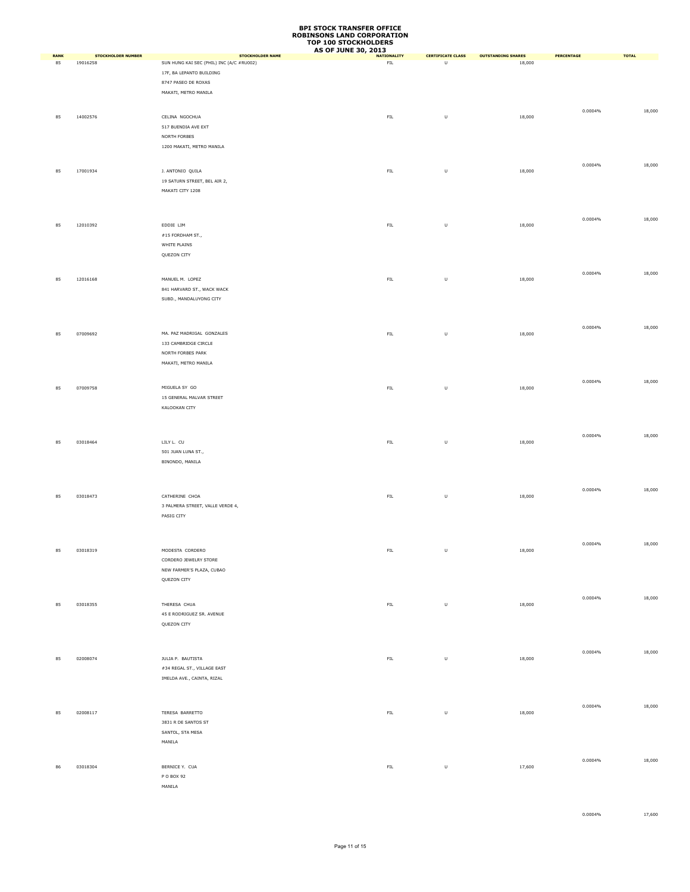|                   |                                |                                                                                                                                                | <b>AS OF JUNE 30, 2013</b>        |                               |                                     |            |              |
|-------------------|--------------------------------|------------------------------------------------------------------------------------------------------------------------------------------------|-----------------------------------|-------------------------------|-------------------------------------|------------|--------------|
| <b>RANK</b><br>85 | STOCKHOLDER NUMBER<br>19016258 | <b>STOCKHOLDER NAME</b><br>SUN HUNG KAI SEC (PHIL) INC (A/C #RU002)<br>17F, BA LEPANTO BUILDING<br>8747 PASEO DE ROXAS<br>MAKATI, METRO MANILA | <b>NATIONALITY</b><br>${\sf FIL}$ | <b>CERTIFICATE CLASS</b><br>U | <b>OUTSTANDING SHARES</b><br>18,000 | PERCENTAGE | <b>TOTAL</b> |
| 85                | 14002576                       | CELINA NGOCHUA<br>517 BUENDIA AVE EXT<br>NORTH FORBES<br>1200 MAKATI, METRO MANILA                                                             | ${\sf FIL}$                       | $\sf U$                       | 18,000                              | 0.0004%    | 18,000       |
| 85                | 17001934                       | J. ANTONIO QUILA<br>19 SATURN STREET, BEL AIR 2,<br>MAKATI CITY 1208                                                                           | ${\sf FIL}$                       | $\sf U$                       | 18,000                              | 0.0004%    | 18,000       |
| 85                | 12010392                       | EDDIE LIM<br>#15 FORDHAM ST.,<br>WHITE PLAINS<br>QUEZON CITY                                                                                   | ${\sf FIL}$                       | $\sf U$                       | 18,000                              | 0.0004%    | 18,000       |
| 85                | 12016168                       | MANUEL M. LOPEZ<br>841 HARVARD ST., WACK WACK<br>SUBD., MANDALUYONG CITY                                                                       | ${\sf FIL}$                       | $\sf U$                       | 18,000                              | 0.0004%    | 18,000       |
| 85                | 07009692                       | MA. PAZ MADRIGAL GONZALES<br>133 CAMBRIDGE CIRCLE<br>NORTH FORBES PARK<br>MAKATI, METRO MANILA                                                 | ${\sf FIL}$                       | $\sf U$                       | 18,000                              | 0.0004%    | 18,000       |
| 85                | 07009758                       | MIGUELA SY GO<br>15 GENERAL MALVAR STREET<br>KALOOKAN CITY                                                                                     | ${\sf FIL}$                       | $\sf U$                       | 18,000                              | 0.0004%    | 18,000       |
| 85                | 03018464                       | LILY L. CU<br>501 JUAN LUNA ST.,<br>BINONDO, MANILA                                                                                            | ${\sf FIL}$                       | $\sf U$                       | 18,000                              | 0.0004%    | 18,000       |
| 85                | 03018473                       | CATHERINE CHOA<br>3 PALMERA STREET, VALLE VERDE 4,<br>PASIG CITY                                                                               | FL                                | $\sf U$                       | 18,000                              | 0.0004%    | 18,000       |
| 85                | 03018319                       | MODESTA CORDERO<br>CORDERO JEWELRY STORE<br>NEW FARMER'S PLAZA, CUBAO<br>QUEZON CITY                                                           | ${\sf FIL}$                       | $\sf U$                       | 18,000                              | 0.0004%    | 18,000       |
| 85                | 03018355                       | THERESA CHUA<br>45 E RODRIGUEZ SR. AVENUE<br>QUEZON CITY                                                                                       | FL                                | $\cup$                        | 18,000                              | 0.0004%    | 18,000       |
| 85                | 02008074                       | JULIA P. BAUTISTA<br>#34 REGAL ST., VILLAGE EAST<br>IMELDA AVE., CAINTA, RIZAL                                                                 | FL                                | $\cup$                        | 18,000                              | 0.0004%    | 18,000       |
| 85                | 02008117                       | TERESA BARRETTO<br>3831 R DE SANTOS ST<br>SANTOL, STA MESA                                                                                     | ${\sf FIL}$                       | $\sf U$                       | 18,000                              | 0.0004%    | 18,000       |
| 86                | 03018304                       | MANILA<br>BERNICE Y. CUA<br>P O BOX 92<br>MANILA                                                                                               | ${\sf FIL}$                       | $\sf U$                       | 17,600                              | 0.0004%    | 18,000       |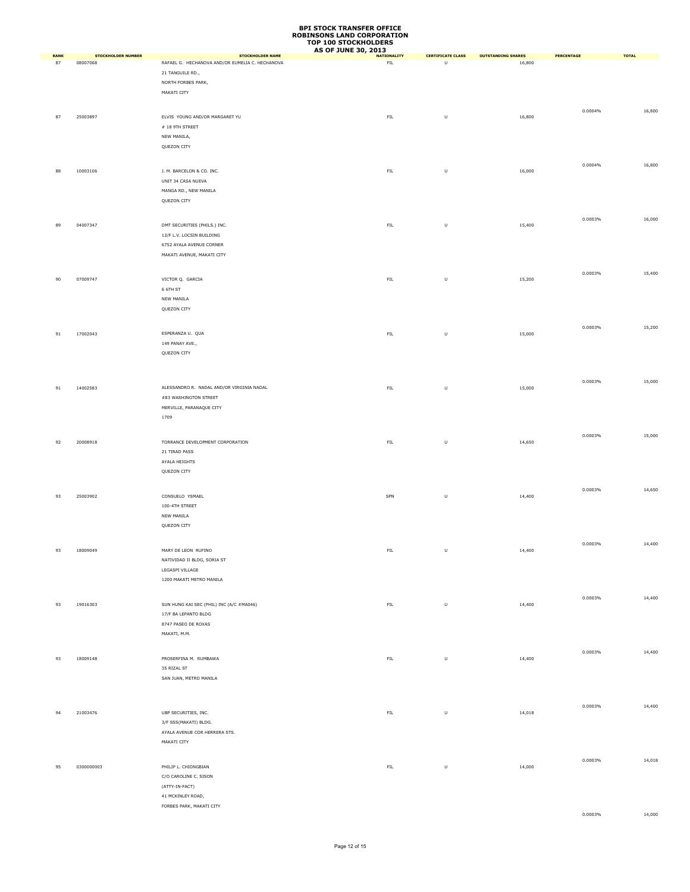|                   |                                |                                                                            | <b>AS OF JUNE 30, 2013</b>        |                               |                                     |            |              |
|-------------------|--------------------------------|----------------------------------------------------------------------------|-----------------------------------|-------------------------------|-------------------------------------|------------|--------------|
| <b>RANK</b><br>87 | STOCKHOLDER NUMBER<br>08007068 | <b>STOCKHOLDER NAME</b><br>RAFAEL G. HECHANOVA AND/OR EUMELIA C. HECHANOVA | <b>NATIONALITY</b><br>${\sf FIL}$ | <b>CERTIFICATE CLASS</b><br>U | <b>OUTSTANDING SHARES</b><br>16,800 | PERCENTAGE | <b>TOTAL</b> |
|                   |                                |                                                                            |                                   |                               |                                     |            |              |
|                   |                                | 21 TANGUILE RD.,                                                           |                                   |                               |                                     |            |              |
|                   |                                | NORTH FORBES PARK,                                                         |                                   |                               |                                     |            |              |
|                   |                                | MAKATI CITY                                                                |                                   |                               |                                     |            |              |
|                   |                                |                                                                            |                                   |                               |                                     |            |              |
|                   |                                |                                                                            |                                   |                               |                                     | 0.0004%    | 16,800       |
| 87                | 25003897                       | ELVIS YOUNG AND/OR MARGARET YU                                             | ${\sf FIL}$                       | $\sf U$                       | 16,800                              |            |              |
|                   |                                | $\#$ 18 9TH STREET                                                         |                                   |                               |                                     |            |              |
|                   |                                | NEW MANILA,                                                                |                                   |                               |                                     |            |              |
|                   |                                | QUEZON CITY                                                                |                                   |                               |                                     |            |              |
|                   |                                |                                                                            |                                   |                               |                                     |            |              |
|                   |                                |                                                                            |                                   |                               |                                     | 0.0004%    | 16,800       |
| 88                | 10003106                       | J. M. BARCELON & CO. INC.                                                  | FL                                | $\sf U$                       | 16,000                              |            |              |
|                   |                                | UNIT 34 CASA NUEVA                                                         |                                   |                               |                                     |            |              |
|                   |                                | MANGA RD., NEW MANILA                                                      |                                   |                               |                                     |            |              |
|                   |                                | QUEZON CITY                                                                |                                   |                               |                                     |            |              |
|                   |                                |                                                                            |                                   |                               |                                     |            |              |
|                   |                                |                                                                            |                                   |                               |                                     | 0.0003%    | 16,000       |
| 89                | 04007347                       | DMT SECURITIES (PHILS.) INC.                                               | ${\sf FIL}$                       | $\sf U$                       | 15,400                              |            |              |
|                   |                                | 12/F L.V. LOCSIN BUILDING                                                  |                                   |                               |                                     |            |              |
|                   |                                | 6752 AYALA AVENUE CORNER                                                   |                                   |                               |                                     |            |              |
|                   |                                | MAKATI AVENUE, MAKATI CITY                                                 |                                   |                               |                                     |            |              |
|                   |                                |                                                                            |                                   |                               |                                     |            |              |
|                   |                                |                                                                            |                                   |                               |                                     |            |              |
| 90                | 07009747                       | VICTOR Q. GARCIA                                                           | FL                                | $\sf U$                       | 15,200                              | 0.0003%    | 15,400       |
|                   |                                |                                                                            |                                   |                               |                                     |            |              |
|                   |                                | 6 6TH ST                                                                   |                                   |                               |                                     |            |              |
|                   |                                | NEW MANILA                                                                 |                                   |                               |                                     |            |              |
|                   |                                | QUEZON CITY                                                                |                                   |                               |                                     |            |              |
|                   |                                |                                                                            |                                   |                               |                                     |            |              |
|                   |                                |                                                                            |                                   |                               |                                     | 0.0003%    | 15,200       |
| 91                | 17002043                       | ESPERANZA U. QUA                                                           | ${\sf FIL}$                       | $\sf U$                       | 15,000                              |            |              |
|                   |                                | 149 PANAY AVE.,                                                            |                                   |                               |                                     |            |              |
|                   |                                | QUEZON CITY                                                                |                                   |                               |                                     |            |              |
|                   |                                |                                                                            |                                   |                               |                                     |            |              |
|                   |                                |                                                                            |                                   |                               |                                     |            |              |
|                   |                                |                                                                            |                                   |                               |                                     | 0.0003%    | 15,000       |
| 91                | 14002583                       | ALESSANDRO R. NADAL AND/OR VIRGINIA NADAL                                  | ${\sf FIL}$                       | $\sf U$                       | 15,000                              |            |              |
|                   |                                | #83 WASHINGTON STREET                                                      |                                   |                               |                                     |            |              |
|                   |                                | MERVILLE, PARANAQUE CITY                                                   |                                   |                               |                                     |            |              |
|                   |                                | 1709                                                                       |                                   |                               |                                     |            |              |
|                   |                                |                                                                            |                                   |                               |                                     |            |              |
|                   |                                |                                                                            |                                   |                               |                                     | 0.0003%    | 15,000       |
| 92                | 20008918                       | TORRANCE DEVELOPMENT CORPORATION                                           | FL                                | $\sf U$                       | 14,650                              |            |              |
|                   |                                | 21 TIRAD PASS                                                              |                                   |                               |                                     |            |              |
|                   |                                |                                                                            |                                   |                               |                                     |            |              |
|                   |                                | AYALA HEIGHTS                                                              |                                   |                               |                                     |            |              |
|                   |                                | QUEZON CITY                                                                |                                   |                               |                                     |            |              |
|                   |                                |                                                                            |                                   |                               |                                     |            |              |
| 93                | 25003902                       |                                                                            | SPN                               | $\sf U$                       | 14,400                              | 0.0003%    | 14,650       |
|                   |                                | CONSUELO YSMAEL                                                            |                                   |                               |                                     |            |              |
|                   |                                | 100-4TH STREET                                                             |                                   |                               |                                     |            |              |
|                   |                                | NEW MANILA                                                                 |                                   |                               |                                     |            |              |
|                   |                                | QUEZON CITY                                                                |                                   |                               |                                     |            |              |
|                   |                                |                                                                            |                                   |                               |                                     |            |              |
|                   |                                |                                                                            |                                   |                               |                                     | 0.0003%    | 14,400       |
|                   | 93 18009049                    | MARY DE LEON RUFINO                                                        | ${\sf FIL}$                       | $\cup$                        | 14,400                              |            |              |
|                   |                                | NATIVIDAD II BLDG, SORIA ST                                                |                                   |                               |                                     |            |              |
|                   |                                | LEGASPI VILLAGE                                                            |                                   |                               |                                     |            |              |
|                   |                                | 1200 MAKATI METRO MANILA                                                   |                                   |                               |                                     |            |              |
|                   |                                |                                                                            |                                   |                               |                                     |            |              |
|                   |                                |                                                                            |                                   |                               |                                     | 0.0003%    | 14,400       |
| 93                | 19016303                       | SUN HUNG KAI SEC (PHIL) INC (A/C #MA046)                                   | FL                                | $\sf U$                       | 14,400                              |            |              |
|                   |                                | 17/F BA LEPANTO BLDG                                                       |                                   |                               |                                     |            |              |
|                   |                                | 8747 PASEO DE ROXAS                                                        |                                   |                               |                                     |            |              |
|                   |                                | MAKATI, M.M.                                                               |                                   |                               |                                     |            |              |
|                   |                                |                                                                            |                                   |                               |                                     |            |              |
|                   |                                |                                                                            |                                   |                               |                                     | 0.0003%    | 14,400       |
| 93                | 18009148                       | PROSERFINA M. RUMBAWA                                                      | FL                                | $\sf U$                       | 14,400                              |            |              |
|                   |                                | 35 RIZAL ST                                                                |                                   |                               |                                     |            |              |
|                   |                                | SAN JUAN, METRO MANILA                                                     |                                   |                               |                                     |            |              |
|                   |                                |                                                                            |                                   |                               |                                     |            |              |
|                   |                                |                                                                            |                                   |                               |                                     |            |              |
|                   |                                |                                                                            |                                   |                               |                                     |            |              |
| 94                | 21003476                       | UBP SECURITIES, INC.                                                       | FL                                | $\sf U$                       | 14,018                              | 0.0003%    | 14,400       |
|                   |                                |                                                                            |                                   |                               |                                     |            |              |
|                   |                                | 3/F SSS(MAKATI) BLDG.                                                      |                                   |                               |                                     |            |              |
|                   |                                | AYALA AVENUE COR HERRERA STS.                                              |                                   |                               |                                     |            |              |
|                   |                                | MAKATI CITY                                                                |                                   |                               |                                     |            |              |
|                   |                                |                                                                            |                                   |                               |                                     |            |              |
|                   |                                |                                                                            |                                   |                               |                                     | 0.0003%    | 14,018       |
| 95                | 0300000003                     | PHILIP L. CHIONGBIAN                                                       | FL                                | $\sf U$                       | 14,000                              |            |              |
|                   |                                | C/O CAROLINE C. SISON                                                      |                                   |                               |                                     |            |              |
|                   |                                | (ATTY-IN-FACT)                                                             |                                   |                               |                                     |            |              |
|                   |                                | 41 MCKINLEY ROAD,                                                          |                                   |                               |                                     |            |              |
|                   |                                | FORBES PARK, MAKATI CITY                                                   |                                   |                               |                                     |            |              |
|                   |                                |                                                                            |                                   |                               |                                     | 0.0003%    | 14,000       |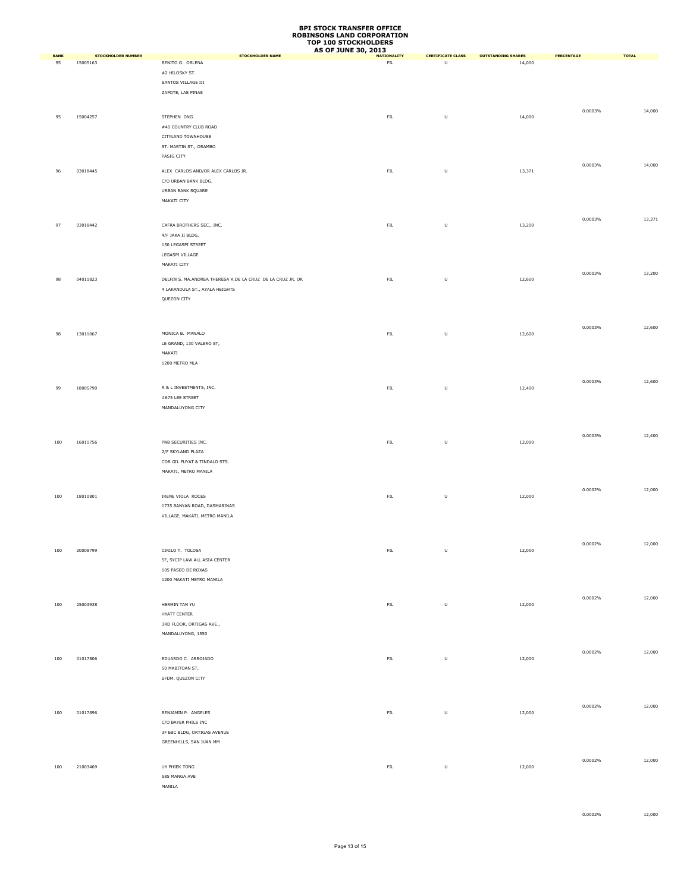|                   |                                       |                                                                                                                                         | <b>AS OF JUNE 30, 2013</b>        |                               |                                     |                   |              |
|-------------------|---------------------------------------|-----------------------------------------------------------------------------------------------------------------------------------------|-----------------------------------|-------------------------------|-------------------------------------|-------------------|--------------|
| <b>RANK</b><br>95 | <b>STOCKHOLDER NUMBER</b><br>15005163 | <b>STOCKHOLDER NAME</b><br>BENITO G. OBLENA<br>#2 HILOSKY ST.                                                                           | <b>NATIONALITY</b><br>${\sf FIL}$ | <b>CERTIFICATE CLASS</b><br>U | <b>OUTSTANDING SHARES</b><br>14,000 | <b>PERCENTAGE</b> | <b>TOTAL</b> |
| 95                | 15004257                              | SANTOS VILLAGE III<br>ZAPOTE, LAS PINAS<br>STEPHEN ONG<br>#40 COUNTRY CLUB ROAD                                                         | ${\sf FIL}$                       | $\sf U$                       | 14,000                              | 0.0003%           | 14,000       |
| 96                | 03018445                              | CITYLAND TOWNHOUSE<br>ST. MARTIN ST., ORAMBO<br>PASIG CITY<br>ALEX CARLOS AND/OR ALEX CARLOS JR.<br>C/O URBAN BANK BLDG.                | FL                                | $\sf U$                       | 13,371                              | 0.0003%           | 14,000       |
| 97                | 03018442                              | URBAN BANK SQUARE<br>MAKATI CITY<br>CAFRA BROTHERS SEC., INC.                                                                           | FL                                | $\sf U$                       | 13,200                              | 0.0003%           | 13,371       |
| 98                | 04011823                              | 4/F JAKA II BLDG.<br>150 LEGASPI STREET<br>LEGASPI VILLAGE<br>MAKATI CITY<br>DELFIN S. MA.ANDREA THERESA K.DE LA CRUZ DE LA CRUZ JR. OR | FL                                | $\sf U$                       | 12,600                              | 0.0003%           | 13,200       |
|                   |                                       | 4 LAKANDULA ST., AYALA HEIGHTS<br>QUEZON CITY                                                                                           |                                   |                               |                                     | 0.0003%           | 12,600       |
| 98                | 13011067                              | MONICA B. MANALO<br>LE GRAND, 130 VALERO ST,<br>MAKATI<br>1200 METRO MLA                                                                | FL                                | $\sf U$                       | 12,600                              |                   |              |
| 99                | 18005790                              | R & L INVESTMENTS, INC.<br>#675 LEE STREET<br>MANDALUYONG CITY                                                                          | ${\sf FIL}$                       | $\sf U$                       | 12,400                              | 0.0003%           | 12,600       |
| 100               | 16011756                              | PNB SECURITIES INC.<br>2/F SKYLAND PLAZA<br>COR GIL PUYAT & TINDALO STS.<br>MAKATI, METRO MANILA                                        | FL                                | $\sf U$                       | 12,000                              | 0.0003%           | 12,400       |
| 100               | 18010801                              | IRENE VIOLA ROCES<br>1735 BANYAN ROAD, DASMARINAS<br>VILLAGE, MAKATI, METRO MANILA                                                      | FL                                | $\sf U$                       | 12,000                              | 0.0002%           | 12,000       |
|                   | 100 20008799                          | CIRILO T. TOLOSA<br>5F, SYCIP LAW ALL ASIA CENTER<br>105 PASEO DE ROXAS                                                                 | ${\sf FIL}$                       | $\mathbf{U}$                  | 12,000                              | 0.0002%           | 12,000       |
| 100               | 25003938                              | 1200 MAKATI METRO MANILA<br>HERMIN TAN YU<br>HYATT CENTER<br>3RD FLOOR, ORTIGAS AVE.,                                                   | FL                                | $\sf U$                       | 12,000                              | 0.0002%           | 12,000       |
| 100               | 01017806                              | MANDALUYONG, 1550<br>EDUARDO C. ARROJADO<br>50 MABITOAN ST,<br>SFDM, QUEZON CITY                                                        | FL                                | $\sf U$                       | 12,000                              | 0.0002%           | 12,000       |
| 100               | 01017896                              | BENJAMIN P. ANGELES<br>C/O BAYER PHILS INC                                                                                              | FL                                | $\sf U$                       | 12,000                              | 0.0002%           | 12,000       |
| 100               | 21003469                              | 3F EBC BLDG, ORTIGAS AVENUE<br>GREENHILLS, SAN JUAN MM<br>UY PHIEK TONG<br>585 MANGA AVE<br>MANILA                                      | ${\sf FIL}$                       | $\sf U$                       | 12,000                              | 0.0002%           | 12,000       |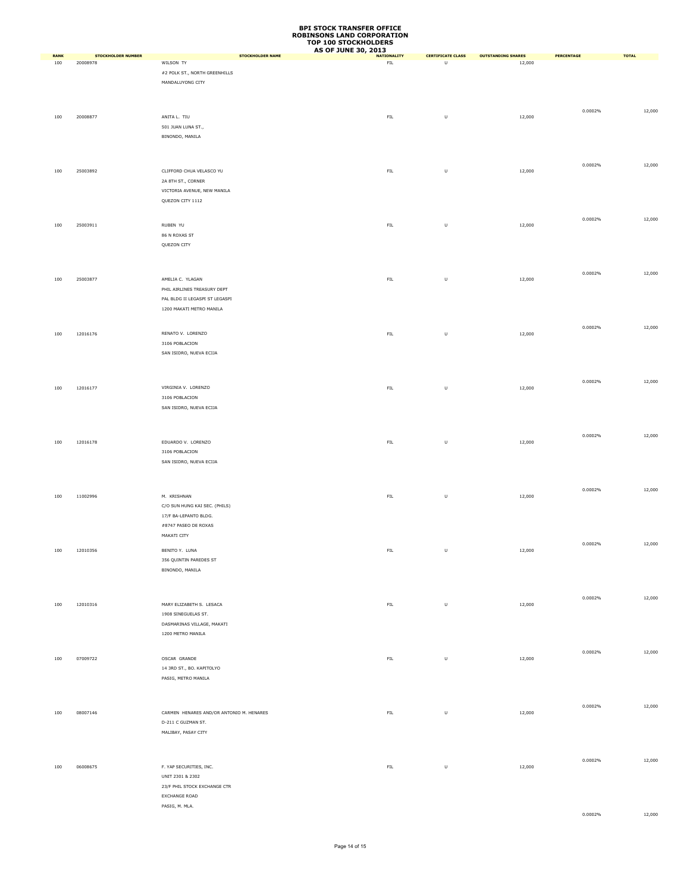|                    |                                       |                                                                                                                |                         | <b>AS OF JUNE 30, 2013</b> |                                   |                                    |                                     |            |              |
|--------------------|---------------------------------------|----------------------------------------------------------------------------------------------------------------|-------------------------|----------------------------|-----------------------------------|------------------------------------|-------------------------------------|------------|--------------|
| <b>RANK</b><br>100 | <b>STOCKHOLDER NUMBER</b><br>20008978 | WILSON TY<br>#2 POLK ST., NORTH GREENHILLS<br>MANDALUYONG CITY                                                 | <b>STOCKHOLDER NAME</b> |                            | <b>NATIONALITY</b><br>${\sf FIL}$ | <b>CERTIFICATE CLASS</b><br>$\cup$ | <b>OUTSTANDING SHARES</b><br>12,000 | PERCENTAGE | <b>TOTAL</b> |
| 100                | 20008877                              | ANITA L. TIU<br>501 JUAN LUNA ST.,<br>BINONDO, MANILA                                                          |                         |                            | ${\sf FIL}$                       | $\sf U$                            | 12,000                              | 0.0002%    | 12,000       |
| 100                | 25003892                              | CLIFFORD CHUA VELASCO YU<br>2A 8TH ST., CORNER<br>VICTORIA AVENUE, NEW MANILA<br>QUEZON CITY 1112              |                         |                            | ${\sf FIL}$                       | $\sf U$                            | 12,000                              | 0.0002%    | 12,000       |
| 100                | 25003911                              | RUBEN YU<br>86 N ROXAS ST<br>QUEZON CITY                                                                       |                         |                            | ${\sf FIL}$                       | $\sf U$                            | 12,000                              | 0.0002%    | 12,000       |
| 100                | 25003877                              | AMELIA C. YLAGAN<br>PHIL AIRLINES TREASURY DEPT<br>PAL BLDG II LEGASPI ST LEGASPI<br>1200 MAKATI METRO MANILA  |                         |                            | ${\sf FIL}$                       | $\sf U$                            | 12,000                              | 0.0002%    | 12,000       |
| 100                | 12016176                              | RENATO V. LORENZO<br>3106 POBLACION<br>SAN ISIDRO, NUEVA ECIJA                                                 |                         |                            | ${\sf FIL}$                       | $\sf U$                            | 12,000                              | 0.0002%    | 12,000       |
| 100                | 12016177                              | VIRGINIA V. LORENZO<br>3106 POBLACION<br>SAN ISIDRO, NUEVA ECIJA                                               |                         |                            | ${\sf FIL}$                       | $\sf U$                            | 12,000                              | 0.0002%    | 12,000       |
| 100                | 12016178                              | EDUARDO V. LORENZO<br>3106 POBLACION<br>SAN ISIDRO, NUEVA ECIJA                                                |                         |                            | ${\sf FIL}$                       | $\sf U$                            | 12,000                              | 0.0002%    | 12,000       |
| 100                | 11002996                              | M. KRISHNAN<br>C/O SUN HUNG KAI SEC. (PHILS)<br>17/F BA-LEPANTO BLDG.<br>#8747 PASEO DE ROXAS<br>MAKATI CITY   |                         |                            | ${\sf FIL}$                       | U                                  | 12,000                              | 0.0002%    | 12,000       |
|                    | 100 12010356                          | BENITO Y. LUNA<br>356 QUINTIN PAREDES ST<br>BINONDO, MANILA                                                    |                         |                            | FIL                               | U                                  | 12,000                              | 0.0002%    | 12,000       |
| 100                | 12010316                              | MARY ELIZABETH S. LESACA<br>1908 SINEGUELAS ST.<br>DASMARINAS VILLAGE, MAKATI<br>1200 METRO MANILA             |                         |                            | <b>FIL</b>                        | $\sf U$                            | 12,000                              | 0.0002%    | 12,000       |
| 100                | 07009722                              | OSCAR GRANDE<br>14 3RD ST., BO. KAPITOLYO<br>PASIG, METRO MANILA                                               |                         |                            | ${\sf FIL}$                       | $\sf U$                            | 12,000                              | 0.0002%    | 12,000       |
| 100                | 08007146                              | CARMEN HENARES AND/OR ANTONIO M. HENARES<br>D-211 C GUZMAN ST.<br>MALIBAY, PASAY CITY                          |                         |                            | ${\sf FIL}$                       | $\sf U$                            | 12,000                              | 0.0002%    | 12,000       |
| 100                | 06008675                              | F. YAP SECURITIES, INC.<br>UNIT 2301 & 2302<br>23/F PHIL STOCK EXCHANGE CTR<br>EXCHANGE ROAD<br>PASIG, M. MLA. |                         |                            | FL                                | $\sf U$                            | 12,000                              | 0.0002%    | 12,000       |
|                    |                                       |                                                                                                                |                         |                            |                                   |                                    |                                     | 0.0002%    | 12,000       |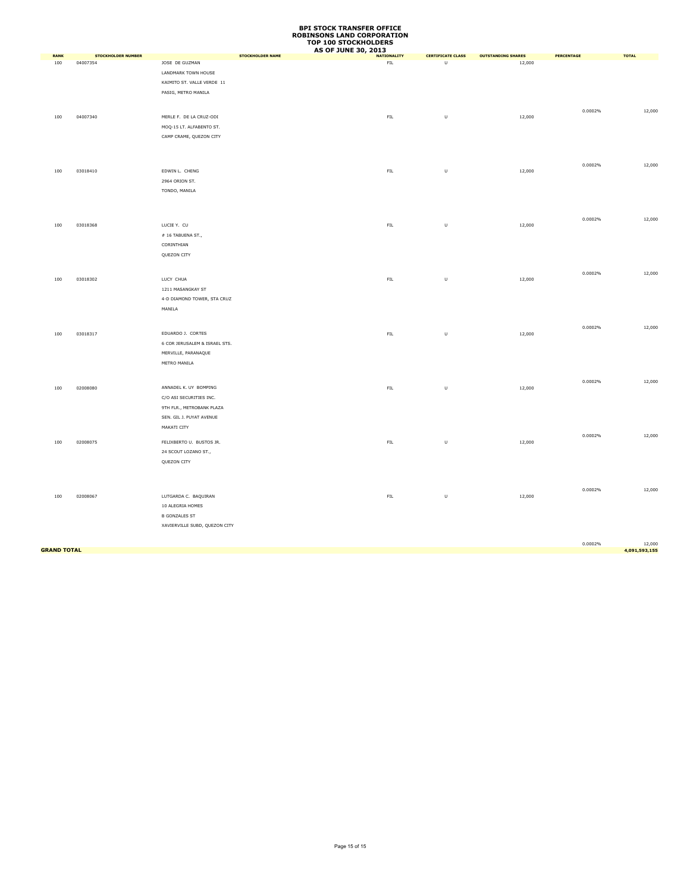|                   |                           |                                          |                         | <b>AS OF JUNE 30, 2013</b> |                          |                           |            |               |
|-------------------|---------------------------|------------------------------------------|-------------------------|----------------------------|--------------------------|---------------------------|------------|---------------|
| <b>RANK</b>       | <b>STOCKHOLDER NUMBER</b> |                                          | <b>STOCKHOLDER NAME</b> | <b>NATIONALITY</b>         | <b>CERTIFICATE CLASS</b> | <b>OUTSTANDING SHARES</b> | PERCENTAGE | <b>TOTAL</b>  |
| 100               | 04007354                  | JOSE DE GUZMAN                           |                         | ${\sf FIL}$                | $\sf U$                  | 12,000                    |            |               |
|                   |                           | LANDMARK TOWN HOUSE                      |                         |                            |                          |                           |            |               |
|                   |                           | KAIMITO ST. VALLE VERDE 11               |                         |                            |                          |                           |            |               |
|                   |                           | PASIG, METRO MANILA                      |                         |                            |                          |                           |            |               |
|                   |                           |                                          |                         |                            |                          |                           |            |               |
| 100               | 04007340                  | MERLE F. DE LA CRUZ-ODI                  |                         | ${\sf FIL}$                | $\sf U$                  | 12,000                    | 0.0002%    | 12,000        |
|                   |                           | MOQ-15 LT. ALFABENTO ST.                 |                         |                            |                          |                           |            |               |
|                   |                           | CAMP CRAME, QUEZON CITY                  |                         |                            |                          |                           |            |               |
|                   |                           |                                          |                         |                            |                          |                           |            |               |
|                   |                           |                                          |                         |                            |                          |                           |            |               |
|                   |                           |                                          |                         |                            |                          |                           | 0.0002%    | 12,000        |
| 100               | 03018410                  | EDWIN L. CHENG                           |                         | ${\sf FIL}$                | $\sf U$                  | 12,000                    |            |               |
|                   |                           | 2964 ORION ST.                           |                         |                            |                          |                           |            |               |
|                   |                           | TONDO, MANILA                            |                         |                            |                          |                           |            |               |
|                   |                           |                                          |                         |                            |                          |                           |            |               |
|                   |                           |                                          |                         |                            |                          |                           | 0.0002%    | 12,000        |
| 100               | 03018368                  | LUCIE Y. CU                              |                         | ${\sf FIL}$                | $\sf U$                  | 12,000                    |            |               |
|                   |                           | # 16 TABUENA ST.,                        |                         |                            |                          |                           |            |               |
|                   |                           | CORINTHIAN                               |                         |                            |                          |                           |            |               |
|                   |                           | QUEZON CITY                              |                         |                            |                          |                           |            |               |
|                   |                           |                                          |                         |                            |                          |                           |            |               |
|                   |                           |                                          |                         |                            |                          |                           | 0.0002%    | 12,000        |
| 100               | 03018302                  | LUCY CHUA                                |                         | ${\sf FIL}$                | $\cup$                   | 12,000                    |            |               |
|                   |                           | 1211 MASANGKAY ST                        |                         |                            |                          |                           |            |               |
|                   |                           | 4-D DIAMOND TOWER, STA CRUZ              |                         |                            |                          |                           |            |               |
|                   |                           | MANILA                                   |                         |                            |                          |                           |            |               |
|                   |                           |                                          |                         |                            |                          |                           | 0.0002%    | 12,000        |
| 100               | 03018317                  | EDUARDO J. CORTES                        |                         | ${\sf FIL}$                | $\sf U$                  | 12,000                    |            |               |
|                   |                           | 6 COR JERUSALEM & ISRAEL STS.            |                         |                            |                          |                           |            |               |
|                   |                           | MERVILLE, PARANAQUE                      |                         |                            |                          |                           |            |               |
|                   |                           | METRO MANILA                             |                         |                            |                          |                           |            |               |
|                   |                           |                                          |                         |                            |                          |                           |            |               |
|                   |                           |                                          |                         |                            |                          |                           | 0.0002%    | 12,000        |
| 100               | 02008080                  | ANNADEL K. UY BOMPING                    |                         | ${\sf FIL}$                | $\sf U$                  | 12,000                    |            |               |
|                   |                           | C/O ASI SECURITIES INC.                  |                         |                            |                          |                           |            |               |
|                   |                           | 9TH FLR., METROBANK PLAZA                |                         |                            |                          |                           |            |               |
|                   |                           | SEN. GIL J. PUYAT AVENUE                 |                         |                            |                          |                           |            |               |
|                   |                           | MAKATI CITY                              |                         |                            |                          |                           | 0.0002%    | 12,000        |
| 100               | 02008075                  | FELIXBERTO U. BUSTOS JR.                 |                         | ${\sf FIL}$                | $\sf U$                  | 12,000                    |            |               |
|                   |                           | 24 SCOUT LOZANO ST.,                     |                         |                            |                          |                           |            |               |
|                   |                           | QUEZON CITY                              |                         |                            |                          |                           |            |               |
|                   |                           |                                          |                         |                            |                          |                           |            |               |
|                   |                           |                                          |                         |                            |                          |                           |            |               |
|                   |                           |                                          |                         | ${\sf FIL}$                | $\sf U$                  | 12,000                    | 0.0002%    | 12,000        |
| 100               | 02008067                  | LUTGARDA C. BAQUIRAN<br>10 ALEGRIA HOMES |                         |                            |                          |                           |            |               |
|                   |                           |                                          |                         |                            |                          |                           |            |               |
|                   |                           | <b>B GONZALES ST</b>                     |                         |                            |                          |                           |            |               |
|                   |                           | XAVIERVILLE SUBD, QUEZON CITY            |                         |                            |                          |                           |            |               |
|                   |                           |                                          |                         |                            |                          |                           | 0.0002%    | 12,000        |
| <b>RAND TOTAL</b> |                           |                                          |                         |                            |                          |                           |            | 4,091,593,155 |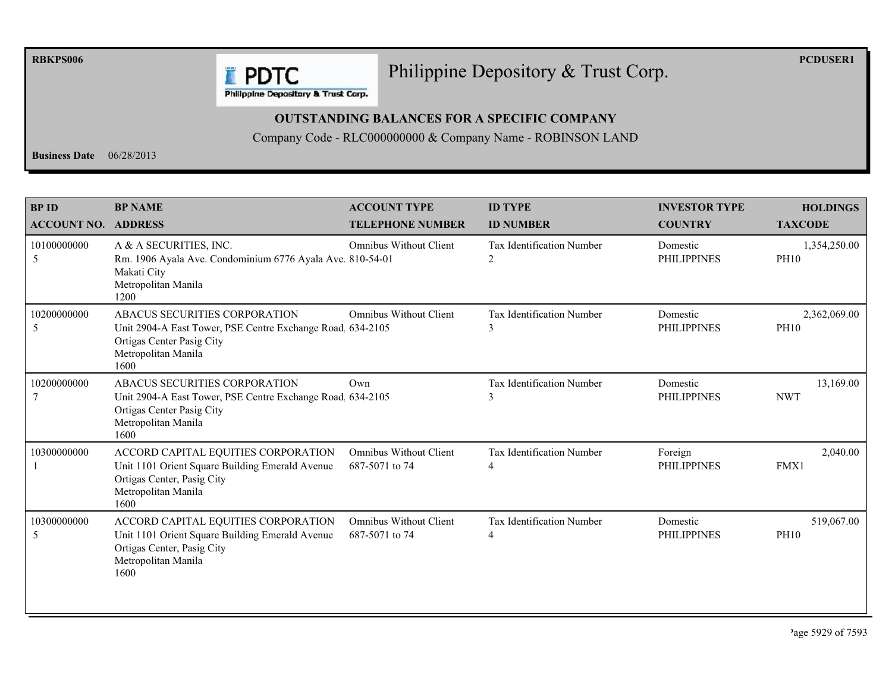**RBKPS006** 

**PCDUSER1** 

#### Philippine Depository & Trust Corp.

Philippine Depository & Trust Corp.

**F** PDTC

#### **OUTSTANDING BALANCES FOR A SPECIFIC COMPANY**

Company Code - RLC000000000 & Company Name - ROBINSON LAND

Business Date  $06/28/2013$ 

| <b>BPID</b><br><b>ACCOUNT NO. ADDRESS</b> | <b>BP NAME</b>                                                                                                                                          | <b>ACCOUNT TYPE</b><br><b>TELEPHONE NUMBER</b>  | <b>ID TYPE</b><br><b>ID NUMBER</b>    | <b>INVESTOR TYPE</b><br><b>COUNTRY</b> | <b>HOLDINGS</b><br><b>TAXCODE</b> |
|-------------------------------------------|---------------------------------------------------------------------------------------------------------------------------------------------------------|-------------------------------------------------|---------------------------------------|----------------------------------------|-----------------------------------|
| 10100000000<br>5                          | A & A SECURITIES, INC.<br>Rm. 1906 Ayala Ave. Condominium 6776 Ayala Ave. 810-54-01<br>Makati City<br>Metropolitan Manila<br>1200                       | <b>Omnibus Without Client</b>                   | <b>Tax Identification Number</b><br>2 | Domestic<br><b>PHILIPPINES</b>         | 1,354,250.00<br><b>PH10</b>       |
| 10200000000<br>5                          | ABACUS SECURITIES CORPORATION<br>Unit 2904-A East Tower, PSE Centre Exchange Road. 634-2105<br>Ortigas Center Pasig City<br>Metropolitan Manila<br>1600 | <b>Omnibus Without Client</b>                   | <b>Tax Identification Number</b><br>3 | Domestic<br><b>PHILIPPINES</b>         | 2,362,069.00<br><b>PH10</b>       |
| 10200000000                               | ABACUS SECURITIES CORPORATION<br>Unit 2904-A East Tower, PSE Centre Exchange Road, 634-2105<br>Ortigas Center Pasig City<br>Metropolitan Manila<br>1600 | Own                                             | Tax Identification Number<br>3        | Domestic<br><b>PHILIPPINES</b>         | 13,169.00<br><b>NWT</b>           |
| 10300000000                               | ACCORD CAPITAL EQUITIES CORPORATION<br>Unit 1101 Orient Square Building Emerald Avenue<br>Ortigas Center, Pasig City<br>Metropolitan Manila<br>1600     | <b>Omnibus Without Client</b><br>687-5071 to 74 | <b>Tax Identification Number</b><br>4 | Foreign<br><b>PHILIPPINES</b>          | 2,040.00<br>FMX1                  |
| 10300000000<br>5                          | ACCORD CAPITAL EQUITIES CORPORATION<br>Unit 1101 Orient Square Building Emerald Avenue<br>Ortigas Center, Pasig City<br>Metropolitan Manila<br>1600     | <b>Omnibus Without Client</b><br>687-5071 to 74 | Tax Identification Number<br>4        | Domestic<br><b>PHILIPPINES</b>         | 519,067.00<br><b>PH10</b>         |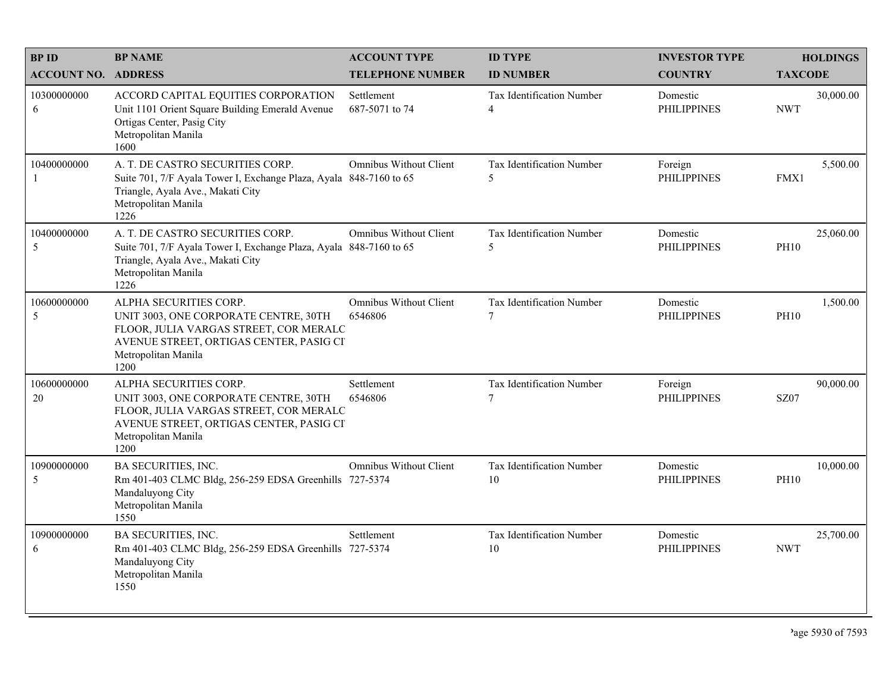| <b>BPID</b>                | <b>BP NAME</b>                                                                                                                                                                      | <b>ACCOUNT TYPE</b>                      | <b>ID TYPE</b>                             | <b>INVESTOR TYPE</b>           | <b>HOLDINGS</b>          |
|----------------------------|-------------------------------------------------------------------------------------------------------------------------------------------------------------------------------------|------------------------------------------|--------------------------------------------|--------------------------------|--------------------------|
| <b>ACCOUNT NO. ADDRESS</b> |                                                                                                                                                                                     | <b>TELEPHONE NUMBER</b>                  | <b>ID NUMBER</b>                           | <b>COUNTRY</b>                 | <b>TAXCODE</b>           |
| 10300000000<br>6           | ACCORD CAPITAL EQUITIES CORPORATION<br>Unit 1101 Orient Square Building Emerald Avenue<br>Ortigas Center, Pasig City<br>Metropolitan Manila<br>1600                                 | Settlement<br>687-5071 to 74             | Tax Identification Number<br>4             | Domestic<br><b>PHILIPPINES</b> | 30,000.00<br><b>NWT</b>  |
| 10400000000                | A. T. DE CASTRO SECURITIES CORP.<br>Suite 701, 7/F Ayala Tower I, Exchange Plaza, Ayala 848-7160 to 65<br>Triangle, Ayala Ave., Makati City<br>Metropolitan Manila<br>1226          | <b>Omnibus Without Client</b>            | Tax Identification Number<br>5             | Foreign<br><b>PHILIPPINES</b>  | 5,500.00<br>FMX1         |
| 10400000000<br>5           | A. T. DE CASTRO SECURITIES CORP.<br>Suite 701, 7/F Ayala Tower I, Exchange Plaza, Ayala 848-7160 to 65<br>Triangle, Ayala Ave., Makati City<br>Metropolitan Manila<br>1226          | <b>Omnibus Without Client</b>            | Tax Identification Number<br>5             | Domestic<br><b>PHILIPPINES</b> | 25,060.00<br><b>PH10</b> |
| 10600000000<br>5           | ALPHA SECURITIES CORP.<br>UNIT 3003, ONE CORPORATE CENTRE, 30TH<br>FLOOR, JULIA VARGAS STREET, COR MERALC<br>AVENUE STREET, ORTIGAS CENTER, PASIG CI<br>Metropolitan Manila<br>1200 | <b>Omnibus Without Client</b><br>6546806 | Tax Identification Number<br>7             | Domestic<br><b>PHILIPPINES</b> | 1,500.00<br><b>PH10</b>  |
| 10600000000<br>20          | ALPHA SECURITIES CORP.<br>UNIT 3003, ONE CORPORATE CENTRE, 30TH<br>FLOOR, JULIA VARGAS STREET, COR MERALC<br>AVENUE STREET, ORTIGAS CENTER, PASIG CI<br>Metropolitan Manila<br>1200 | Settlement<br>6546806                    | <b>Tax Identification Number</b><br>$\tau$ | Foreign<br><b>PHILIPPINES</b>  | 90,000.00<br><b>SZ07</b> |
| 10900000000<br>5           | <b>BA SECURITIES, INC.</b><br>Rm 401-403 CLMC Bldg, 256-259 EDSA Greenhills 727-5374<br>Mandaluyong City<br>Metropolitan Manila<br>1550                                             | <b>Omnibus Without Client</b>            | Tax Identification Number<br>10            | Domestic<br><b>PHILIPPINES</b> | 10,000.00<br><b>PH10</b> |
| 10900000000<br>6           | <b>BA SECURITIES, INC.</b><br>Rm 401-403 CLMC Bldg, 256-259 EDSA Greenhills 727-5374<br>Mandaluyong City<br>Metropolitan Manila<br>1550                                             | Settlement                               | Tax Identification Number<br>10            | Domestic<br><b>PHILIPPINES</b> | 25,700.00<br><b>NWT</b>  |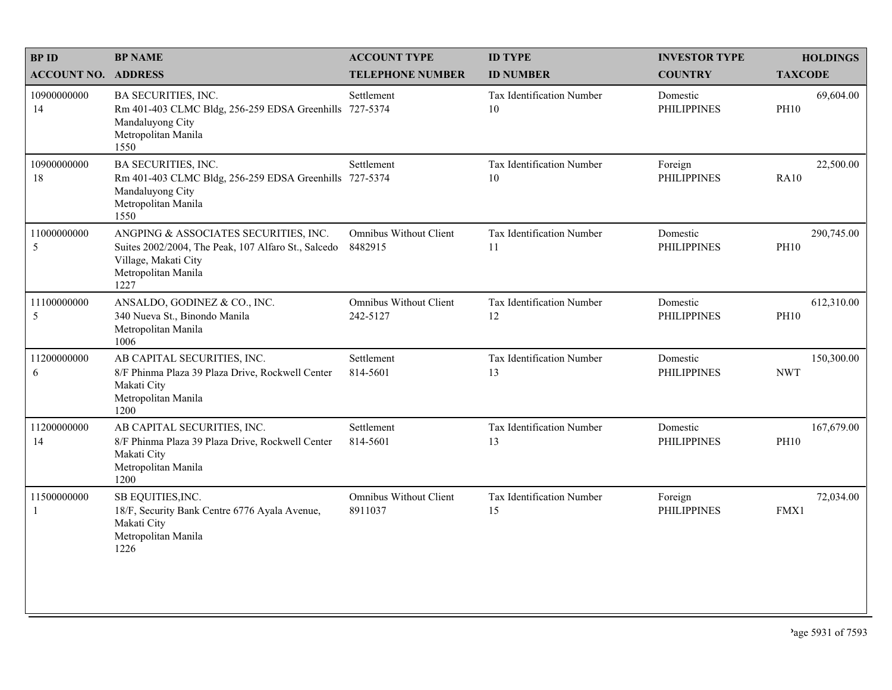| <b>BPID</b>                 | <b>BP NAME</b>                                                                                                                                      | <b>ACCOUNT TYPE</b>                      | <b>ID TYPE</b>                  | <b>INVESTOR TYPE</b>           | <b>HOLDINGS</b>           |
|-----------------------------|-----------------------------------------------------------------------------------------------------------------------------------------------------|------------------------------------------|---------------------------------|--------------------------------|---------------------------|
| <b>ACCOUNT NO. ADDRESS</b>  |                                                                                                                                                     | <b>TELEPHONE NUMBER</b>                  | <b>ID NUMBER</b>                | <b>COUNTRY</b>                 | <b>TAXCODE</b>            |
| 10900000000<br>14           | BA SECURITIES, INC.<br>Rm 401-403 CLMC Bldg, 256-259 EDSA Greenhills 727-5374<br>Mandaluyong City<br>Metropolitan Manila<br>1550                    | Settlement                               | Tax Identification Number<br>10 | Domestic<br><b>PHILIPPINES</b> | 69,604.00<br><b>PH10</b>  |
| 10900000000<br>18           | <b>BA SECURITIES, INC.</b><br>Rm 401-403 CLMC Bldg, 256-259 EDSA Greenhills 727-5374<br>Mandaluyong City<br>Metropolitan Manila<br>1550             | Settlement                               | Tax Identification Number<br>10 | Foreign<br><b>PHILIPPINES</b>  | 22,500.00<br><b>RA10</b>  |
| 11000000000<br>5            | ANGPING & ASSOCIATES SECURITIES, INC.<br>Suites 2002/2004, The Peak, 107 Alfaro St., Salcedo<br>Village, Makati City<br>Metropolitan Manila<br>1227 | <b>Omnibus Without Client</b><br>8482915 | Tax Identification Number<br>11 | Domestic<br><b>PHILIPPINES</b> | 290,745.00<br><b>PH10</b> |
| 11100000000<br>5            | ANSALDO, GODINEZ & CO., INC.<br>340 Nueva St., Binondo Manila<br>Metropolitan Manila<br>1006                                                        | Omnibus Without Client<br>242-5127       | Tax Identification Number<br>12 | Domestic<br><b>PHILIPPINES</b> | 612,310.00<br><b>PH10</b> |
| 11200000000<br>6            | AB CAPITAL SECURITIES, INC.<br>8/F Phinma Plaza 39 Plaza Drive, Rockwell Center<br>Makati City<br>Metropolitan Manila<br>1200                       | Settlement<br>814-5601                   | Tax Identification Number<br>13 | Domestic<br><b>PHILIPPINES</b> | 150,300.00<br><b>NWT</b>  |
| 11200000000<br>14           | AB CAPITAL SECURITIES, INC.<br>8/F Phinma Plaza 39 Plaza Drive, Rockwell Center<br>Makati City<br>Metropolitan Manila<br>1200                       | Settlement<br>814-5601                   | Tax Identification Number<br>13 | Domestic<br><b>PHILIPPINES</b> | 167,679.00<br><b>PH10</b> |
| 11500000000<br>$\mathbf{1}$ | SB EQUITIES, INC.<br>18/F, Security Bank Centre 6776 Ayala Avenue,<br>Makati City<br>Metropolitan Manila<br>1226                                    | <b>Omnibus Without Client</b><br>8911037 | Tax Identification Number<br>15 | Foreign<br><b>PHILIPPINES</b>  | 72,034.00<br>FMX1         |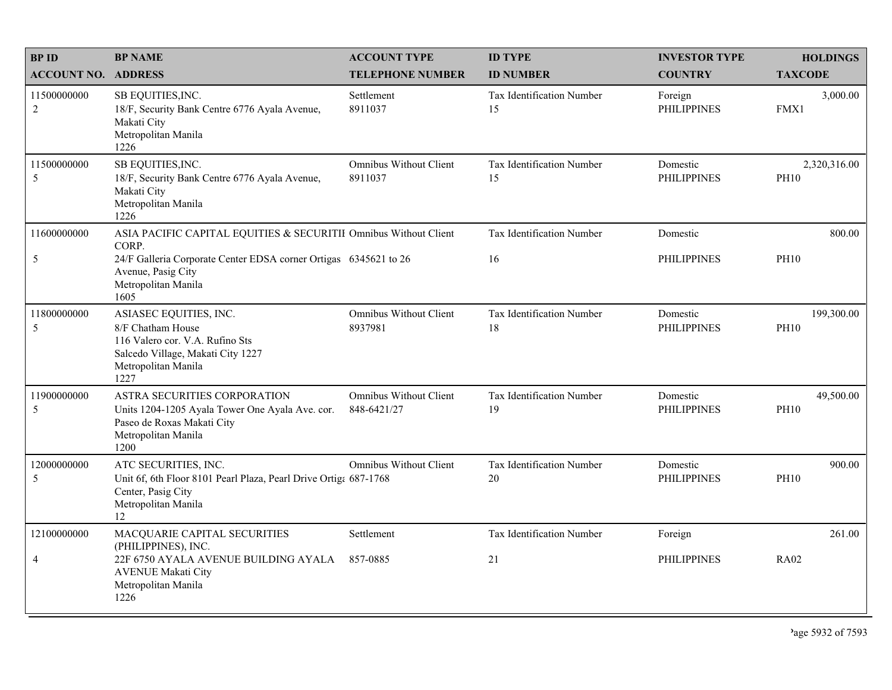| <b>BPID</b>                   | <b>BP NAME</b>                                                                                                                                     | <b>ACCOUNT TYPE</b>                          | <b>ID TYPE</b>                  | <b>INVESTOR TYPE</b>           | <b>HOLDINGS</b>             |
|-------------------------------|----------------------------------------------------------------------------------------------------------------------------------------------------|----------------------------------------------|---------------------------------|--------------------------------|-----------------------------|
| <b>ACCOUNT NO. ADDRESS</b>    |                                                                                                                                                    | <b>TELEPHONE NUMBER</b>                      | <b>ID NUMBER</b>                | <b>COUNTRY</b>                 | <b>TAXCODE</b>              |
| 11500000000<br>$\overline{c}$ | SB EQUITIES, INC.<br>18/F, Security Bank Centre 6776 Ayala Avenue,<br>Makati City<br>Metropolitan Manila<br>1226                                   | Settlement<br>8911037                        | Tax Identification Number<br>15 | Foreign<br><b>PHILIPPINES</b>  | 3,000.00<br>FMX1            |
| 11500000000<br>5              | SB EQUITIES, INC.<br>18/F, Security Bank Centre 6776 Ayala Avenue,<br>Makati City<br>Metropolitan Manila<br>1226                                   | <b>Omnibus Without Client</b><br>8911037     | Tax Identification Number<br>15 | Domestic<br><b>PHILIPPINES</b> | 2,320,316.00<br><b>PH10</b> |
| 11600000000                   | ASIA PACIFIC CAPITAL EQUITIES & SECURITII Omnibus Without Client<br>CORP.                                                                          |                                              | Tax Identification Number       | Domestic                       | 800.00                      |
| $\sqrt{5}$                    | 24/F Galleria Corporate Center EDSA corner Ortigas 6345621 to 26<br>Avenue, Pasig City<br>Metropolitan Manila<br>1605                              |                                              | 16                              | <b>PHILIPPINES</b>             | <b>PH10</b>                 |
| 11800000000<br>5              | ASIASEC EQUITIES, INC.<br>8/F Chatham House<br>116 Valero cor. V.A. Rufino Sts<br>Salcedo Village, Makati City 1227<br>Metropolitan Manila<br>1227 | Omnibus Without Client<br>8937981            | Tax Identification Number<br>18 | Domestic<br><b>PHILIPPINES</b> | 199,300.00<br><b>PH10</b>   |
| 11900000000<br>5              | ASTRA SECURITIES CORPORATION<br>Units 1204-1205 Ayala Tower One Ayala Ave. cor.<br>Paseo de Roxas Makati City<br>Metropolitan Manila<br>1200       | <b>Omnibus Without Client</b><br>848-6421/27 | Tax Identification Number<br>19 | Domestic<br><b>PHILIPPINES</b> | 49,500.00<br><b>PH10</b>    |
| 12000000000<br>5              | ATC SECURITIES, INC.<br>Unit 6f, 6th Floor 8101 Pearl Plaza, Pearl Drive Ortiga 687-1768<br>Center, Pasig City<br>Metropolitan Manila<br>12        | <b>Omnibus Without Client</b>                | Tax Identification Number<br>20 | Domestic<br><b>PHILIPPINES</b> | 900.00<br><b>PH10</b>       |
| 12100000000                   | MACQUARIE CAPITAL SECURITIES<br>(PHILIPPINES), INC.                                                                                                | Settlement                                   | Tax Identification Number       | Foreign                        | 261.00                      |
| $\overline{4}$                | 22F 6750 AYALA AVENUE BUILDING AYALA<br><b>AVENUE Makati City</b><br>Metropolitan Manila<br>1226                                                   | 857-0885                                     | 21                              | <b>PHILIPPINES</b>             | <b>RA02</b>                 |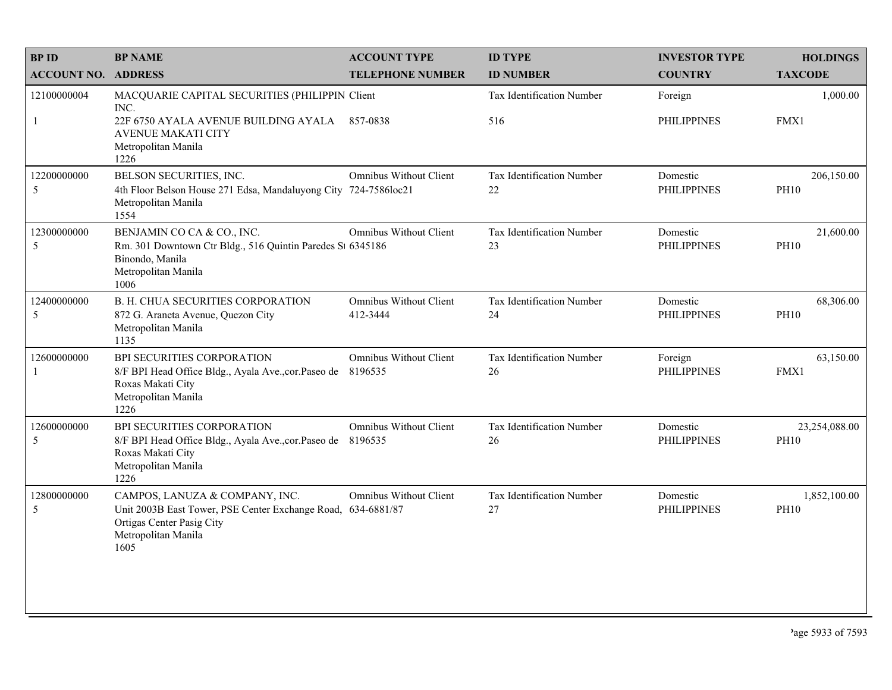| <b>BPID</b>                | <b>BP NAME</b>                                                                                                                                             | <b>ACCOUNT TYPE</b>                      | <b>ID TYPE</b>                          | <b>INVESTOR TYPE</b>           | <b>HOLDINGS</b>              |
|----------------------------|------------------------------------------------------------------------------------------------------------------------------------------------------------|------------------------------------------|-----------------------------------------|--------------------------------|------------------------------|
| <b>ACCOUNT NO. ADDRESS</b> |                                                                                                                                                            | <b>TELEPHONE NUMBER</b>                  | <b>ID NUMBER</b>                        | <b>COUNTRY</b>                 | <b>TAXCODE</b>               |
| 12100000004<br>-1          | MACQUARIE CAPITAL SECURITIES (PHILIPPIN Client<br>INC.<br>22F 6750 AYALA AVENUE BUILDING AYALA<br><b>AVENUE MAKATI CITY</b><br>Metropolitan Manila         | 857-0838                                 | <b>Tax Identification Number</b><br>516 | Foreign<br><b>PHILIPPINES</b>  | 1,000.00<br>FMX1             |
| 12200000000<br>5           | 1226<br>BELSON SECURITIES, INC.<br>4th Floor Belson House 271 Edsa, Mandaluyong City 724-7586loc21<br>Metropolitan Manila<br>1554                          | <b>Omnibus Without Client</b>            | Tax Identification Number<br>22         | Domestic<br><b>PHILIPPINES</b> | 206,150.00<br><b>PH10</b>    |
| 12300000000<br>5           | BENJAMIN CO CA & CO., INC.<br>Rm. 301 Downtown Ctr Bldg., 516 Quintin Paredes St 6345186<br>Binondo, Manila<br>Metropolitan Manila<br>1006                 | <b>Omnibus Without Client</b>            | Tax Identification Number<br>23         | Domestic<br><b>PHILIPPINES</b> | 21,600.00<br><b>PH10</b>     |
| 12400000000<br>5           | B. H. CHUA SECURITIES CORPORATION<br>872 G. Araneta Avenue, Quezon City<br>Metropolitan Manila<br>1135                                                     | Omnibus Without Client<br>412-3444       | Tax Identification Number<br>24         | Domestic<br><b>PHILIPPINES</b> | 68,306.00<br><b>PH10</b>     |
| 12600000000<br>-1          | BPI SECURITIES CORPORATION<br>8/F BPI Head Office Bldg., Ayala Ave., cor. Paseo de<br>Roxas Makati City<br>Metropolitan Manila<br>1226                     | <b>Omnibus Without Client</b><br>8196535 | Tax Identification Number<br>26         | Foreign<br><b>PHILIPPINES</b>  | 63,150.00<br>FMX1            |
| 12600000000<br>5           | BPI SECURITIES CORPORATION<br>8/F BPI Head Office Bldg., Ayala Ave., cor. Paseo de 8196535<br>Roxas Makati City<br>Metropolitan Manila<br>1226             | <b>Omnibus Without Client</b>            | Tax Identification Number<br>26         | Domestic<br><b>PHILIPPINES</b> | 23,254,088.00<br><b>PH10</b> |
| 12800000000<br>5           | CAMPOS, LANUZA & COMPANY, INC.<br>Unit 2003B East Tower, PSE Center Exchange Road, 634-6881/87<br>Ortigas Center Pasig City<br>Metropolitan Manila<br>1605 | <b>Omnibus Without Client</b>            | Tax Identification Number<br>27         | Domestic<br><b>PHILIPPINES</b> | 1,852,100.00<br><b>PH10</b>  |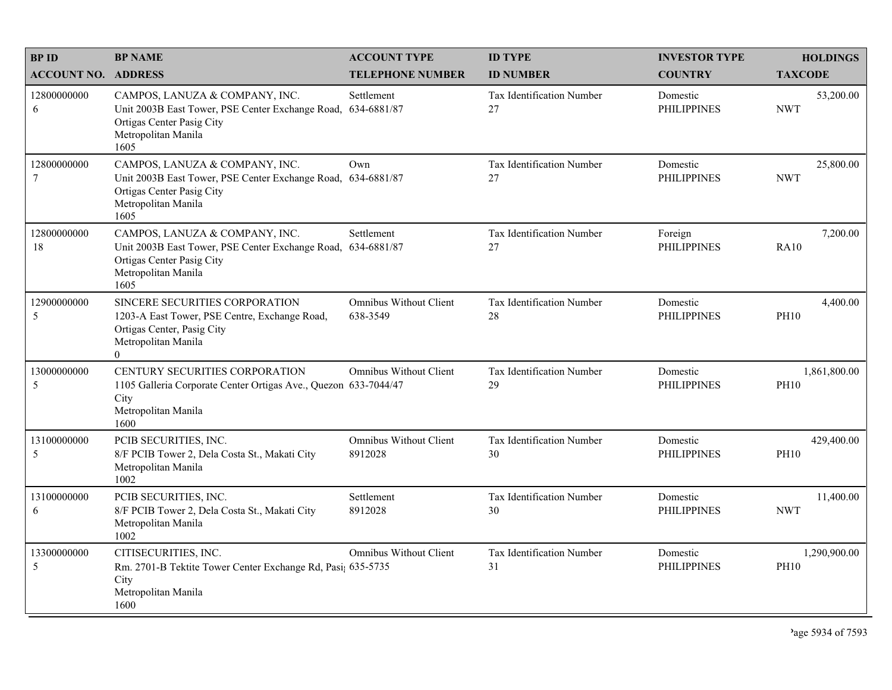| <b>BPID</b>                | <b>BP NAME</b>                                                                                                                                             | <b>ACCOUNT TYPE</b>                       | <b>ID TYPE</b>                         | <b>INVESTOR TYPE</b>           | <b>HOLDINGS</b>             |
|----------------------------|------------------------------------------------------------------------------------------------------------------------------------------------------------|-------------------------------------------|----------------------------------------|--------------------------------|-----------------------------|
| <b>ACCOUNT NO. ADDRESS</b> |                                                                                                                                                            | <b>TELEPHONE NUMBER</b>                   | <b>ID NUMBER</b>                       | <b>COUNTRY</b>                 | <b>TAXCODE</b>              |
| 12800000000<br>6           | CAMPOS, LANUZA & COMPANY, INC.<br>Unit 2003B East Tower, PSE Center Exchange Road, 634-6881/87<br>Ortigas Center Pasig City<br>Metropolitan Manila<br>1605 | Settlement                                | <b>Tax Identification Number</b><br>27 | Domestic<br><b>PHILIPPINES</b> | 53,200.00<br><b>NWT</b>     |
| 12800000000<br>7           | CAMPOS, LANUZA & COMPANY, INC.<br>Unit 2003B East Tower, PSE Center Exchange Road, 634-6881/87<br>Ortigas Center Pasig City<br>Metropolitan Manila<br>1605 | Own                                       | Tax Identification Number<br>27        | Domestic<br><b>PHILIPPINES</b> | 25,800.00<br><b>NWT</b>     |
| 12800000000<br>18          | CAMPOS, LANUZA & COMPANY, INC.<br>Unit 2003B East Tower, PSE Center Exchange Road, 634-6881/87<br>Ortigas Center Pasig City<br>Metropolitan Manila<br>1605 | Settlement                                | Tax Identification Number<br>27        | Foreign<br><b>PHILIPPINES</b>  | 7,200.00<br><b>RA10</b>     |
| 12900000000<br>5           | SINCERE SECURITIES CORPORATION<br>1203-A East Tower, PSE Centre, Exchange Road,<br>Ortigas Center, Pasig City<br>Metropolitan Manila<br>$\Omega$           | <b>Omnibus Without Client</b><br>638-3549 | Tax Identification Number<br>28        | Domestic<br><b>PHILIPPINES</b> | 4,400.00<br><b>PH10</b>     |
| 13000000000<br>5           | CENTURY SECURITIES CORPORATION<br>1105 Galleria Corporate Center Ortigas Ave., Quezon 633-7044/47<br>City<br>Metropolitan Manila<br>1600                   | <b>Omnibus Without Client</b>             | Tax Identification Number<br>29        | Domestic<br><b>PHILIPPINES</b> | 1,861,800.00<br><b>PH10</b> |
| 13100000000<br>5           | PCIB SECURITIES, INC.<br>8/F PCIB Tower 2, Dela Costa St., Makati City<br>Metropolitan Manila<br>1002                                                      | <b>Omnibus Without Client</b><br>8912028  | Tax Identification Number<br>30        | Domestic<br><b>PHILIPPINES</b> | 429,400.00<br><b>PH10</b>   |
| 13100000000<br>6           | PCIB SECURITIES, INC.<br>8/F PCIB Tower 2, Dela Costa St., Makati City<br>Metropolitan Manila<br>1002                                                      | Settlement<br>8912028                     | Tax Identification Number<br>30        | Domestic<br><b>PHILIPPINES</b> | 11,400.00<br><b>NWT</b>     |
| 13300000000<br>5           | CITISECURITIES, INC.<br>Rm. 2701-B Tektite Tower Center Exchange Rd, Pasi; 635-5735<br>City<br>Metropolitan Manila<br>1600                                 | Omnibus Without Client                    | Tax Identification Number<br>31        | Domestic<br><b>PHILIPPINES</b> | 1,290,900.00<br><b>PH10</b> |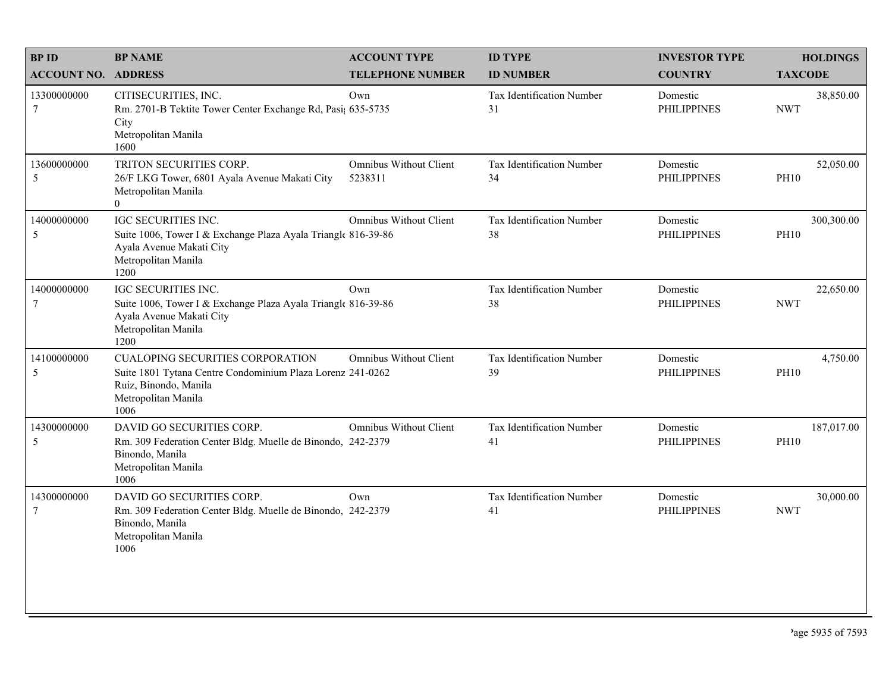| <b>BPID</b>                | <b>BP NAME</b>                                                                                                                                                | <b>ACCOUNT TYPE</b>                      | <b>ID TYPE</b>                  | <b>INVESTOR TYPE</b>           | <b>HOLDINGS</b>           |
|----------------------------|---------------------------------------------------------------------------------------------------------------------------------------------------------------|------------------------------------------|---------------------------------|--------------------------------|---------------------------|
| <b>ACCOUNT NO. ADDRESS</b> |                                                                                                                                                               | <b>TELEPHONE NUMBER</b>                  | <b>ID NUMBER</b>                | <b>COUNTRY</b>                 | <b>TAXCODE</b>            |
| 13300000000<br>$\tau$      | CITISECURITIES, INC.<br>Rm. 2701-B Tektite Tower Center Exchange Rd, Pasi; 635-5735<br>City<br>Metropolitan Manila<br>1600                                    | Own                                      | Tax Identification Number<br>31 | Domestic<br><b>PHILIPPINES</b> | 38,850.00<br><b>NWT</b>   |
| 13600000000<br>5           | TRITON SECURITIES CORP.<br>26/F LKG Tower, 6801 Ayala Avenue Makati City<br>Metropolitan Manila<br>$\overline{0}$                                             | <b>Omnibus Without Client</b><br>5238311 | Tax Identification Number<br>34 | Domestic<br><b>PHILIPPINES</b> | 52,050.00<br><b>PH10</b>  |
| 14000000000<br>5           | IGC SECURITIES INC.<br>Suite 1006, Tower I & Exchange Plaza Ayala Triangle 816-39-86<br>Ayala Avenue Makati City<br>Metropolitan Manila<br>1200               | <b>Omnibus Without Client</b>            | Tax Identification Number<br>38 | Domestic<br><b>PHILIPPINES</b> | 300,300.00<br><b>PH10</b> |
| 14000000000<br>$\tau$      | IGC SECURITIES INC.<br>Suite 1006, Tower I & Exchange Plaza Ayala Triangle 816-39-86<br>Ayala Avenue Makati City<br>Metropolitan Manila<br>1200               | Own                                      | Tax Identification Number<br>38 | Domestic<br><b>PHILIPPINES</b> | 22,650.00<br><b>NWT</b>   |
| 14100000000<br>5           | <b>CUALOPING SECURITIES CORPORATION</b><br>Suite 1801 Tytana Centre Condominium Plaza Lorenz 241-0262<br>Ruiz, Binondo, Manila<br>Metropolitan Manila<br>1006 | <b>Omnibus Without Client</b>            | Tax Identification Number<br>39 | Domestic<br><b>PHILIPPINES</b> | 4,750.00<br><b>PH10</b>   |
| 14300000000<br>5           | DAVID GO SECURITIES CORP.<br>Rm. 309 Federation Center Bldg. Muelle de Binondo, 242-2379<br>Binondo, Manila<br>Metropolitan Manila<br>1006                    | Omnibus Without Client                   | Tax Identification Number<br>41 | Domestic<br><b>PHILIPPINES</b> | 187,017.00<br><b>PH10</b> |
| 14300000000<br>$\tau$      | DAVID GO SECURITIES CORP.<br>Rm. 309 Federation Center Bldg. Muelle de Binondo, 242-2379<br>Binondo, Manila<br>Metropolitan Manila<br>1006                    | Own                                      | Tax Identification Number<br>41 | Domestic<br><b>PHILIPPINES</b> | 30,000.00<br><b>NWT</b>   |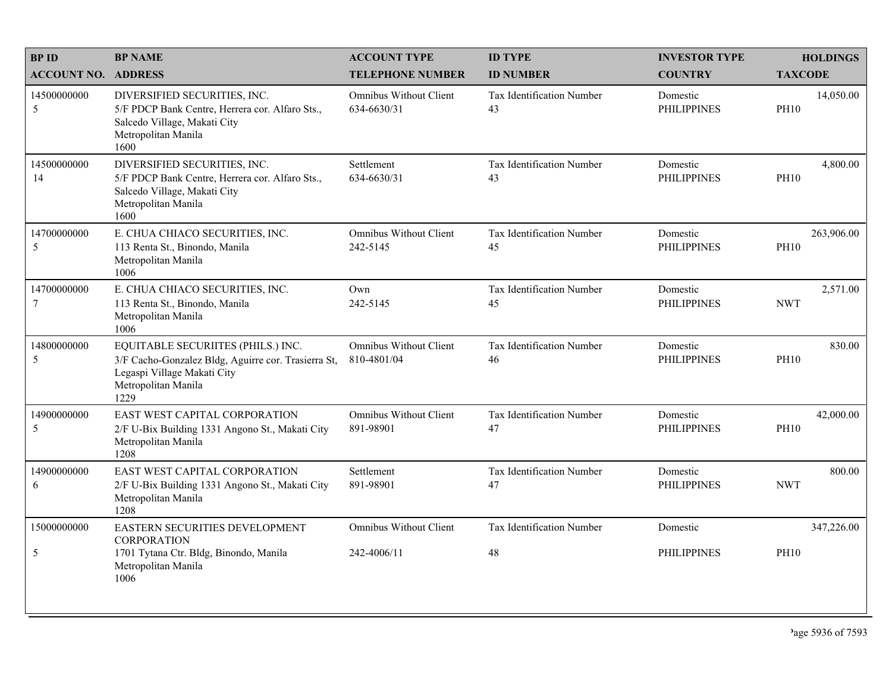| <b>BPID</b>                   | <b>BP NAME</b>                                                                                                                                          | <b>ACCOUNT TYPE</b>                          | <b>ID TYPE</b>                         | <b>INVESTOR TYPE</b>           | <b>HOLDINGS</b>           |
|-------------------------------|---------------------------------------------------------------------------------------------------------------------------------------------------------|----------------------------------------------|----------------------------------------|--------------------------------|---------------------------|
| <b>ACCOUNT NO. ADDRESS</b>    |                                                                                                                                                         | <b>TELEPHONE NUMBER</b>                      | <b>ID NUMBER</b>                       | <b>COUNTRY</b>                 | <b>TAXCODE</b>            |
| 14500000000<br>5              | DIVERSIFIED SECURITIES, INC.<br>5/F PDCP Bank Centre, Herrera cor. Alfaro Sts.,<br>Salcedo Village, Makati City<br>Metropolitan Manila<br>1600          | <b>Omnibus Without Client</b><br>634-6630/31 | <b>Tax Identification Number</b><br>43 | Domestic<br><b>PHILIPPINES</b> | 14,050.00<br><b>PH10</b>  |
| 14500000000<br>14             | DIVERSIFIED SECURITIES, INC.<br>5/F PDCP Bank Centre, Herrera cor. Alfaro Sts.,<br>Salcedo Village, Makati City<br>Metropolitan Manila<br>1600          | Settlement<br>634-6630/31                    | Tax Identification Number<br>43        | Domestic<br><b>PHILIPPINES</b> | 4,800.00<br><b>PH10</b>   |
| 14700000000<br>5              | E. CHUA CHIACO SECURITIES, INC.<br>113 Renta St., Binondo, Manila<br>Metropolitan Manila<br>1006                                                        | <b>Omnibus Without Client</b><br>242-5145    | Tax Identification Number<br>45        | Domestic<br><b>PHILIPPINES</b> | 263,906.00<br><b>PH10</b> |
| 14700000000<br>$\overline{7}$ | E. CHUA CHIACO SECURITIES, INC.<br>113 Renta St., Binondo, Manila<br>Metropolitan Manila<br>1006                                                        | Own<br>242-5145                              | <b>Tax Identification Number</b><br>45 | Domestic<br><b>PHILIPPINES</b> | 2,571.00<br><b>NWT</b>    |
| 14800000000<br>5              | EQUITABLE SECURIITES (PHILS.) INC.<br>3/F Cacho-Gonzalez Bldg, Aguirre cor. Trasierra St,<br>Legaspi Village Makati City<br>Metropolitan Manila<br>1229 | <b>Omnibus Without Client</b><br>810-4801/04 | Tax Identification Number<br>46        | Domestic<br><b>PHILIPPINES</b> | 830.00<br><b>PH10</b>     |
| 14900000000<br>5              | EAST WEST CAPITAL CORPORATION<br>2/F U-Bix Building 1331 Angono St., Makati City<br>Metropolitan Manila<br>1208                                         | <b>Omnibus Without Client</b><br>891-98901   | Tax Identification Number<br>47        | Domestic<br><b>PHILIPPINES</b> | 42,000.00<br><b>PH10</b>  |
| 14900000000<br>6              | EAST WEST CAPITAL CORPORATION<br>2/F U-Bix Building 1331 Angono St., Makati City<br>Metropolitan Manila<br>1208                                         | Settlement<br>891-98901                      | Tax Identification Number<br>47        | Domestic<br><b>PHILIPPINES</b> | 800.00<br><b>NWT</b>      |
| 15000000000                   | EASTERN SECURITIES DEVELOPMENT<br><b>CORPORATION</b>                                                                                                    | <b>Omnibus Without Client</b>                | Tax Identification Number              | Domestic                       | 347,226.00                |
| 5                             | 1701 Tytana Ctr. Bldg, Binondo, Manila<br>Metropolitan Manila<br>1006                                                                                   | 242-4006/11                                  | 48                                     | <b>PHILIPPINES</b>             | <b>PH10</b>               |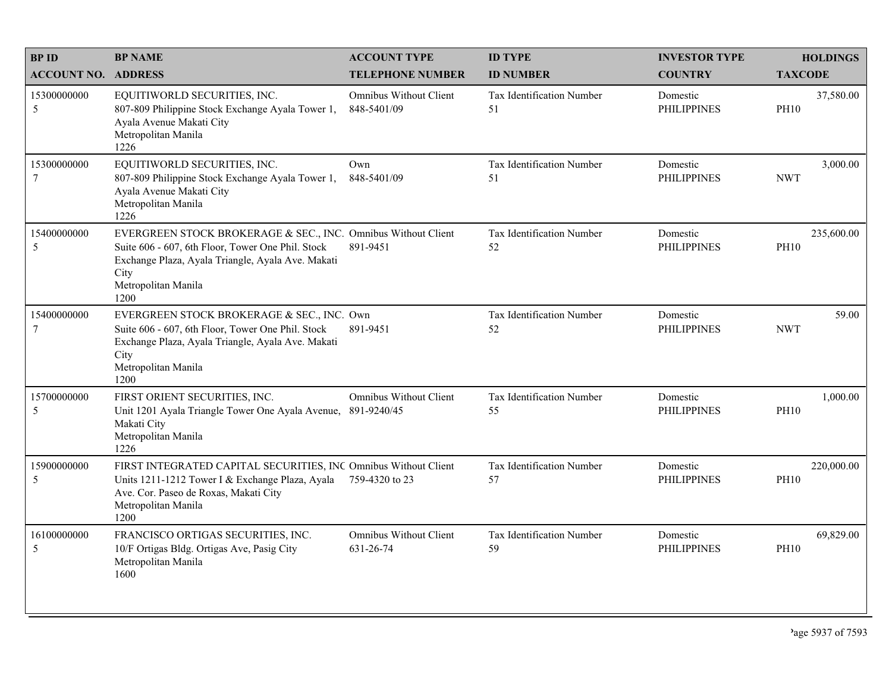| <b>BPID</b>                   | <b>BP NAME</b>                                                                                                                                                                                                 | <b>ACCOUNT TYPE</b>                   | <b>ID TYPE</b>                         | <b>INVESTOR TYPE</b>           | <b>HOLDINGS</b>           |
|-------------------------------|----------------------------------------------------------------------------------------------------------------------------------------------------------------------------------------------------------------|---------------------------------------|----------------------------------------|--------------------------------|---------------------------|
| <b>ACCOUNT NO. ADDRESS</b>    |                                                                                                                                                                                                                | <b>TELEPHONE NUMBER</b>               | <b>ID NUMBER</b>                       | <b>COUNTRY</b>                 | <b>TAXCODE</b>            |
| 15300000000<br>5              | EQUITIWORLD SECURITIES, INC.<br>807-809 Philippine Stock Exchange Ayala Tower 1,<br>Ayala Avenue Makati City<br>Metropolitan Manila<br>1226                                                                    | Omnibus Without Client<br>848-5401/09 | <b>Tax Identification Number</b><br>51 | Domestic<br><b>PHILIPPINES</b> | 37,580.00<br><b>PH10</b>  |
| 15300000000<br>$\tau$         | EQUITIWORLD SECURITIES, INC.<br>807-809 Philippine Stock Exchange Ayala Tower 1,<br>Ayala Avenue Makati City<br>Metropolitan Manila<br>1226                                                                    | Own<br>848-5401/09                    | Tax Identification Number<br>51        | Domestic<br><b>PHILIPPINES</b> | 3,000.00<br><b>NWT</b>    |
| 15400000000<br>5              | EVERGREEN STOCK BROKERAGE & SEC., INC. Omnibus Without Client<br>Suite 606 - 607, 6th Floor, Tower One Phil. Stock<br>Exchange Plaza, Ayala Triangle, Ayala Ave. Makati<br>City<br>Metropolitan Manila<br>1200 | 891-9451                              | Tax Identification Number<br>52        | Domestic<br><b>PHILIPPINES</b> | 235,600.00<br><b>PH10</b> |
| 15400000000<br>$\overline{7}$ | EVERGREEN STOCK BROKERAGE & SEC., INC. Own<br>Suite 606 - 607, 6th Floor, Tower One Phil. Stock<br>Exchange Plaza, Ayala Triangle, Ayala Ave. Makati<br>City<br>Metropolitan Manila<br>1200                    | 891-9451                              | Tax Identification Number<br>52        | Domestic<br><b>PHILIPPINES</b> | 59.00<br><b>NWT</b>       |
| 15700000000<br>5              | FIRST ORIENT SECURITIES, INC.<br>Unit 1201 Ayala Triangle Tower One Ayala Avenue, 891-9240/45<br>Makati City<br>Metropolitan Manila<br>1226                                                                    | <b>Omnibus Without Client</b>         | Tax Identification Number<br>55        | Domestic<br><b>PHILIPPINES</b> | 1,000.00<br><b>PH10</b>   |
| 15900000000<br>5              | FIRST INTEGRATED CAPITAL SECURITIES, INC Omnibus Without Client<br>Units 1211-1212 Tower I & Exchange Plaza, Ayala<br>Ave. Cor. Paseo de Roxas, Makati City<br>Metropolitan Manila<br>1200                     | 759-4320 to 23                        | Tax Identification Number<br>57        | Domestic<br><b>PHILIPPINES</b> | 220,000.00<br><b>PH10</b> |
| 16100000000<br>5              | FRANCISCO ORTIGAS SECURITIES, INC.<br>10/F Ortigas Bldg. Ortigas Ave, Pasig City<br>Metropolitan Manila<br>1600                                                                                                | Omnibus Without Client<br>631-26-74   | Tax Identification Number<br>59        | Domestic<br><b>PHILIPPINES</b> | 69,829.00<br><b>PH10</b>  |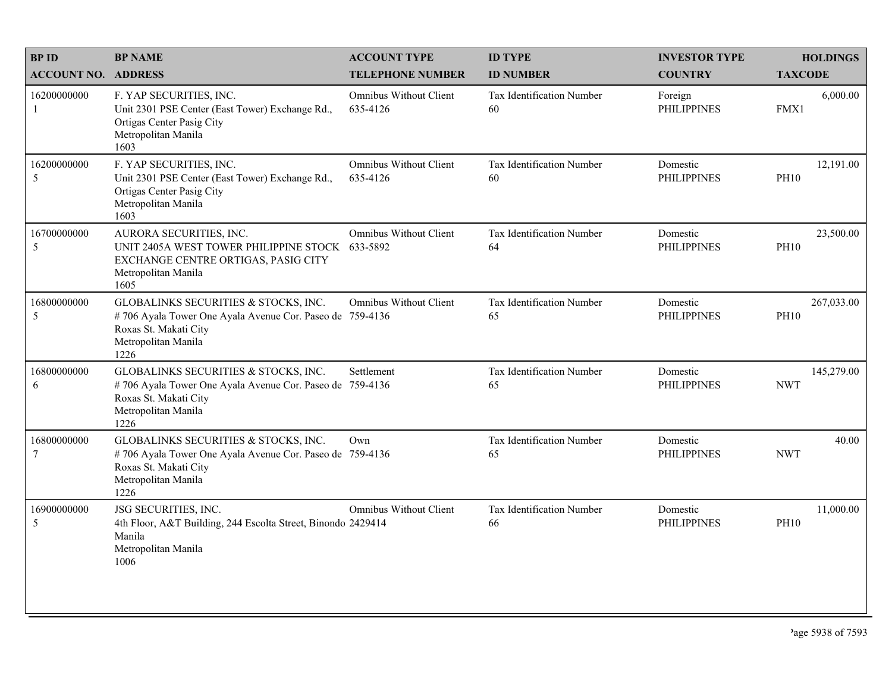| <b>BPID</b>                   | <b>BP NAME</b>                                                                                                                                           | <b>ACCOUNT TYPE</b>                       | <b>ID TYPE</b>                  | <b>INVESTOR TYPE</b>           | <b>HOLDINGS</b>           |
|-------------------------------|----------------------------------------------------------------------------------------------------------------------------------------------------------|-------------------------------------------|---------------------------------|--------------------------------|---------------------------|
| <b>ACCOUNT NO. ADDRESS</b>    |                                                                                                                                                          | <b>TELEPHONE NUMBER</b>                   | <b>ID NUMBER</b>                | <b>COUNTRY</b>                 | <b>TAXCODE</b>            |
| 16200000000<br>1              | F. YAP SECURITIES, INC.<br>Unit 2301 PSE Center (East Tower) Exchange Rd.,<br>Ortigas Center Pasig City<br>Metropolitan Manila<br>1603                   | <b>Omnibus Without Client</b><br>635-4126 | Tax Identification Number<br>60 | Foreign<br><b>PHILIPPINES</b>  | 6,000.00<br>FMX1          |
| 16200000000<br>5              | F. YAP SECURITIES, INC.<br>Unit 2301 PSE Center (East Tower) Exchange Rd.,<br>Ortigas Center Pasig City<br>Metropolitan Manila<br>1603                   | <b>Omnibus Without Client</b><br>635-4126 | Tax Identification Number<br>60 | Domestic<br><b>PHILIPPINES</b> | 12,191.00<br><b>PH10</b>  |
| 16700000000<br>5              | AURORA SECURITIES, INC.<br>UNIT 2405A WEST TOWER PHILIPPINE STOCK<br>EXCHANGE CENTRE ORTIGAS, PASIG CITY<br>Metropolitan Manila<br>1605                  | <b>Omnibus Without Client</b><br>633-5892 | Tax Identification Number<br>64 | Domestic<br><b>PHILIPPINES</b> | 23,500.00<br><b>PH10</b>  |
| 16800000000<br>$\sqrt{5}$     | GLOBALINKS SECURITIES & STOCKS, INC.<br>#706 Ayala Tower One Ayala Avenue Cor. Paseo de 759-4136<br>Roxas St. Makati City<br>Metropolitan Manila<br>1226 | <b>Omnibus Without Client</b>             | Tax Identification Number<br>65 | Domestic<br><b>PHILIPPINES</b> | 267,033.00<br><b>PH10</b> |
| 16800000000<br>6              | GLOBALINKS SECURITIES & STOCKS, INC.<br>#706 Ayala Tower One Ayala Avenue Cor. Paseo de 759-4136<br>Roxas St. Makati City<br>Metropolitan Manila<br>1226 | Settlement                                | Tax Identification Number<br>65 | Domestic<br><b>PHILIPPINES</b> | 145,279.00<br><b>NWT</b>  |
| 16800000000<br>$\overline{7}$ | GLOBALINKS SECURITIES & STOCKS, INC.<br>#706 Ayala Tower One Ayala Avenue Cor. Paseo de 759-4136<br>Roxas St. Makati City<br>Metropolitan Manila<br>1226 | Own                                       | Tax Identification Number<br>65 | Domestic<br><b>PHILIPPINES</b> | 40.00<br><b>NWT</b>       |
| 16900000000<br>5              | JSG SECURITIES, INC.<br>4th Floor, A&T Building, 244 Escolta Street, Binondo 2429414<br>Manila<br>Metropolitan Manila<br>1006                            | <b>Omnibus Without Client</b>             | Tax Identification Number<br>66 | Domestic<br><b>PHILIPPINES</b> | 11,000.00<br><b>PH10</b>  |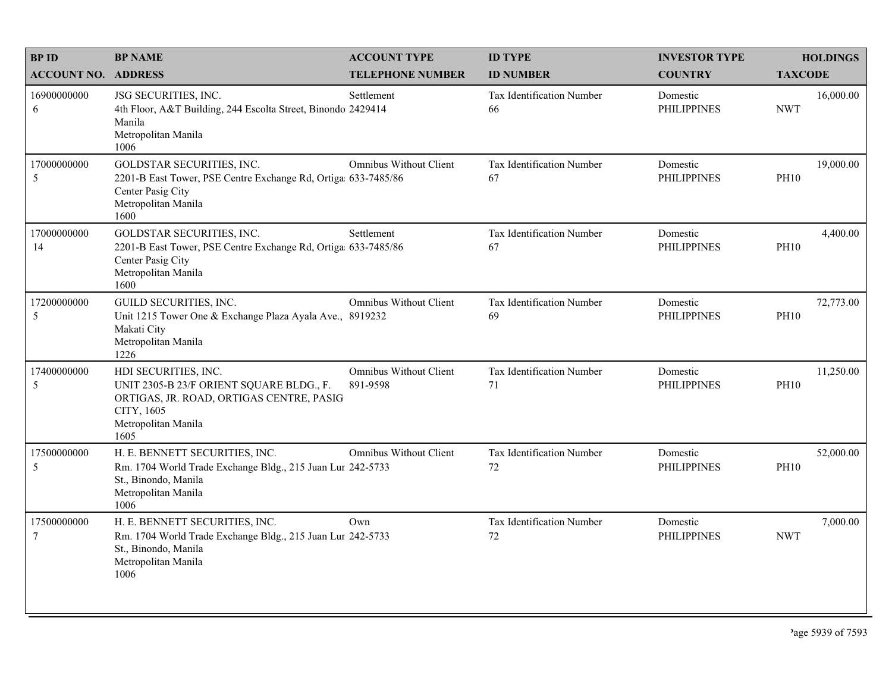| <b>BPID</b>                | <b>BP NAME</b>                                                                                                                                            | <b>ACCOUNT TYPE</b>                       | <b>ID TYPE</b>                         | <b>INVESTOR TYPE</b>           | <b>HOLDINGS</b>          |
|----------------------------|-----------------------------------------------------------------------------------------------------------------------------------------------------------|-------------------------------------------|----------------------------------------|--------------------------------|--------------------------|
| <b>ACCOUNT NO. ADDRESS</b> |                                                                                                                                                           | <b>TELEPHONE NUMBER</b>                   | <b>ID NUMBER</b>                       | <b>COUNTRY</b>                 | <b>TAXCODE</b>           |
| 16900000000<br>6           | JSG SECURITIES, INC.<br>4th Floor, A&T Building, 244 Escolta Street, Binondo 2429414<br>Manila<br>Metropolitan Manila<br>1006                             | Settlement                                | <b>Tax Identification Number</b><br>66 | Domestic<br><b>PHILIPPINES</b> | 16,000.00<br><b>NWT</b>  |
| 17000000000<br>5           | GOLDSTAR SECURITIES, INC.<br>2201-B East Tower, PSE Centre Exchange Rd, Ortiga 633-7485/86<br>Center Pasig City<br>Metropolitan Manila<br>1600            | Omnibus Without Client                    | Tax Identification Number<br>67        | Domestic<br><b>PHILIPPINES</b> | 19,000.00<br><b>PH10</b> |
| 17000000000<br>14          | GOLDSTAR SECURITIES, INC.<br>2201-B East Tower, PSE Centre Exchange Rd, Ortiga 633-7485/86<br>Center Pasig City<br>Metropolitan Manila<br>1600            | Settlement                                | Tax Identification Number<br>67        | Domestic<br><b>PHILIPPINES</b> | 4,400.00<br><b>PH10</b>  |
| 17200000000<br>5           | GUILD SECURITIES, INC.<br>Unit 1215 Tower One & Exchange Plaza Ayala Ave., 8919232<br>Makati City<br>Metropolitan Manila<br>1226                          | <b>Omnibus Without Client</b>             | Tax Identification Number<br>69        | Domestic<br><b>PHILIPPINES</b> | 72,773.00<br><b>PH10</b> |
| 17400000000<br>5           | HDI SECURITIES, INC.<br>UNIT 2305-B 23/F ORIENT SQUARE BLDG., F.<br>ORTIGAS, JR. ROAD, ORTIGAS CENTRE, PASIG<br>CITY, 1605<br>Metropolitan Manila<br>1605 | <b>Omnibus Without Client</b><br>891-9598 | Tax Identification Number<br>71        | Domestic<br><b>PHILIPPINES</b> | 11,250.00<br><b>PH10</b> |
| 17500000000<br>5           | H. E. BENNETT SECURITIES, INC.<br>Rm. 1704 World Trade Exchange Bldg., 215 Juan Lur 242-5733<br>St., Binondo, Manila<br>Metropolitan Manila<br>1006       | <b>Omnibus Without Client</b>             | Tax Identification Number<br>72        | Domestic<br><b>PHILIPPINES</b> | 52,000.00<br><b>PH10</b> |
| 17500000000<br>$\tau$      | H. E. BENNETT SECURITIES, INC.<br>Rm. 1704 World Trade Exchange Bldg., 215 Juan Lur 242-5733<br>St., Binondo, Manila<br>Metropolitan Manila<br>1006       | Own                                       | Tax Identification Number<br>72        | Domestic<br><b>PHILIPPINES</b> | 7,000.00<br><b>NWT</b>   |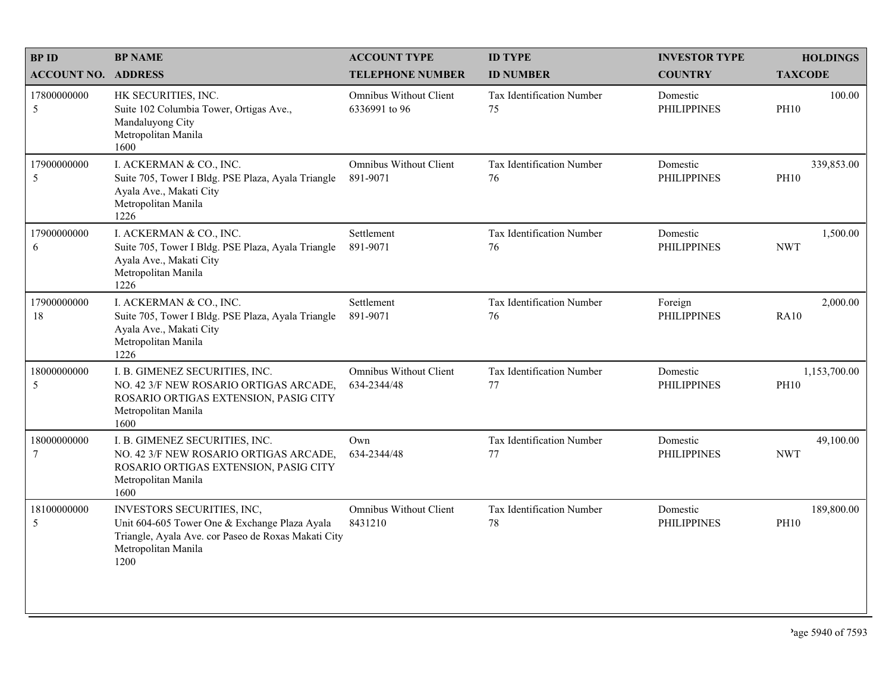| <b>BPID</b>                     | <b>BP NAME</b>                                                                                                                                                    | <b>ACCOUNT TYPE</b>                            | <b>ID TYPE</b>                         | <b>INVESTOR TYPE</b>           | <b>HOLDINGS</b>             |
|---------------------------------|-------------------------------------------------------------------------------------------------------------------------------------------------------------------|------------------------------------------------|----------------------------------------|--------------------------------|-----------------------------|
| <b>ACCOUNT NO. ADDRESS</b>      |                                                                                                                                                                   | <b>TELEPHONE NUMBER</b>                        | <b>ID NUMBER</b>                       | <b>COUNTRY</b>                 | <b>TAXCODE</b>              |
| 17800000000<br>5                | HK SECURITIES, INC.<br>Suite 102 Columbia Tower, Ortigas Ave.,<br>Mandaluyong City<br>Metropolitan Manila<br>1600                                                 | <b>Omnibus Without Client</b><br>6336991 to 96 | <b>Tax Identification Number</b><br>75 | Domestic<br><b>PHILIPPINES</b> | 100.00<br><b>PH10</b>       |
| 17900000000<br>5                | I. ACKERMAN & CO., INC.<br>Suite 705, Tower I Bldg. PSE Plaza, Ayala Triangle<br>Ayala Ave., Makati City<br>Metropolitan Manila<br>1226                           | <b>Omnibus Without Client</b><br>891-9071      | Tax Identification Number<br>76        | Domestic<br><b>PHILIPPINES</b> | 339,853.00<br><b>PH10</b>   |
| 17900000000<br>6                | I. ACKERMAN & CO., INC.<br>Suite 705, Tower I Bldg. PSE Plaza, Ayala Triangle<br>Ayala Ave., Makati City<br>Metropolitan Manila<br>1226                           | Settlement<br>891-9071                         | Tax Identification Number<br>76        | Domestic<br><b>PHILIPPINES</b> | 1,500.00<br><b>NWT</b>      |
| 17900000000<br>18               | I. ACKERMAN & CO., INC.<br>Suite 705, Tower I Bldg. PSE Plaza, Ayala Triangle<br>Ayala Ave., Makati City<br>Metropolitan Manila<br>1226                           | Settlement<br>891-9071                         | Tax Identification Number<br>76        | Foreign<br><b>PHILIPPINES</b>  | 2,000.00<br><b>RA10</b>     |
| 18000000000<br>5                | I. B. GIMENEZ SECURITIES, INC.<br>NO. 42 3/F NEW ROSARIO ORTIGAS ARCADE,<br>ROSARIO ORTIGAS EXTENSION, PASIG CITY<br>Metropolitan Manila<br>1600                  | <b>Omnibus Without Client</b><br>634-2344/48   | Tax Identification Number<br>77        | Domestic<br><b>PHILIPPINES</b> | 1,153,700.00<br><b>PH10</b> |
| 18000000000<br>$\boldsymbol{7}$ | I. B. GIMENEZ SECURITIES, INC.<br>NO. 42 3/F NEW ROSARIO ORTIGAS ARCADE,<br>ROSARIO ORTIGAS EXTENSION, PASIG CITY<br>Metropolitan Manila<br>1600                  | Own<br>634-2344/48                             | Tax Identification Number<br>77        | Domestic<br><b>PHILIPPINES</b> | 49,100.00<br><b>NWT</b>     |
| 18100000000<br>5                | INVESTORS SECURITIES, INC,<br>Unit 604-605 Tower One & Exchange Plaza Ayala<br>Triangle, Ayala Ave. cor Paseo de Roxas Makati City<br>Metropolitan Manila<br>1200 | Omnibus Without Client<br>8431210              | Tax Identification Number<br>78        | Domestic<br><b>PHILIPPINES</b> | 189,800.00<br><b>PH10</b>   |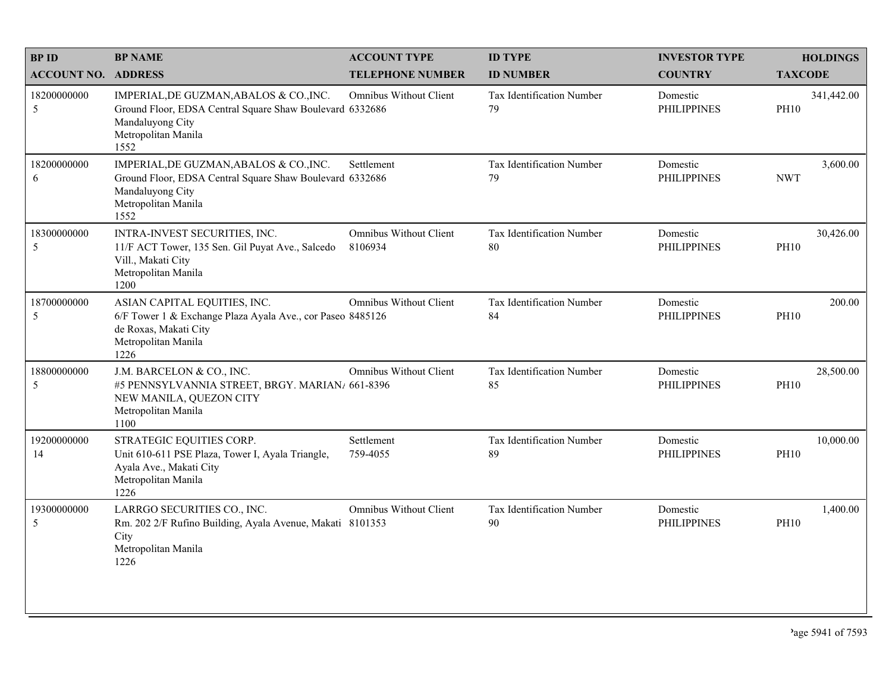| <b>BPID</b>                | <b>BP NAME</b>                                                                                                                                         | <b>ACCOUNT TYPE</b>                      | <b>ID TYPE</b>                         | <b>INVESTOR TYPE</b>           | <b>HOLDINGS</b>           |
|----------------------------|--------------------------------------------------------------------------------------------------------------------------------------------------------|------------------------------------------|----------------------------------------|--------------------------------|---------------------------|
| <b>ACCOUNT NO. ADDRESS</b> |                                                                                                                                                        | <b>TELEPHONE NUMBER</b>                  | <b>ID NUMBER</b>                       | <b>COUNTRY</b>                 | <b>TAXCODE</b>            |
| 18200000000<br>5           | IMPERIAL, DE GUZMAN, ABALOS & CO., INC.<br>Ground Floor, EDSA Central Square Shaw Boulevard 6332686<br>Mandaluyong City<br>Metropolitan Manila<br>1552 | <b>Omnibus Without Client</b>            | <b>Tax Identification Number</b><br>79 | Domestic<br><b>PHILIPPINES</b> | 341,442.00<br><b>PH10</b> |
| 18200000000<br>6           | IMPERIAL, DE GUZMAN, ABALOS & CO., INC.<br>Ground Floor, EDSA Central Square Shaw Boulevard 6332686<br>Mandaluyong City<br>Metropolitan Manila<br>1552 | Settlement                               | Tax Identification Number<br>79        | Domestic<br><b>PHILIPPINES</b> | 3,600.00<br><b>NWT</b>    |
| 18300000000<br>5           | INTRA-INVEST SECURITIES, INC.<br>11/F ACT Tower, 135 Sen. Gil Puyat Ave., Salcedo<br>Vill., Makati City<br>Metropolitan Manila<br>1200                 | <b>Omnibus Without Client</b><br>8106934 | Tax Identification Number<br>80        | Domestic<br><b>PHILIPPINES</b> | 30,426.00<br><b>PH10</b>  |
| 18700000000<br>$\sqrt{5}$  | ASIAN CAPITAL EQUITIES, INC.<br>6/F Tower 1 & Exchange Plaza Ayala Ave., cor Paseo 8485126<br>de Roxas, Makati City<br>Metropolitan Manila<br>1226     | Omnibus Without Client                   | Tax Identification Number<br>84        | Domestic<br><b>PHILIPPINES</b> | 200.00<br><b>PH10</b>     |
| 18800000000<br>5           | J.M. BARCELON & CO., INC.<br>#5 PENNSYLVANNIA STREET, BRGY. MARIAN/ 661-8396<br>NEW MANILA, QUEZON CITY<br>Metropolitan Manila<br>1100                 | <b>Omnibus Without Client</b>            | Tax Identification Number<br>85        | Domestic<br><b>PHILIPPINES</b> | 28,500.00<br><b>PH10</b>  |
| 19200000000<br>14          | STRATEGIC EQUITIES CORP.<br>Unit 610-611 PSE Plaza, Tower I, Ayala Triangle,<br>Ayala Ave., Makati City<br>Metropolitan Manila<br>1226                 | Settlement<br>759-4055                   | Tax Identification Number<br>89        | Domestic<br><b>PHILIPPINES</b> | 10,000.00<br><b>PH10</b>  |
| 19300000000<br>5           | LARRGO SECURITIES CO., INC.<br>Rm. 202 2/F Rufino Building, Ayala Avenue, Makati 8101353<br>City<br>Metropolitan Manila<br>1226                        | <b>Omnibus Without Client</b>            | Tax Identification Number<br>90        | Domestic<br><b>PHILIPPINES</b> | 1,400.00<br><b>PH10</b>   |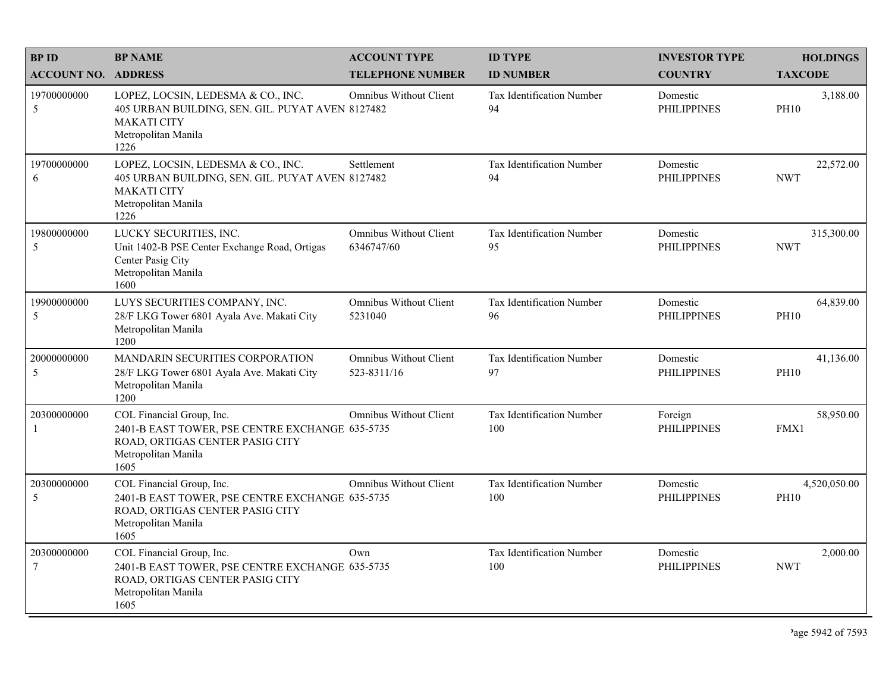| <b>BPID</b>                   | <b>BP NAME</b>                                                                                                                                 | <b>ACCOUNT TYPE</b>                          | <b>ID TYPE</b>                   | <b>INVESTOR TYPE</b>           | <b>HOLDINGS</b>             |
|-------------------------------|------------------------------------------------------------------------------------------------------------------------------------------------|----------------------------------------------|----------------------------------|--------------------------------|-----------------------------|
| <b>ACCOUNT NO. ADDRESS</b>    |                                                                                                                                                | <b>TELEPHONE NUMBER</b>                      | <b>ID NUMBER</b>                 | <b>COUNTRY</b>                 | <b>TAXCODE</b>              |
| 19700000000<br>5              | LOPEZ, LOCSIN, LEDESMA & CO., INC.<br>405 URBAN BUILDING, SEN. GIL. PUYAT AVEN 8127482<br><b>MAKATI CITY</b><br>Metropolitan Manila<br>1226    | <b>Omnibus Without Client</b>                | Tax Identification Number<br>94  | Domestic<br><b>PHILIPPINES</b> | 3,188.00<br><b>PH10</b>     |
| 19700000000<br>6              | LOPEZ, LOCSIN, LEDESMA & CO., INC.<br>405 URBAN BUILDING, SEN. GIL. PUYAT AVEN 8127482<br><b>MAKATI CITY</b><br>Metropolitan Manila<br>1226    | Settlement                                   | Tax Identification Number<br>94  | Domestic<br><b>PHILIPPINES</b> | 22,572.00<br><b>NWT</b>     |
| 19800000000<br>5              | LUCKY SECURITIES, INC.<br>Unit 1402-B PSE Center Exchange Road, Ortigas<br>Center Pasig City<br>Metropolitan Manila<br>1600                    | <b>Omnibus Without Client</b><br>6346747/60  | Tax Identification Number<br>95  | Domestic<br><b>PHILIPPINES</b> | 315,300.00<br><b>NWT</b>    |
| 19900000000<br>5              | LUYS SECURITIES COMPANY, INC.<br>28/F LKG Tower 6801 Ayala Ave. Makati City<br>Metropolitan Manila<br>1200                                     | <b>Omnibus Without Client</b><br>5231040     | Tax Identification Number<br>96  | Domestic<br><b>PHILIPPINES</b> | 64,839.00<br><b>PH10</b>    |
| 20000000000<br>5              | MANDARIN SECURITIES CORPORATION<br>28/F LKG Tower 6801 Ayala Ave. Makati City<br>Metropolitan Manila<br>1200                                   | <b>Omnibus Without Client</b><br>523-8311/16 | Tax Identification Number<br>97  | Domestic<br><b>PHILIPPINES</b> | 41,136.00<br><b>PH10</b>    |
| 20300000000<br>-1             | COL Financial Group, Inc.<br>2401-B EAST TOWER, PSE CENTRE EXCHANGE 635-5735<br>ROAD, ORTIGAS CENTER PASIG CITY<br>Metropolitan Manila<br>1605 | <b>Omnibus Without Client</b>                | Tax Identification Number<br>100 | Foreign<br><b>PHILIPPINES</b>  | 58,950.00<br>FMX1           |
| 20300000000<br>5              | COL Financial Group, Inc.<br>2401-B EAST TOWER, PSE CENTRE EXCHANGE 635-5735<br>ROAD, ORTIGAS CENTER PASIG CITY<br>Metropolitan Manila<br>1605 | <b>Omnibus Without Client</b>                | Tax Identification Number<br>100 | Domestic<br><b>PHILIPPINES</b> | 4,520,050.00<br><b>PH10</b> |
| 20300000000<br>$\overline{7}$ | COL Financial Group, Inc.<br>2401-B EAST TOWER, PSE CENTRE EXCHANGE 635-5735<br>ROAD, ORTIGAS CENTER PASIG CITY<br>Metropolitan Manila<br>1605 | Own                                          | Tax Identification Number<br>100 | Domestic<br><b>PHILIPPINES</b> | 2,000.00<br><b>NWT</b>      |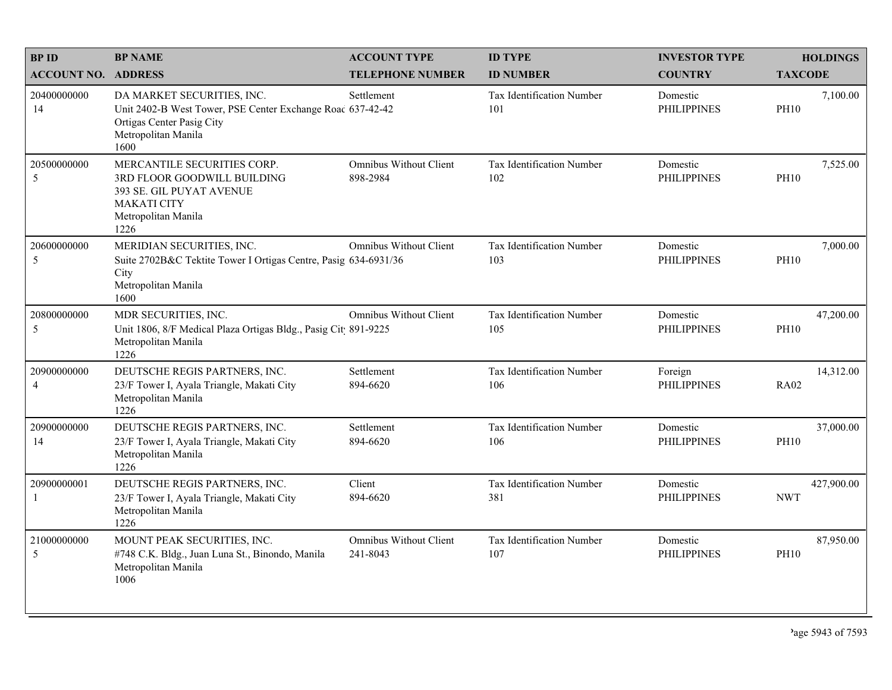| <b>BPID</b>                   | <b>BP NAME</b>                                                                                                                                       | <b>ACCOUNT TYPE</b>                       | <b>ID TYPE</b>                   | <b>INVESTOR TYPE</b>           | <b>HOLDINGS</b>          |
|-------------------------------|------------------------------------------------------------------------------------------------------------------------------------------------------|-------------------------------------------|----------------------------------|--------------------------------|--------------------------|
| <b>ACCOUNT NO. ADDRESS</b>    |                                                                                                                                                      | <b>TELEPHONE NUMBER</b>                   | <b>ID NUMBER</b>                 | <b>COUNTRY</b>                 | <b>TAXCODE</b>           |
| 20400000000<br>14             | DA MARKET SECURITIES, INC.<br>Unit 2402-B West Tower, PSE Center Exchange Roac 637-42-42<br>Ortigas Center Pasig City<br>Metropolitan Manila<br>1600 | Settlement                                | Tax Identification Number<br>101 | Domestic<br><b>PHILIPPINES</b> | 7,100.00<br><b>PH10</b>  |
| 20500000000<br>5              | MERCANTILE SECURITIES CORP.<br>3RD FLOOR GOODWILL BUILDING<br>393 SE. GIL PUYAT AVENUE<br><b>MAKATI CITY</b><br>Metropolitan Manila<br>1226          | <b>Omnibus Without Client</b><br>898-2984 | Tax Identification Number<br>102 | Domestic<br><b>PHILIPPINES</b> | 7,525.00<br><b>PH10</b>  |
| 20600000000<br>5              | MERIDIAN SECURITIES, INC.<br>Suite 2702B&C Tektite Tower I Ortigas Centre, Pasig 634-6931/36<br>City<br>Metropolitan Manila<br>1600                  | <b>Omnibus Without Client</b>             | Tax Identification Number<br>103 | Domestic<br><b>PHILIPPINES</b> | 7,000.00<br><b>PH10</b>  |
| 20800000000<br>5              | MDR SECURITIES, INC.<br>Unit 1806, 8/F Medical Plaza Ortigas Bldg., Pasig Cit 891-9225<br>Metropolitan Manila<br>1226                                | <b>Omnibus Without Client</b>             | Tax Identification Number<br>105 | Domestic<br><b>PHILIPPINES</b> | 47,200.00<br><b>PH10</b> |
| 20900000000<br>$\overline{4}$ | DEUTSCHE REGIS PARTNERS, INC.<br>23/F Tower I, Ayala Triangle, Makati City<br>Metropolitan Manila<br>1226                                            | Settlement<br>894-6620                    | Tax Identification Number<br>106 | Foreign<br><b>PHILIPPINES</b>  | 14,312.00<br><b>RA02</b> |
| 20900000000<br>14             | DEUTSCHE REGIS PARTNERS, INC.<br>23/F Tower I, Ayala Triangle, Makati City<br>Metropolitan Manila<br>1226                                            | Settlement<br>894-6620                    | Tax Identification Number<br>106 | Domestic<br><b>PHILIPPINES</b> | 37,000.00<br><b>PH10</b> |
| 20900000001<br>-1             | DEUTSCHE REGIS PARTNERS, INC.<br>23/F Tower I, Ayala Triangle, Makati City<br>Metropolitan Manila<br>1226                                            | Client<br>894-6620                        | Tax Identification Number<br>381 | Domestic<br><b>PHILIPPINES</b> | 427,900.00<br><b>NWT</b> |
| 21000000000<br>5              | MOUNT PEAK SECURITIES, INC.<br>#748 C.K. Bldg., Juan Luna St., Binondo, Manila<br>Metropolitan Manila<br>1006                                        | <b>Omnibus Without Client</b><br>241-8043 | Tax Identification Number<br>107 | Domestic<br><b>PHILIPPINES</b> | 87,950.00<br><b>PH10</b> |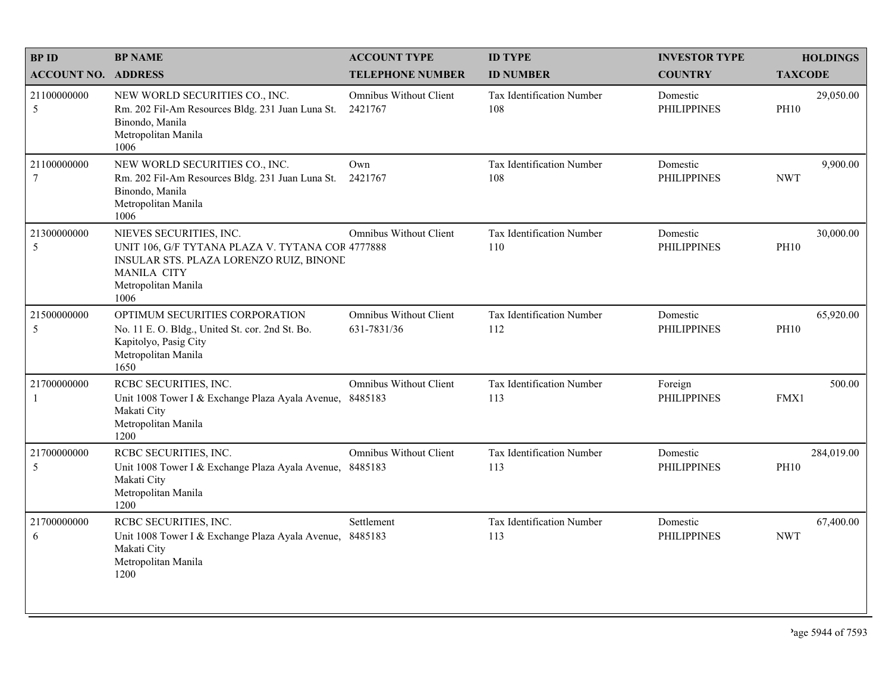| <b>BPID</b>                     | <b>BP NAME</b>                                                                                                                                                              | <b>ACCOUNT TYPE</b>                          | <b>ID TYPE</b>                   | <b>INVESTOR TYPE</b>           | <b>HOLDINGS</b>           |
|---------------------------------|-----------------------------------------------------------------------------------------------------------------------------------------------------------------------------|----------------------------------------------|----------------------------------|--------------------------------|---------------------------|
| <b>ACCOUNT NO. ADDRESS</b>      |                                                                                                                                                                             | <b>TELEPHONE NUMBER</b>                      | <b>ID NUMBER</b>                 | <b>COUNTRY</b>                 | <b>TAXCODE</b>            |
| 21100000000<br>5                | NEW WORLD SECURITIES CO., INC.<br>Rm. 202 Fil-Am Resources Bldg. 231 Juan Luna St.<br>Binondo, Manila<br>Metropolitan Manila<br>1006                                        | <b>Omnibus Without Client</b><br>2421767     | Tax Identification Number<br>108 | Domestic<br><b>PHILIPPINES</b> | 29,050.00<br><b>PH10</b>  |
| 21100000000<br>$\boldsymbol{7}$ | NEW WORLD SECURITIES CO., INC.<br>Rm. 202 Fil-Am Resources Bldg. 231 Juan Luna St.<br>Binondo, Manila<br>Metropolitan Manila<br>1006                                        | Own<br>2421767                               | Tax Identification Number<br>108 | Domestic<br><b>PHILIPPINES</b> | 9,900.00<br><b>NWT</b>    |
| 21300000000<br>5                | NIEVES SECURITIES, INC.<br>UNIT 106, G/F TYTANA PLAZA V. TYTANA COR 4777888<br>INSULAR STS. PLAZA LORENZO RUIZ, BINONE<br><b>MANILA CITY</b><br>Metropolitan Manila<br>1006 | <b>Omnibus Without Client</b>                | Tax Identification Number<br>110 | Domestic<br><b>PHILIPPINES</b> | 30,000.00<br><b>PH10</b>  |
| 21500000000<br>5                | OPTIMUM SECURITIES CORPORATION<br>No. 11 E.O. Bldg., United St. cor. 2nd St. Bo.<br>Kapitolyo, Pasig City<br>Metropolitan Manila<br>1650                                    | <b>Omnibus Without Client</b><br>631-7831/36 | Tax Identification Number<br>112 | Domestic<br><b>PHILIPPINES</b> | 65,920.00<br><b>PH10</b>  |
| 21700000000<br>$\mathbf{1}$     | RCBC SECURITIES, INC.<br>Unit 1008 Tower I & Exchange Plaza Ayala Avenue,<br>Makati City<br>Metropolitan Manila<br>1200                                                     | <b>Omnibus Without Client</b><br>8485183     | Tax Identification Number<br>113 | Foreign<br><b>PHILIPPINES</b>  | 500.00<br>FMX1            |
| 21700000000<br>5                | RCBC SECURITIES, INC.<br>Unit 1008 Tower I & Exchange Plaza Ayala Avenue, 8485183<br>Makati City<br>Metropolitan Manila<br>1200                                             | <b>Omnibus Without Client</b>                | Tax Identification Number<br>113 | Domestic<br><b>PHILIPPINES</b> | 284,019.00<br><b>PH10</b> |
| 21700000000<br>6                | RCBC SECURITIES, INC.<br>Unit 1008 Tower I & Exchange Plaza Ayala Avenue, 8485183<br>Makati City<br>Metropolitan Manila<br>1200                                             | Settlement                                   | Tax Identification Number<br>113 | Domestic<br><b>PHILIPPINES</b> | 67,400.00<br><b>NWT</b>   |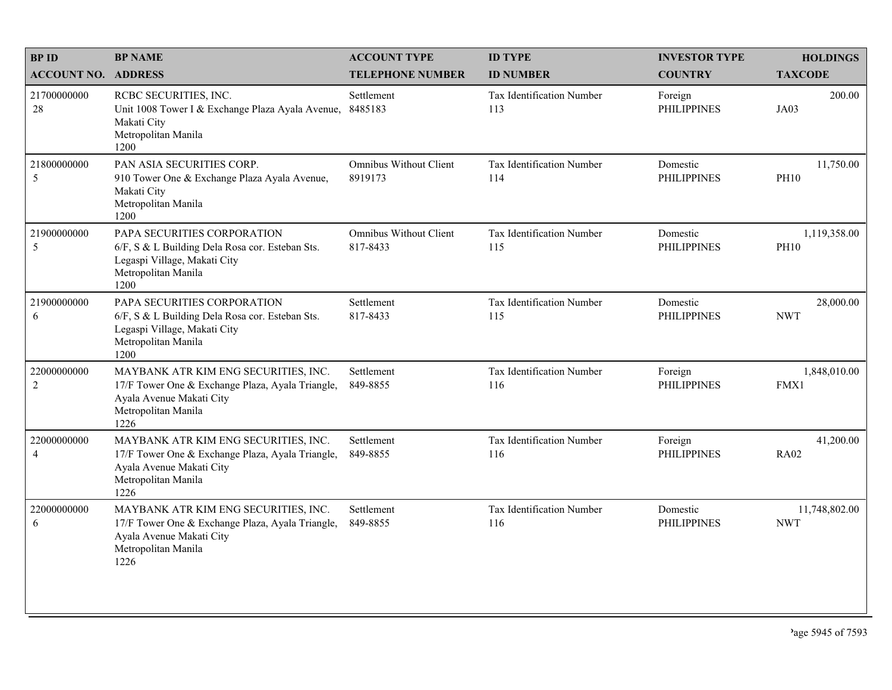| <b>BPID</b>                   | <b>BP NAME</b>                                                                                                                                      | <b>ACCOUNT TYPE</b>                       | <b>ID TYPE</b>                   | <b>INVESTOR TYPE</b>           | <b>HOLDINGS</b>             |
|-------------------------------|-----------------------------------------------------------------------------------------------------------------------------------------------------|-------------------------------------------|----------------------------------|--------------------------------|-----------------------------|
| <b>ACCOUNT NO. ADDRESS</b>    |                                                                                                                                                     | <b>TELEPHONE NUMBER</b>                   | <b>ID NUMBER</b>                 | <b>COUNTRY</b>                 | <b>TAXCODE</b>              |
| 21700000000<br>28             | RCBC SECURITIES, INC.<br>Unit 1008 Tower I & Exchange Plaza Ayala Avenue,<br>Makati City<br>Metropolitan Manila<br>1200                             | Settlement<br>8485183                     | Tax Identification Number<br>113 | Foreign<br><b>PHILIPPINES</b>  | 200.00<br>JA03              |
| 21800000000<br>5              | PAN ASIA SECURITIES CORP.<br>910 Tower One & Exchange Plaza Ayala Avenue,<br>Makati City<br>Metropolitan Manila<br>1200                             | <b>Omnibus Without Client</b><br>8919173  | Tax Identification Number<br>114 | Domestic<br><b>PHILIPPINES</b> | 11,750.00<br><b>PH10</b>    |
| 21900000000<br>5              | PAPA SECURITIES CORPORATION<br>6/F, S & L Building Dela Rosa cor. Esteban Sts.<br>Legaspi Village, Makati City<br>Metropolitan Manila<br>1200       | <b>Omnibus Without Client</b><br>817-8433 | Tax Identification Number<br>115 | Domestic<br><b>PHILIPPINES</b> | 1,119,358.00<br><b>PH10</b> |
| 21900000000<br>6              | PAPA SECURITIES CORPORATION<br>6/F, S & L Building Dela Rosa cor. Esteban Sts.<br>Legaspi Village, Makati City<br>Metropolitan Manila<br>1200       | Settlement<br>817-8433                    | Tax Identification Number<br>115 | Domestic<br><b>PHILIPPINES</b> | 28,000.00<br><b>NWT</b>     |
| 22000000000<br>$\overline{c}$ | MAYBANK ATR KIM ENG SECURITIES, INC.<br>17/F Tower One & Exchange Plaza, Ayala Triangle,<br>Ayala Avenue Makati City<br>Metropolitan Manila<br>1226 | Settlement<br>849-8855                    | Tax Identification Number<br>116 | Foreign<br><b>PHILIPPINES</b>  | 1,848,010.00<br>FMX1        |
| 22000000000<br>$\overline{4}$ | MAYBANK ATR KIM ENG SECURITIES, INC.<br>17/F Tower One & Exchange Plaza, Ayala Triangle,<br>Ayala Avenue Makati City<br>Metropolitan Manila<br>1226 | Settlement<br>849-8855                    | Tax Identification Number<br>116 | Foreign<br><b>PHILIPPINES</b>  | 41,200.00<br><b>RA02</b>    |
| 22000000000<br>6              | MAYBANK ATR KIM ENG SECURITIES, INC.<br>17/F Tower One & Exchange Plaza, Ayala Triangle,<br>Ayala Avenue Makati City<br>Metropolitan Manila<br>1226 | Settlement<br>849-8855                    | Tax Identification Number<br>116 | Domestic<br><b>PHILIPPINES</b> | 11,748,802.00<br><b>NWT</b> |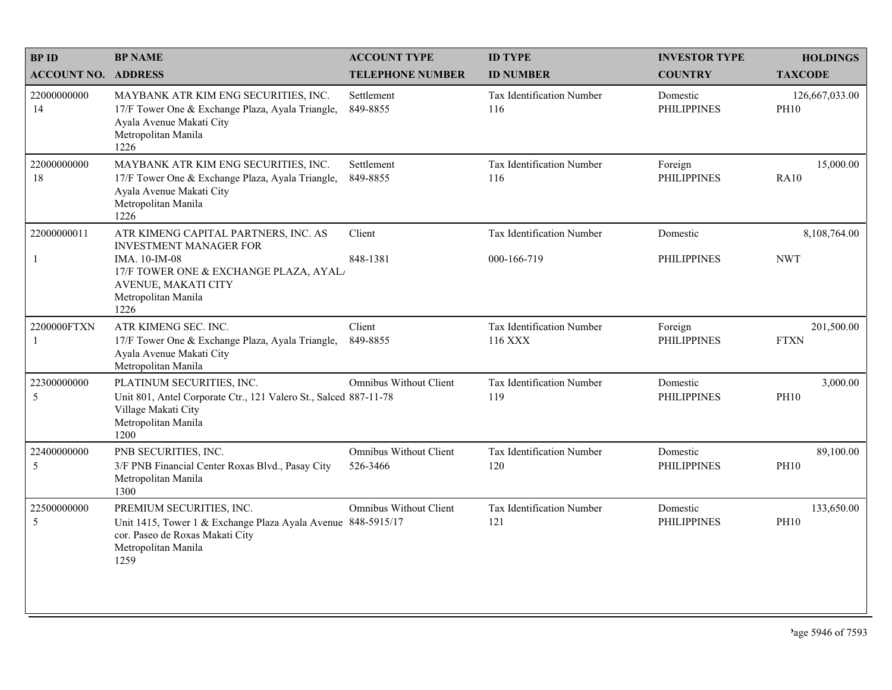| <b>BPID</b>                | <b>BP NAME</b>                                                                                                                                                                        | <b>ACCOUNT TYPE</b>                       | <b>ID TYPE</b>                           | <b>INVESTOR TYPE</b>           | <b>HOLDINGS</b>               |
|----------------------------|---------------------------------------------------------------------------------------------------------------------------------------------------------------------------------------|-------------------------------------------|------------------------------------------|--------------------------------|-------------------------------|
| <b>ACCOUNT NO. ADDRESS</b> |                                                                                                                                                                                       | <b>TELEPHONE NUMBER</b>                   | <b>ID NUMBER</b>                         | <b>COUNTRY</b>                 | <b>TAXCODE</b>                |
| 22000000000<br>14          | MAYBANK ATR KIM ENG SECURITIES, INC.<br>17/F Tower One & Exchange Plaza, Ayala Triangle,<br>Ayala Avenue Makati City<br>Metropolitan Manila<br>1226                                   | Settlement<br>849-8855                    | Tax Identification Number<br>116         | Domestic<br><b>PHILIPPINES</b> | 126,667,033.00<br><b>PH10</b> |
| 22000000000<br>18          | MAYBANK ATR KIM ENG SECURITIES, INC.<br>17/F Tower One & Exchange Plaza, Ayala Triangle,<br>Ayala Avenue Makati City<br>Metropolitan Manila<br>1226                                   | Settlement<br>849-8855                    | <b>Tax Identification Number</b><br>116  | Foreign<br><b>PHILIPPINES</b>  | 15,000.00<br><b>RA10</b>      |
| 22000000011<br>1           | ATR KIMENG CAPITAL PARTNERS, INC. AS<br><b>INVESTMENT MANAGER FOR</b><br>IMA. 10-IM-08<br>17/F TOWER ONE & EXCHANGE PLAZA, AYAL<br>AVENUE, MAKATI CITY<br>Metropolitan Manila<br>1226 | Client<br>848-1381                        | Tax Identification Number<br>000-166-719 | Domestic<br><b>PHILIPPINES</b> | 8,108,764.00<br><b>NWT</b>    |
| 2200000FTXN<br>1           | ATR KIMENG SEC. INC.<br>17/F Tower One & Exchange Plaza, Ayala Triangle,<br>Ayala Avenue Makati City<br>Metropolitan Manila                                                           | Client<br>849-8855                        | Tax Identification Number<br>116 XXX     | Foreign<br><b>PHILIPPINES</b>  | 201,500.00<br><b>FTXN</b>     |
| 22300000000<br>5           | PLATINUM SECURITIES, INC.<br>Unit 801, Antel Corporate Ctr., 121 Valero St., Salced 887-11-78<br>Village Makati City<br>Metropolitan Manila<br>1200                                   | <b>Omnibus Without Client</b>             | Tax Identification Number<br>119         | Domestic<br><b>PHILIPPINES</b> | 3,000.00<br><b>PH10</b>       |
| 22400000000<br>5           | PNB SECURITIES, INC.<br>3/F PNB Financial Center Roxas Blvd., Pasay City<br>Metropolitan Manila<br>1300                                                                               | <b>Omnibus Without Client</b><br>526-3466 | Tax Identification Number<br>120         | Domestic<br><b>PHILIPPINES</b> | 89,100.00<br><b>PH10</b>      |
| 22500000000<br>5           | PREMIUM SECURITIES, INC.<br>Unit 1415, Tower 1 & Exchange Plaza Ayala Avenue 848-5915/17<br>cor. Paseo de Roxas Makati City<br>Metropolitan Manila<br>1259                            | <b>Omnibus Without Client</b>             | Tax Identification Number<br>121         | Domestic<br><b>PHILIPPINES</b> | 133,650.00<br><b>PH10</b>     |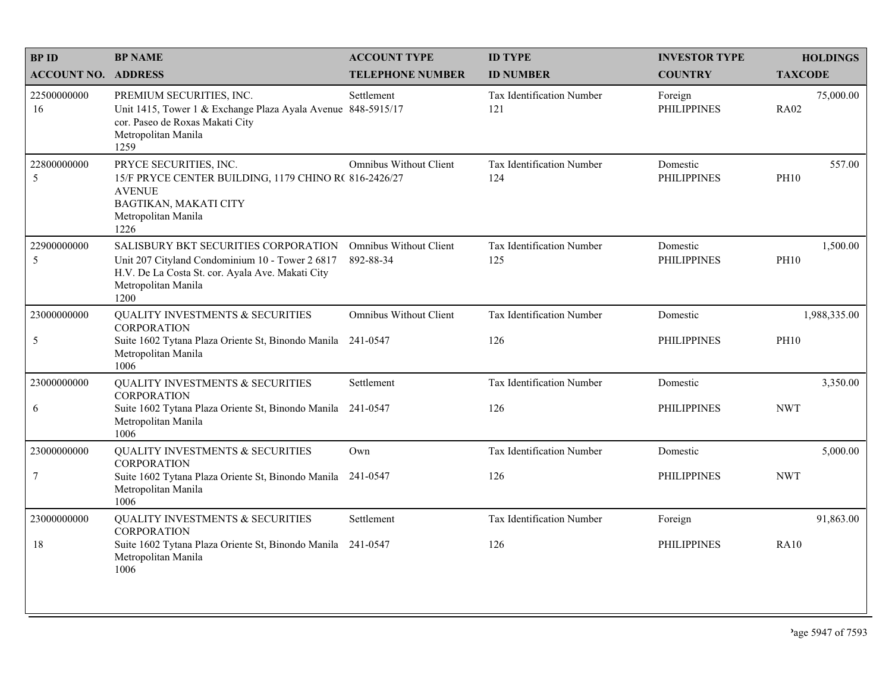| <b>BPID</b>                | <b>BP NAME</b>                                                                                                                                                             | <b>ACCOUNT TYPE</b>                        | <b>ID TYPE</b>                   | <b>INVESTOR TYPE</b>           | <b>HOLDINGS</b>          |
|----------------------------|----------------------------------------------------------------------------------------------------------------------------------------------------------------------------|--------------------------------------------|----------------------------------|--------------------------------|--------------------------|
| <b>ACCOUNT NO. ADDRESS</b> |                                                                                                                                                                            | <b>TELEPHONE NUMBER</b>                    | <b>ID NUMBER</b>                 | <b>COUNTRY</b>                 | <b>TAXCODE</b>           |
| 22500000000<br>16          | PREMIUM SECURITIES, INC.<br>Unit 1415, Tower 1 & Exchange Plaza Ayala Avenue 848-5915/17<br>cor. Paseo de Roxas Makati City<br>Metropolitan Manila<br>1259                 | Settlement                                 | Tax Identification Number<br>121 | Foreign<br><b>PHILIPPINES</b>  | 75,000.00<br><b>RA02</b> |
| 22800000000<br>5           | PRYCE SECURITIES, INC.<br>15/F PRYCE CENTER BUILDING, 1179 CHINO R(816-2426/27<br><b>AVENUE</b><br>BAGTIKAN, MAKATI CITY<br>Metropolitan Manila<br>1226                    | <b>Omnibus Without Client</b>              | Tax Identification Number<br>124 | Domestic<br><b>PHILIPPINES</b> | 557.00<br><b>PH10</b>    |
| 22900000000<br>5           | SALISBURY BKT SECURITIES CORPORATION<br>Unit 207 Cityland Condominium 10 - Tower 2 6817<br>H.V. De La Costa St. cor. Ayala Ave. Makati City<br>Metropolitan Manila<br>1200 | <b>Omnibus Without Client</b><br>892-88-34 | Tax Identification Number<br>125 | Domestic<br><b>PHILIPPINES</b> | 1,500.00<br><b>PH10</b>  |
| 23000000000                | <b>QUALITY INVESTMENTS &amp; SECURITIES</b><br><b>CORPORATION</b>                                                                                                          | <b>Omnibus Without Client</b>              | Tax Identification Number        | Domestic                       | 1,988,335.00             |
| 5                          | Suite 1602 Tytana Plaza Oriente St, Binondo Manila 241-0547<br>Metropolitan Manila<br>1006                                                                                 |                                            | 126                              | <b>PHILIPPINES</b>             | <b>PH10</b>              |
| 23000000000                | <b>QUALITY INVESTMENTS &amp; SECURITIES</b><br><b>CORPORATION</b>                                                                                                          | Settlement                                 | Tax Identification Number        | Domestic                       | 3,350.00                 |
| 6                          | Suite 1602 Tytana Plaza Oriente St, Binondo Manila<br>Metropolitan Manila<br>1006                                                                                          | 241-0547                                   | 126                              | <b>PHILIPPINES</b>             | <b>NWT</b>               |
| 23000000000                | <b>QUALITY INVESTMENTS &amp; SECURITIES</b><br><b>CORPORATION</b>                                                                                                          | Own                                        | Tax Identification Number        | Domestic                       | 5,000.00                 |
| $\overline{7}$             | Suite 1602 Tytana Plaza Oriente St, Binondo Manila 241-0547<br>Metropolitan Manila<br>1006                                                                                 |                                            | 126                              | <b>PHILIPPINES</b>             | <b>NWT</b>               |
| 23000000000                | <b>QUALITY INVESTMENTS &amp; SECURITIES</b><br><b>CORPORATION</b>                                                                                                          | Settlement                                 | Tax Identification Number        | Foreign                        | 91,863.00                |
| 18                         | Suite 1602 Tytana Plaza Oriente St, Binondo Manila 241-0547<br>Metropolitan Manila<br>1006                                                                                 |                                            | 126                              | <b>PHILIPPINES</b>             | RA10                     |
|                            |                                                                                                                                                                            |                                            |                                  |                                |                          |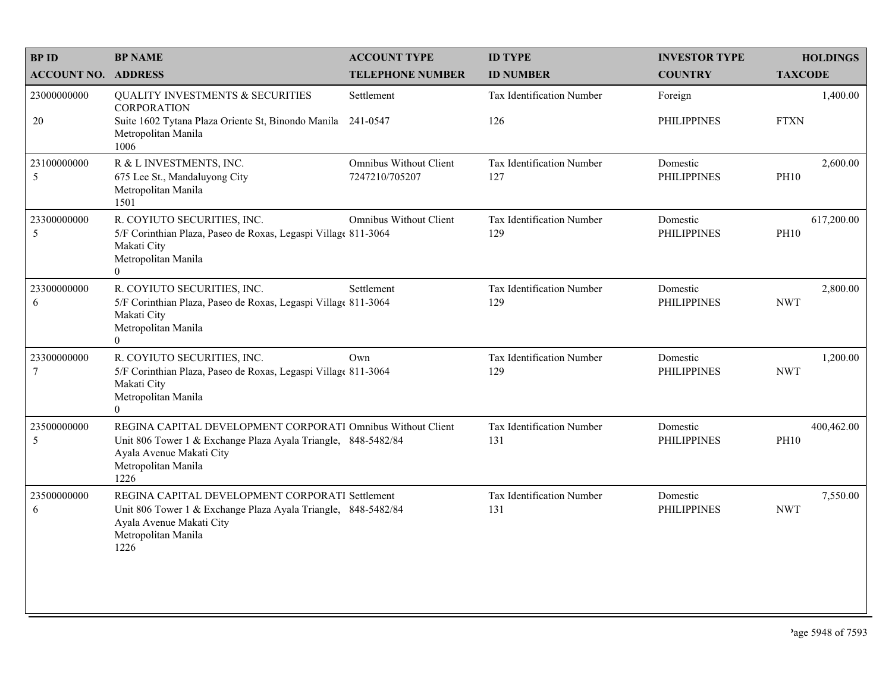| <b>BPID</b>                     | <b>BP NAME</b>                                                                                                                                                                          | <b>ACCOUNT TYPE</b>                             | <b>ID TYPE</b>                   | <b>INVESTOR TYPE</b>           | <b>HOLDINGS</b>           |
|---------------------------------|-----------------------------------------------------------------------------------------------------------------------------------------------------------------------------------------|-------------------------------------------------|----------------------------------|--------------------------------|---------------------------|
| <b>ACCOUNT NO. ADDRESS</b>      |                                                                                                                                                                                         | <b>TELEPHONE NUMBER</b>                         | <b>ID NUMBER</b>                 | <b>COUNTRY</b>                 | <b>TAXCODE</b>            |
| 23000000000<br>20               | <b>QUALITY INVESTMENTS &amp; SECURITIES</b><br><b>CORPORATION</b><br>Suite 1602 Tytana Plaza Oriente St, Binondo Manila<br>Metropolitan Manila<br>1006                                  | Settlement<br>241-0547                          | Tax Identification Number<br>126 | Foreign<br><b>PHILIPPINES</b>  | 1,400.00<br><b>FTXN</b>   |
| 23100000000<br>5                | R & L INVESTMENTS, INC.<br>675 Lee St., Mandaluyong City<br>Metropolitan Manila<br>1501                                                                                                 | <b>Omnibus Without Client</b><br>7247210/705207 | Tax Identification Number<br>127 | Domestic<br><b>PHILIPPINES</b> | 2,600.00<br><b>PH10</b>   |
| 23300000000<br>5                | R. COYIUTO SECURITIES, INC.<br>5/F Corinthian Plaza, Paseo de Roxas, Legaspi Village 811-3064<br>Makati City<br>Metropolitan Manila<br>$\theta$                                         | <b>Omnibus Without Client</b>                   | Tax Identification Number<br>129 | Domestic<br><b>PHILIPPINES</b> | 617,200.00<br><b>PH10</b> |
| 23300000000<br>6                | R. COYIUTO SECURITIES, INC.<br>5/F Corinthian Plaza, Paseo de Roxas, Legaspi Village 811-3064<br>Makati City<br>Metropolitan Manila<br>$\Omega$                                         | Settlement                                      | Tax Identification Number<br>129 | Domestic<br><b>PHILIPPINES</b> | 2,800.00<br><b>NWT</b>    |
| 23300000000<br>$\boldsymbol{7}$ | R. COYIUTO SECURITIES, INC.<br>5/F Corinthian Plaza, Paseo de Roxas, Legaspi Villag( 811-3064<br>Makati City<br>Metropolitan Manila<br>$\mathbf{0}$                                     | Own                                             | Tax Identification Number<br>129 | Domestic<br><b>PHILIPPINES</b> | 1,200.00<br><b>NWT</b>    |
| 23500000000<br>5                | REGINA CAPITAL DEVELOPMENT CORPORATI Omnibus Without Client<br>Unit 806 Tower 1 & Exchange Plaza Ayala Triangle, 848-5482/84<br>Ayala Avenue Makati City<br>Metropolitan Manila<br>1226 |                                                 | Tax Identification Number<br>131 | Domestic<br><b>PHILIPPINES</b> | 400,462.00<br><b>PH10</b> |
| 23500000000<br>6                | REGINA CAPITAL DEVELOPMENT CORPORATI Settlement<br>Unit 806 Tower 1 & Exchange Plaza Ayala Triangle, 848-5482/84<br>Ayala Avenue Makati City<br>Metropolitan Manila<br>1226             |                                                 | Tax Identification Number<br>131 | Domestic<br><b>PHILIPPINES</b> | 7,550.00<br><b>NWT</b>    |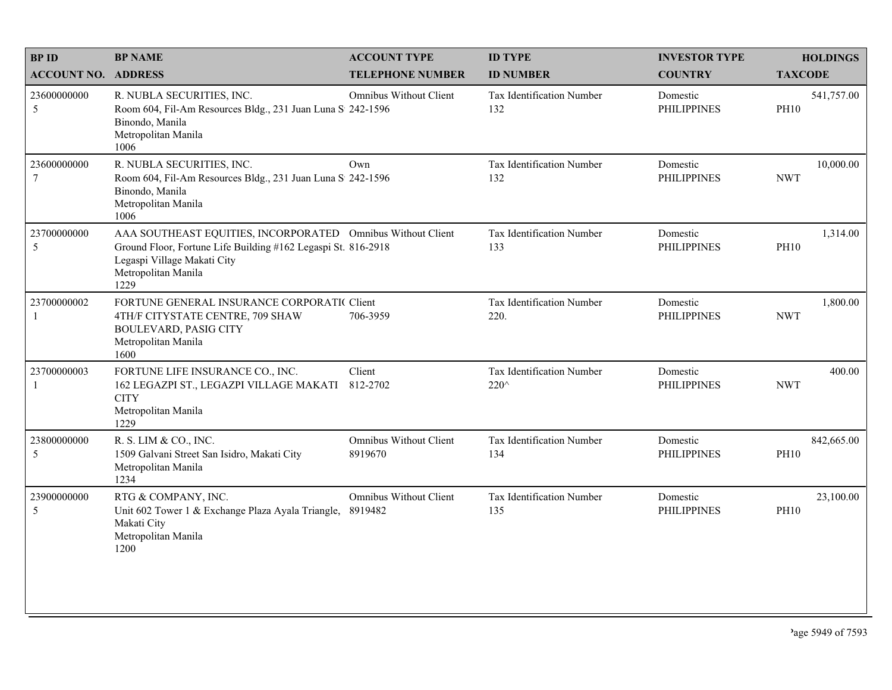| <b>BPID</b>                   | <b>BP NAME</b>                                                                                                                                                                             | <b>ACCOUNT TYPE</b>                      | <b>ID TYPE</b>                          | <b>INVESTOR TYPE</b>           | <b>HOLDINGS</b>           |
|-------------------------------|--------------------------------------------------------------------------------------------------------------------------------------------------------------------------------------------|------------------------------------------|-----------------------------------------|--------------------------------|---------------------------|
| <b>ACCOUNT NO. ADDRESS</b>    |                                                                                                                                                                                            | <b>TELEPHONE NUMBER</b>                  | <b>ID NUMBER</b>                        | <b>COUNTRY</b>                 | <b>TAXCODE</b>            |
| 23600000000<br>5              | R. NUBLA SECURITIES, INC.<br>Room 604, Fil-Am Resources Bldg., 231 Juan Luna S 242-1596<br>Binondo, Manila<br>Metropolitan Manila<br>1006                                                  | <b>Omnibus Without Client</b>            | <b>Tax Identification Number</b><br>132 | Domestic<br><b>PHILIPPINES</b> | 541,757.00<br><b>PH10</b> |
| 23600000000<br>$\overline{7}$ | R. NUBLA SECURITIES, INC.<br>Room 604, Fil-Am Resources Bldg., 231 Juan Luna S 242-1596<br>Binondo, Manila<br>Metropolitan Manila<br>1006                                                  | Own                                      | Tax Identification Number<br>132        | Domestic<br><b>PHILIPPINES</b> | 10,000.00<br><b>NWT</b>   |
| 23700000000<br>5              | AAA SOUTHEAST EQUITIES, INCORPORATED Omnibus Without Client<br>Ground Floor, Fortune Life Building #162 Legaspi St. 816-2918<br>Legaspi Village Makati City<br>Metropolitan Manila<br>1229 |                                          | Tax Identification Number<br>133        | Domestic<br><b>PHILIPPINES</b> | 1,314.00<br><b>PH10</b>   |
| 23700000002<br>$\mathbf{1}$   | FORTUNE GENERAL INSURANCE CORPORATIC Client<br>4TH/F CITYSTATE CENTRE, 709 SHAW<br>BOULEVARD, PASIG CITY<br>Metropolitan Manila<br>1600                                                    | 706-3959                                 | Tax Identification Number<br>220.       | Domestic<br><b>PHILIPPINES</b> | 1,800.00<br><b>NWT</b>    |
| 23700000003<br>1              | FORTUNE LIFE INSURANCE CO., INC.<br>162 LEGAZPI ST., LEGAZPI VILLAGE MAKATI<br><b>CITY</b><br>Metropolitan Manila<br>1229                                                                  | Client<br>812-2702                       | Tax Identification Number<br>220^       | Domestic<br><b>PHILIPPINES</b> | 400.00<br><b>NWT</b>      |
| 23800000000<br>5              | R. S. LIM & CO., INC.<br>1509 Galvani Street San Isidro, Makati City<br>Metropolitan Manila<br>1234                                                                                        | <b>Omnibus Without Client</b><br>8919670 | Tax Identification Number<br>134        | Domestic<br><b>PHILIPPINES</b> | 842,665.00<br><b>PH10</b> |
| 23900000000<br>5              | RTG & COMPANY, INC.<br>Unit 602 Tower 1 & Exchange Plaza Ayala Triangle, 8919482<br>Makati City<br>Metropolitan Manila<br>1200                                                             | <b>Omnibus Without Client</b>            | Tax Identification Number<br>135        | Domestic<br><b>PHILIPPINES</b> | 23,100.00<br><b>PH10</b>  |
|                               |                                                                                                                                                                                            |                                          |                                         |                                |                           |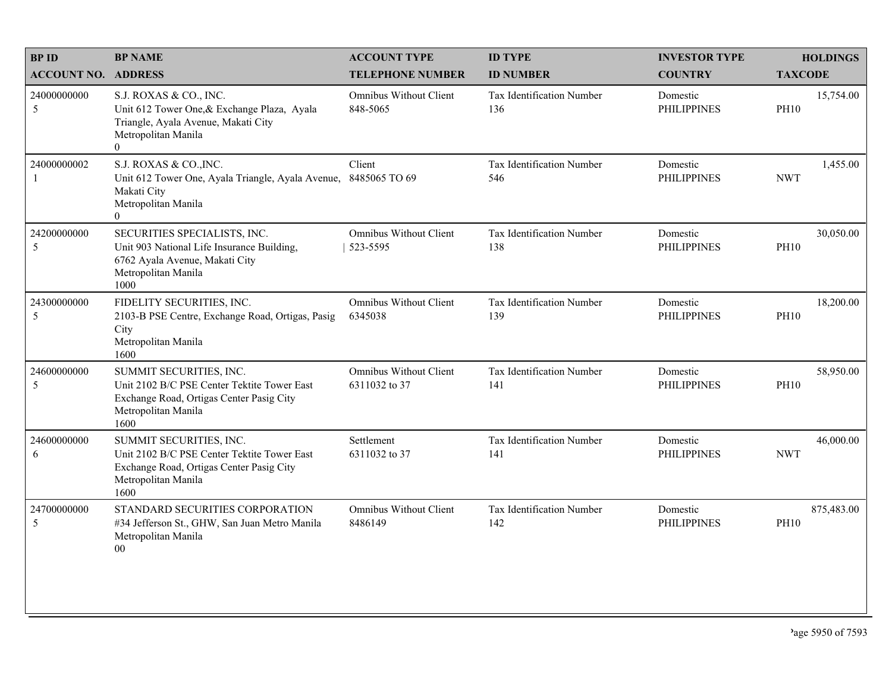| <b>BPID</b>                 | <b>BP NAME</b>                                                                                                                                        | <b>ACCOUNT TYPE</b>                            | <b>ID TYPE</b>                          | <b>INVESTOR TYPE</b>           | <b>HOLDINGS</b>           |
|-----------------------------|-------------------------------------------------------------------------------------------------------------------------------------------------------|------------------------------------------------|-----------------------------------------|--------------------------------|---------------------------|
| <b>ACCOUNT NO. ADDRESS</b>  |                                                                                                                                                       | <b>TELEPHONE NUMBER</b>                        | <b>ID NUMBER</b>                        | <b>COUNTRY</b>                 | <b>TAXCODE</b>            |
| 24000000000<br>5            | S.J. ROXAS & CO., INC.<br>Unit 612 Tower One, & Exchange Plaza, Ayala<br>Triangle, Ayala Avenue, Makati City<br>Metropolitan Manila<br>$\overline{0}$ | <b>Omnibus Without Client</b><br>848-5065      | <b>Tax Identification Number</b><br>136 | Domestic<br><b>PHILIPPINES</b> | 15,754.00<br><b>PH10</b>  |
| 24000000002<br>$\mathbf{1}$ | S.J. ROXAS & CO., INC.<br>Unit 612 Tower One, Ayala Triangle, Ayala Avenue,<br>Makati City<br>Metropolitan Manila<br>$\overline{0}$                   | Client<br>8485065 TO 69                        | Tax Identification Number<br>546        | Domestic<br><b>PHILIPPINES</b> | 1,455.00<br><b>NWT</b>    |
| 24200000000<br>5            | SECURITIES SPECIALISTS, INC.<br>Unit 903 National Life Insurance Building,<br>6762 Ayala Avenue, Makati City<br>Metropolitan Manila<br>1000           | <b>Omnibus Without Client</b><br>523-5595      | Tax Identification Number<br>138        | Domestic<br><b>PHILIPPINES</b> | 30,050.00<br><b>PH10</b>  |
| 24300000000<br>5            | FIDELITY SECURITIES, INC.<br>2103-B PSE Centre, Exchange Road, Ortigas, Pasig<br>City<br>Metropolitan Manila<br>1600                                  | <b>Omnibus Without Client</b><br>6345038       | Tax Identification Number<br>139        | Domestic<br><b>PHILIPPINES</b> | 18,200.00<br><b>PH10</b>  |
| 24600000000<br>5            | SUMMIT SECURITIES, INC.<br>Unit 2102 B/C PSE Center Tektite Tower East<br>Exchange Road, Ortigas Center Pasig City<br>Metropolitan Manila<br>1600     | <b>Omnibus Without Client</b><br>6311032 to 37 | Tax Identification Number<br>141        | Domestic<br><b>PHILIPPINES</b> | 58,950.00<br><b>PH10</b>  |
| 24600000000<br>6            | SUMMIT SECURITIES, INC.<br>Unit 2102 B/C PSE Center Tektite Tower East<br>Exchange Road, Ortigas Center Pasig City<br>Metropolitan Manila<br>1600     | Settlement<br>6311032 to 37                    | Tax Identification Number<br>141        | Domestic<br><b>PHILIPPINES</b> | 46,000.00<br><b>NWT</b>   |
| 24700000000<br>5            | STANDARD SECURITIES CORPORATION<br>#34 Jefferson St., GHW, San Juan Metro Manila<br>Metropolitan Manila<br>$00\,$                                     | Omnibus Without Client<br>8486149              | Tax Identification Number<br>142        | Domestic<br><b>PHILIPPINES</b> | 875,483.00<br><b>PH10</b> |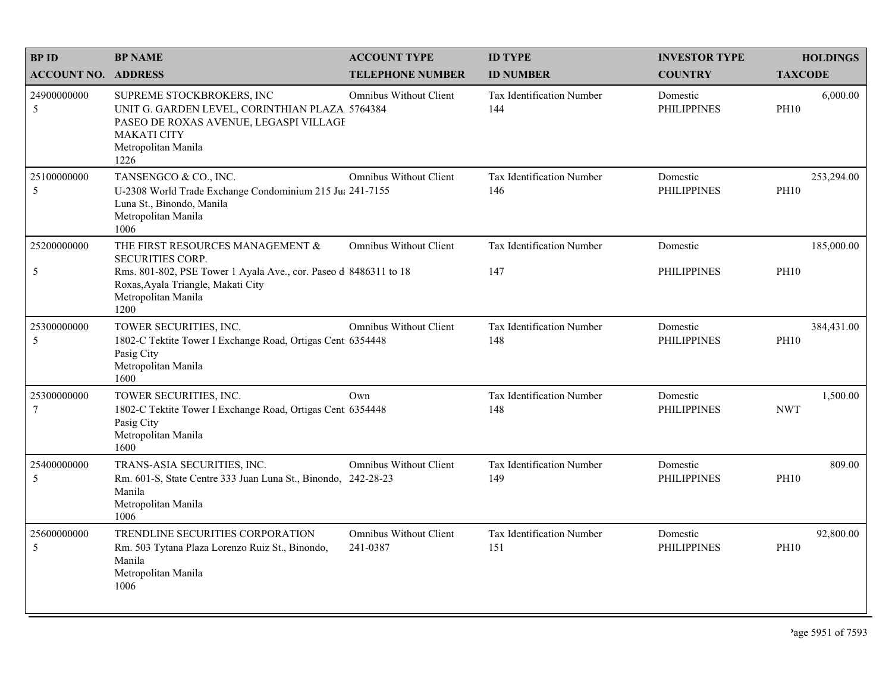| <b>BPID</b>                   | <b>BP NAME</b>                                                                                                                                                             | <b>ACCOUNT TYPE</b>                       | <b>ID TYPE</b>                   | <b>INVESTOR TYPE</b>           | <b>HOLDINGS</b>           |
|-------------------------------|----------------------------------------------------------------------------------------------------------------------------------------------------------------------------|-------------------------------------------|----------------------------------|--------------------------------|---------------------------|
| <b>ACCOUNT NO. ADDRESS</b>    |                                                                                                                                                                            | <b>TELEPHONE NUMBER</b>                   | <b>ID NUMBER</b>                 | <b>COUNTRY</b>                 | <b>TAXCODE</b>            |
| 24900000000<br>5              | SUPREME STOCKBROKERS, INC<br>UNIT G. GARDEN LEVEL, CORINTHIAN PLAZA 5764384<br>PASEO DE ROXAS AVENUE, LEGASPI VILLAGE<br><b>MAKATI CITY</b><br>Metropolitan Manila<br>1226 | <b>Omnibus Without Client</b>             | Tax Identification Number<br>144 | Domestic<br><b>PHILIPPINES</b> | 6,000.00<br><b>PH10</b>   |
| 25100000000<br>5              | TANSENGCO & CO., INC.<br>U-2308 World Trade Exchange Condominium 215 Ju: 241-7155<br>Luna St., Binondo, Manila<br>Metropolitan Manila<br>1006                              | <b>Omnibus Without Client</b>             | Tax Identification Number<br>146 | Domestic<br><b>PHILIPPINES</b> | 253,294.00<br><b>PH10</b> |
| 25200000000                   | THE FIRST RESOURCES MANAGEMENT &<br>SECURITIES CORP.                                                                                                                       | <b>Omnibus Without Client</b>             | Tax Identification Number        | Domestic                       | 185,000.00                |
| 5                             | Rms. 801-802, PSE Tower 1 Ayala Ave., cor. Paseo d 8486311 to 18<br>Roxas, Ayala Triangle, Makati City<br>Metropolitan Manila<br>1200                                      |                                           | 147                              | <b>PHILIPPINES</b>             | <b>PH10</b>               |
| 25300000000<br>5              | TOWER SECURITIES, INC.<br>1802-C Tektite Tower I Exchange Road, Ortigas Cent 6354448<br>Pasig City<br>Metropolitan Manila<br>1600                                          | <b>Omnibus Without Client</b>             | Tax Identification Number<br>148 | Domestic<br><b>PHILIPPINES</b> | 384,431.00<br><b>PH10</b> |
| 25300000000<br>$\overline{7}$ | TOWER SECURITIES, INC.<br>1802-C Tektite Tower I Exchange Road, Ortigas Cent 6354448<br>Pasig City<br>Metropolitan Manila<br>1600                                          | Own                                       | Tax Identification Number<br>148 | Domestic<br><b>PHILIPPINES</b> | 1,500.00<br><b>NWT</b>    |
| 25400000000<br>5              | TRANS-ASIA SECURITIES, INC.<br>Rm. 601-S, State Centre 333 Juan Luna St., Binondo, 242-28-23<br>Manila<br>Metropolitan Manila<br>1006                                      | Omnibus Without Client                    | Tax Identification Number<br>149 | Domestic<br><b>PHILIPPINES</b> | 809.00<br><b>PH10</b>     |
| 25600000000<br>5              | TRENDLINE SECURITIES CORPORATION<br>Rm. 503 Tytana Plaza Lorenzo Ruiz St., Binondo,<br>Manila<br>Metropolitan Manila<br>1006                                               | <b>Omnibus Without Client</b><br>241-0387 | Tax Identification Number<br>151 | Domestic<br><b>PHILIPPINES</b> | 92,800.00<br><b>PH10</b>  |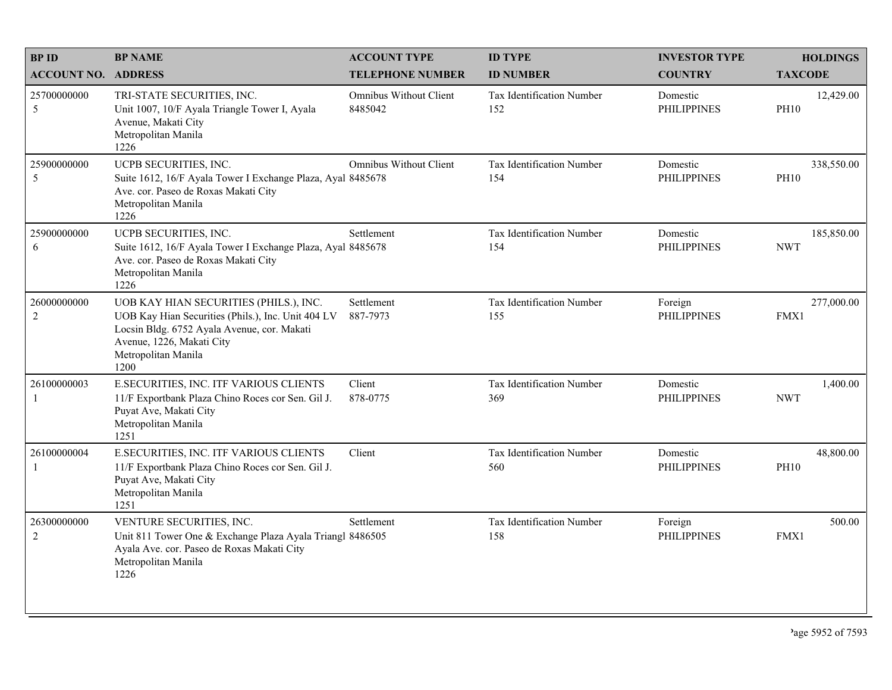| <b>BPID</b>                   | <b>BP NAME</b>                                                                                                                                                                                          | <b>ACCOUNT TYPE</b>                      | <b>ID TYPE</b>                   | <b>INVESTOR TYPE</b>           | <b>HOLDINGS</b>           |
|-------------------------------|---------------------------------------------------------------------------------------------------------------------------------------------------------------------------------------------------------|------------------------------------------|----------------------------------|--------------------------------|---------------------------|
| <b>ACCOUNT NO. ADDRESS</b>    |                                                                                                                                                                                                         | <b>TELEPHONE NUMBER</b>                  | <b>ID NUMBER</b>                 | <b>COUNTRY</b>                 | <b>TAXCODE</b>            |
| 25700000000<br>5              | TRI-STATE SECURITIES, INC.<br>Unit 1007, 10/F Ayala Triangle Tower I, Ayala<br>Avenue, Makati City<br>Metropolitan Manila<br>1226                                                                       | <b>Omnibus Without Client</b><br>8485042 | Tax Identification Number<br>152 | Domestic<br><b>PHILIPPINES</b> | 12,429.00<br><b>PH10</b>  |
| 25900000000<br>5              | UCPB SECURITIES, INC.<br>Suite 1612, 16/F Ayala Tower I Exchange Plaza, Ayal 8485678<br>Ave. cor. Paseo de Roxas Makati City<br>Metropolitan Manila<br>1226                                             | <b>Omnibus Without Client</b>            | Tax Identification Number<br>154 | Domestic<br><b>PHILIPPINES</b> | 338,550.00<br><b>PH10</b> |
| 25900000000<br>6              | UCPB SECURITIES, INC.<br>Suite 1612, 16/F Ayala Tower I Exchange Plaza, Ayal 8485678<br>Ave. cor. Paseo de Roxas Makati City<br>Metropolitan Manila<br>1226                                             | Settlement                               | Tax Identification Number<br>154 | Domestic<br><b>PHILIPPINES</b> | 185,850.00<br><b>NWT</b>  |
| 26000000000<br>$\overline{2}$ | UOB KAY HIAN SECURITIES (PHILS.), INC.<br>UOB Kay Hian Securities (Phils.), Inc. Unit 404 LV<br>Locsin Bldg. 6752 Ayala Avenue, cor. Makati<br>Avenue, 1226, Makati City<br>Metropolitan Manila<br>1200 | Settlement<br>887-7973                   | Tax Identification Number<br>155 | Foreign<br><b>PHILIPPINES</b>  | 277,000.00<br>FMX1        |
| 26100000003<br>1              | E.SECURITIES, INC. ITF VARIOUS CLIENTS<br>11/F Exportbank Plaza Chino Roces cor Sen. Gil J.<br>Puyat Ave, Makati City<br>Metropolitan Manila<br>1251                                                    | Client<br>878-0775                       | Tax Identification Number<br>369 | Domestic<br><b>PHILIPPINES</b> | 1,400.00<br><b>NWT</b>    |
| 26100000004<br>1              | E.SECURITIES, INC. ITF VARIOUS CLIENTS<br>11/F Exportbank Plaza Chino Roces cor Sen. Gil J.<br>Puyat Ave, Makati City<br>Metropolitan Manila<br>1251                                                    | Client                                   | Tax Identification Number<br>560 | Domestic<br><b>PHILIPPINES</b> | 48,800.00<br><b>PH10</b>  |
| 26300000000<br>$\overline{c}$ | VENTURE SECURITIES, INC.<br>Unit 811 Tower One & Exchange Plaza Ayala Triangl 8486505<br>Ayala Ave. cor. Paseo de Roxas Makati City<br>Metropolitan Manila<br>1226                                      | Settlement                               | Tax Identification Number<br>158 | Foreign<br><b>PHILIPPINES</b>  | 500.00<br>FMX1            |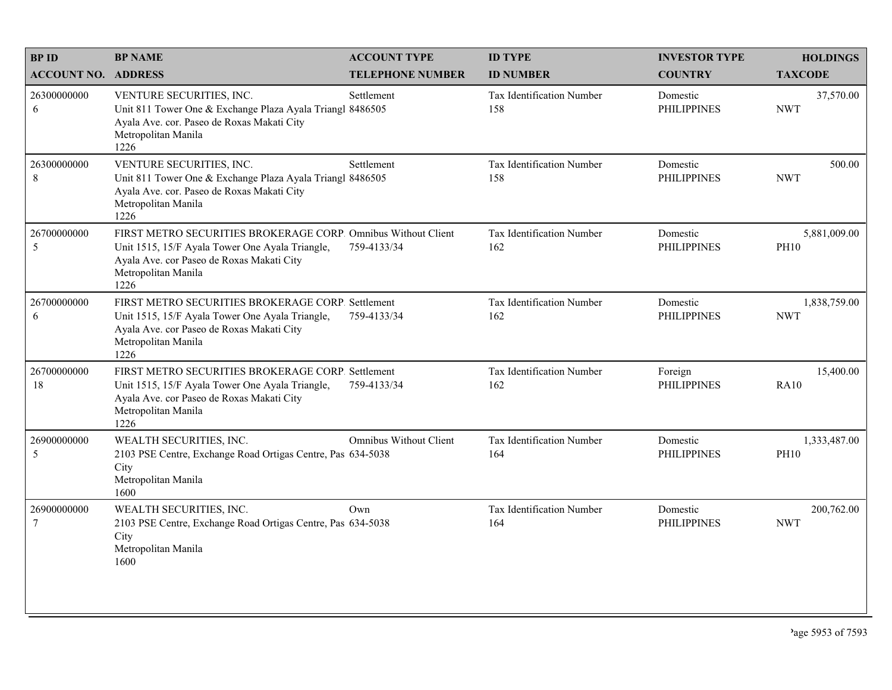| <b>BPID</b>                | <b>BP NAME</b>                                                                                                                                                                               | <b>ACCOUNT TYPE</b>           | <b>ID TYPE</b>                          | <b>INVESTOR TYPE</b>           | <b>HOLDINGS</b>             |
|----------------------------|----------------------------------------------------------------------------------------------------------------------------------------------------------------------------------------------|-------------------------------|-----------------------------------------|--------------------------------|-----------------------------|
| <b>ACCOUNT NO. ADDRESS</b> |                                                                                                                                                                                              | <b>TELEPHONE NUMBER</b>       | <b>ID NUMBER</b>                        | <b>COUNTRY</b>                 | <b>TAXCODE</b>              |
| 26300000000<br>6           | VENTURE SECURITIES, INC.<br>Unit 811 Tower One & Exchange Plaza Ayala Triangl 8486505<br>Ayala Ave. cor. Paseo de Roxas Makati City<br>Metropolitan Manila<br>1226                           | Settlement                    | <b>Tax Identification Number</b><br>158 | Domestic<br><b>PHILIPPINES</b> | 37,570.00<br><b>NWT</b>     |
| 26300000000<br>8           | VENTURE SECURITIES, INC.<br>Unit 811 Tower One & Exchange Plaza Ayala Triangl 8486505<br>Ayala Ave. cor. Paseo de Roxas Makati City<br>Metropolitan Manila<br>1226                           | Settlement                    | Tax Identification Number<br>158        | Domestic<br><b>PHILIPPINES</b> | 500.00<br><b>NWT</b>        |
| 26700000000<br>5           | FIRST METRO SECURITIES BROKERAGE CORP. Omnibus Without Client<br>Unit 1515, 15/F Ayala Tower One Ayala Triangle,<br>Ayala Ave. cor Paseo de Roxas Makati City<br>Metropolitan Manila<br>1226 | 759-4133/34                   | Tax Identification Number<br>162        | Domestic<br><b>PHILIPPINES</b> | 5,881,009.00<br><b>PH10</b> |
| 26700000000<br>6           | FIRST METRO SECURITIES BROKERAGE CORP. Settlement<br>Unit 1515, 15/F Ayala Tower One Ayala Triangle,<br>Ayala Ave. cor Paseo de Roxas Makati City<br>Metropolitan Manila<br>1226             | 759-4133/34                   | Tax Identification Number<br>162        | Domestic<br><b>PHILIPPINES</b> | 1,838,759.00<br><b>NWT</b>  |
| 26700000000<br>18          | FIRST METRO SECURITIES BROKERAGE CORP. Settlement<br>Unit 1515, 15/F Ayala Tower One Ayala Triangle,<br>Ayala Ave. cor Paseo de Roxas Makati City<br>Metropolitan Manila<br>1226             | 759-4133/34                   | Tax Identification Number<br>162        | Foreign<br><b>PHILIPPINES</b>  | 15,400.00<br><b>RA10</b>    |
| 26900000000<br>5           | WEALTH SECURITIES, INC.<br>2103 PSE Centre, Exchange Road Ortigas Centre, Pas 634-5038<br>City<br>Metropolitan Manila<br>1600                                                                | <b>Omnibus Without Client</b> | Tax Identification Number<br>164        | Domestic<br><b>PHILIPPINES</b> | 1,333,487.00<br><b>PH10</b> |
| 26900000000<br>$\tau$      | WEALTH SECURITIES, INC.<br>2103 PSE Centre, Exchange Road Ortigas Centre, Pas 634-5038<br>City<br>Metropolitan Manila<br>1600                                                                | Own                           | Tax Identification Number<br>164        | Domestic<br><b>PHILIPPINES</b> | 200,762.00<br><b>NWT</b>    |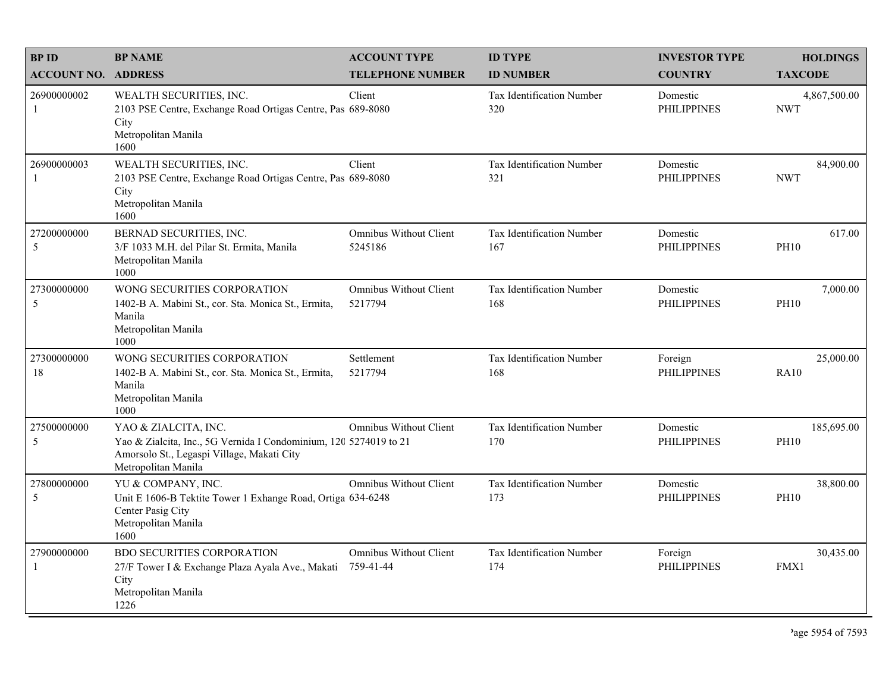| <b>BPID</b>                   | <b>BP NAME</b>                                                                                                                                                 | <b>ACCOUNT TYPE</b>                      | <b>ID TYPE</b>                          | <b>INVESTOR TYPE</b>           | <b>HOLDINGS</b>            |
|-------------------------------|----------------------------------------------------------------------------------------------------------------------------------------------------------------|------------------------------------------|-----------------------------------------|--------------------------------|----------------------------|
| <b>ACCOUNT NO. ADDRESS</b>    |                                                                                                                                                                | <b>TELEPHONE NUMBER</b>                  | <b>ID NUMBER</b>                        | <b>COUNTRY</b>                 | <b>TAXCODE</b>             |
| 26900000002<br>-1             | WEALTH SECURITIES, INC.<br>2103 PSE Centre, Exchange Road Ortigas Centre, Pas 689-8080<br>City<br>Metropolitan Manila<br>1600                                  | Client                                   | <b>Tax Identification Number</b><br>320 | Domestic<br><b>PHILIPPINES</b> | 4,867,500.00<br><b>NWT</b> |
| 26900000003<br>$\mathbf{1}$   | WEALTH SECURITIES, INC.<br>2103 PSE Centre, Exchange Road Ortigas Centre, Pas 689-8080<br>City<br>Metropolitan Manila<br>1600                                  | Client                                   | <b>Tax Identification Number</b><br>321 | Domestic<br><b>PHILIPPINES</b> | 84,900.00<br><b>NWT</b>    |
| 27200000000<br>5              | BERNAD SECURITIES, INC.<br>3/F 1033 M.H. del Pilar St. Ermita, Manila<br>Metropolitan Manila<br>1000                                                           | <b>Omnibus Without Client</b><br>5245186 | Tax Identification Number<br>167        | Domestic<br><b>PHILIPPINES</b> | 617.00<br><b>PH10</b>      |
| 27300000000<br>5              | WONG SECURITIES CORPORATION<br>1402-B A. Mabini St., cor. Sta. Monica St., Ermita,<br>Manila<br>Metropolitan Manila<br>1000                                    | <b>Omnibus Without Client</b><br>5217794 | Tax Identification Number<br>168        | Domestic<br><b>PHILIPPINES</b> | 7,000.00<br><b>PH10</b>    |
| 27300000000<br>18             | WONG SECURITIES CORPORATION<br>1402-B A. Mabini St., cor. Sta. Monica St., Ermita,<br>Manila<br>Metropolitan Manila<br>1000                                    | Settlement<br>5217794                    | Tax Identification Number<br>168        | Foreign<br><b>PHILIPPINES</b>  | 25,000.00<br><b>RA10</b>   |
| 27500000000<br>5              | YAO & ZIALCITA, INC.<br>Yao & Zialcita, Inc., 5G Vernida I Condominium, 120 5274019 to 21<br>Amorsolo St., Legaspi Village, Makati City<br>Metropolitan Manila | Omnibus Without Client                   | Tax Identification Number<br>170        | Domestic<br><b>PHILIPPINES</b> | 185,695.00<br><b>PH10</b>  |
| 27800000000<br>5              | YU & COMPANY, INC.<br>Unit E 1606-B Tektite Tower 1 Exhange Road, Ortiga 634-6248<br>Center Pasig City<br>Metropolitan Manila<br>1600                          | <b>Omnibus Without Client</b>            | Tax Identification Number<br>173        | Domestic<br><b>PHILIPPINES</b> | 38,800.00<br><b>PH10</b>   |
| 27900000000<br>$\overline{1}$ | <b>BDO SECURITIES CORPORATION</b><br>27/F Tower I & Exchange Plaza Ayala Ave., Makati 759-41-44<br>City<br>Metropolitan Manila<br>1226                         | <b>Omnibus Without Client</b>            | Tax Identification Number<br>174        | Foreign<br><b>PHILIPPINES</b>  | 30,435.00<br>FMX1          |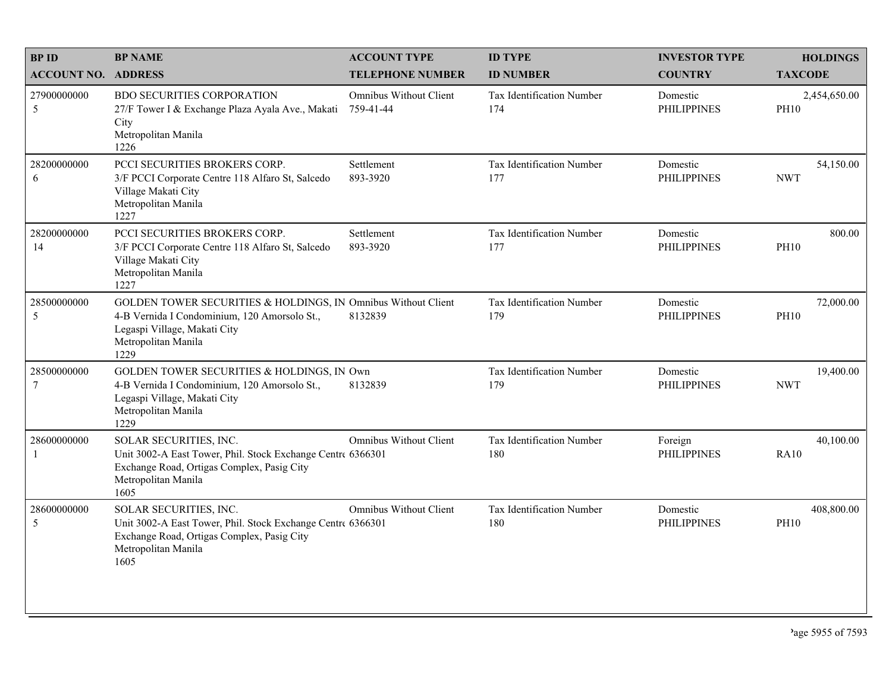| <b>BPID</b>                   | <b>BP NAME</b>                                                                                                                                                               | <b>ACCOUNT TYPE</b>                        | <b>ID TYPE</b>                   | <b>INVESTOR TYPE</b>           | <b>HOLDINGS</b>             |
|-------------------------------|------------------------------------------------------------------------------------------------------------------------------------------------------------------------------|--------------------------------------------|----------------------------------|--------------------------------|-----------------------------|
| <b>ACCOUNT NO. ADDRESS</b>    |                                                                                                                                                                              | <b>TELEPHONE NUMBER</b>                    | <b>ID NUMBER</b>                 | <b>COUNTRY</b>                 | <b>TAXCODE</b>              |
| 27900000000<br>5              | <b>BDO SECURITIES CORPORATION</b><br>27/F Tower I & Exchange Plaza Ayala Ave., Makati<br>City<br>Metropolitan Manila<br>1226                                                 | <b>Omnibus Without Client</b><br>759-41-44 | Tax Identification Number<br>174 | Domestic<br><b>PHILIPPINES</b> | 2,454,650.00<br><b>PH10</b> |
| 28200000000<br>6              | PCCI SECURITIES BROKERS CORP.<br>3/F PCCI Corporate Centre 118 Alfaro St, Salcedo<br>Village Makati City<br>Metropolitan Manila<br>1227                                      | Settlement<br>893-3920                     | Tax Identification Number<br>177 | Domestic<br><b>PHILIPPINES</b> | 54,150.00<br><b>NWT</b>     |
| 28200000000<br>14             | PCCI SECURITIES BROKERS CORP.<br>3/F PCCI Corporate Centre 118 Alfaro St, Salcedo<br>Village Makati City<br>Metropolitan Manila<br>1227                                      | Settlement<br>893-3920                     | Tax Identification Number<br>177 | Domestic<br><b>PHILIPPINES</b> | 800.00<br><b>PH10</b>       |
| 28500000000<br>5              | GOLDEN TOWER SECURITIES & HOLDINGS, IN Omnibus Without Client<br>4-B Vernida I Condominium, 120 Amorsolo St.,<br>Legaspi Village, Makati City<br>Metropolitan Manila<br>1229 | 8132839                                    | Tax Identification Number<br>179 | Domestic<br><b>PHILIPPINES</b> | 72,000.00<br><b>PH10</b>    |
| 28500000000<br>$\overline{7}$ | GOLDEN TOWER SECURITIES & HOLDINGS, IN Own<br>4-B Vernida I Condominium, 120 Amorsolo St.,<br>Legaspi Village, Makati City<br>Metropolitan Manila<br>1229                    | 8132839                                    | Tax Identification Number<br>179 | Domestic<br><b>PHILIPPINES</b> | 19,400.00<br><b>NWT</b>     |
| 28600000000<br>1              | SOLAR SECURITIES, INC.<br>Unit 3002-A East Tower, Phil. Stock Exchange Centre 6366301<br>Exchange Road, Ortigas Complex, Pasig City<br>Metropolitan Manila<br>1605           | <b>Omnibus Without Client</b>              | Tax Identification Number<br>180 | Foreign<br><b>PHILIPPINES</b>  | 40,100.00<br><b>RA10</b>    |
| 28600000000<br>5              | SOLAR SECURITIES, INC.<br>Unit 3002-A East Tower, Phil. Stock Exchange Centre 6366301<br>Exchange Road, Ortigas Complex, Pasig City<br>Metropolitan Manila<br>1605           | <b>Omnibus Without Client</b>              | Tax Identification Number<br>180 | Domestic<br><b>PHILIPPINES</b> | 408,800.00<br><b>PH10</b>   |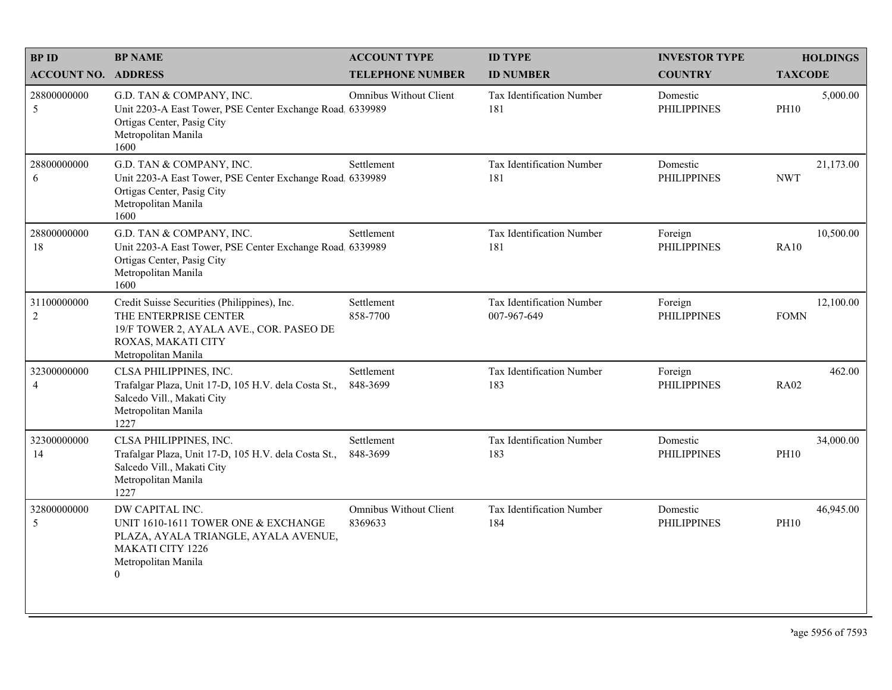| <b>BPID</b>                   | <b>BP NAME</b>                                                                                                                                                   | <b>ACCOUNT TYPE</b>                      | <b>ID TYPE</b>                           | <b>INVESTOR TYPE</b>           | <b>HOLDINGS</b>          |
|-------------------------------|------------------------------------------------------------------------------------------------------------------------------------------------------------------|------------------------------------------|------------------------------------------|--------------------------------|--------------------------|
| <b>ACCOUNT NO. ADDRESS</b>    |                                                                                                                                                                  | <b>TELEPHONE NUMBER</b>                  | <b>ID NUMBER</b>                         | <b>COUNTRY</b>                 | <b>TAXCODE</b>           |
| 28800000000<br>5              | G.D. TAN & COMPANY, INC.<br>Unit 2203-A East Tower, PSE Center Exchange Road, 6339989<br>Ortigas Center, Pasig City<br>Metropolitan Manila<br>1600               | <b>Omnibus Without Client</b>            | Tax Identification Number<br>181         | Domestic<br><b>PHILIPPINES</b> | 5,000.00<br><b>PH10</b>  |
| 28800000000<br>6              | G.D. TAN & COMPANY, INC.<br>Unit 2203-A East Tower, PSE Center Exchange Road. 6339989<br>Ortigas Center, Pasig City<br>Metropolitan Manila<br>1600               | Settlement                               | Tax Identification Number<br>181         | Domestic<br><b>PHILIPPINES</b> | 21,173.00<br><b>NWT</b>  |
| 28800000000<br>18             | G.D. TAN & COMPANY, INC.<br>Unit 2203-A East Tower, PSE Center Exchange Road. 6339989<br>Ortigas Center, Pasig City<br>Metropolitan Manila<br>1600               | Settlement                               | Tax Identification Number<br>181         | Foreign<br><b>PHILIPPINES</b>  | 10,500.00<br><b>RA10</b> |
| 31100000000<br>$\sqrt{2}$     | Credit Suisse Securities (Philippines), Inc.<br>THE ENTERPRISE CENTER<br>19/F TOWER 2, AYALA AVE., COR. PASEO DE<br>ROXAS, MAKATI CITY<br>Metropolitan Manila    | Settlement<br>858-7700                   | Tax Identification Number<br>007-967-649 | Foreign<br><b>PHILIPPINES</b>  | 12,100.00<br><b>FOMN</b> |
| 32300000000<br>$\overline{4}$ | CLSA PHILIPPINES, INC.<br>Trafalgar Plaza, Unit 17-D, 105 H.V. dela Costa St.,<br>Salcedo Vill., Makati City<br>Metropolitan Manila<br>1227                      | Settlement<br>848-3699                   | Tax Identification Number<br>183         | Foreign<br><b>PHILIPPINES</b>  | 462.00<br><b>RA02</b>    |
| 32300000000<br>14             | CLSA PHILIPPINES, INC.<br>Trafalgar Plaza, Unit 17-D, 105 H.V. dela Costa St.,<br>Salcedo Vill., Makati City<br>Metropolitan Manila<br>1227                      | Settlement<br>848-3699                   | Tax Identification Number<br>183         | Domestic<br><b>PHILIPPINES</b> | 34,000.00<br><b>PH10</b> |
| 32800000000<br>5              | DW CAPITAL INC.<br>UNIT 1610-1611 TOWER ONE & EXCHANGE<br>PLAZA, AYALA TRIANGLE, AYALA AVENUE,<br><b>MAKATI CITY 1226</b><br>Metropolitan Manila<br>$\mathbf{0}$ | <b>Omnibus Without Client</b><br>8369633 | Tax Identification Number<br>184         | Domestic<br><b>PHILIPPINES</b> | 46,945.00<br><b>PH10</b> |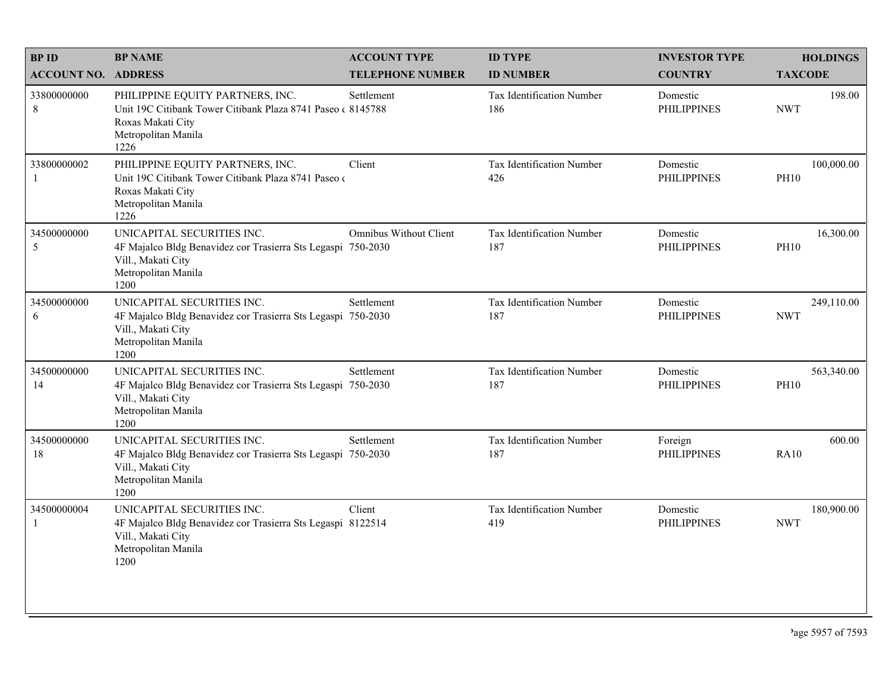| <b>BPID</b>                 | <b>BP NAME</b>                                                                                                                                      | <b>ACCOUNT TYPE</b>           | <b>ID TYPE</b>                   | <b>INVESTOR TYPE</b>           | <b>HOLDINGS</b>           |
|-----------------------------|-----------------------------------------------------------------------------------------------------------------------------------------------------|-------------------------------|----------------------------------|--------------------------------|---------------------------|
| <b>ACCOUNT NO. ADDRESS</b>  |                                                                                                                                                     | <b>TELEPHONE NUMBER</b>       | <b>ID NUMBER</b>                 | <b>COUNTRY</b>                 | <b>TAXCODE</b>            |
| 33800000000<br>$\,8\,$      | PHILIPPINE EQUITY PARTNERS, INC.<br>Unit 19C Citibank Tower Citibank Plaza 8741 Paseo (8145788)<br>Roxas Makati City<br>Metropolitan Manila<br>1226 | Settlement                    | Tax Identification Number<br>186 | Domestic<br><b>PHILIPPINES</b> | 198.00<br><b>NWT</b>      |
| 33800000002<br>$\mathbf{1}$ | PHILIPPINE EQUITY PARTNERS, INC.<br>Unit 19C Citibank Tower Citibank Plaza 8741 Paseo o<br>Roxas Makati City<br>Metropolitan Manila<br>1226         | Client                        | Tax Identification Number<br>426 | Domestic<br><b>PHILIPPINES</b> | 100,000.00<br><b>PH10</b> |
| 34500000000<br>5            | UNICAPITAL SECURITIES INC.<br>4F Majalco Bldg Benavidez cor Trasierra Sts Legaspi 750-2030<br>Vill., Makati City<br>Metropolitan Manila<br>1200     | <b>Omnibus Without Client</b> | Tax Identification Number<br>187 | Domestic<br><b>PHILIPPINES</b> | 16,300.00<br><b>PH10</b>  |
| 34500000000<br>6            | UNICAPITAL SECURITIES INC.<br>4F Majalco Bldg Benavidez cor Trasierra Sts Legaspi<br>Vill., Makati City<br>Metropolitan Manila<br>1200              | Settlement<br>750-2030        | Tax Identification Number<br>187 | Domestic<br><b>PHILIPPINES</b> | 249,110.00<br><b>NWT</b>  |
| 34500000000<br>14           | UNICAPITAL SECURITIES INC.<br>4F Majalco Bldg Benavidez cor Trasierra Sts Legaspi 750-2030<br>Vill., Makati City<br>Metropolitan Manila<br>1200     | Settlement                    | Tax Identification Number<br>187 | Domestic<br><b>PHILIPPINES</b> | 563,340.00<br><b>PH10</b> |
| 34500000000<br>18           | UNICAPITAL SECURITIES INC.<br>4F Majalco Bldg Benavidez cor Trasierra Sts Legaspi 750-2030<br>Vill., Makati City<br>Metropolitan Manila<br>1200     | Settlement                    | Tax Identification Number<br>187 | Foreign<br><b>PHILIPPINES</b>  | 600.00<br><b>RA10</b>     |
| 34500000004<br>1            | UNICAPITAL SECURITIES INC.<br>4F Majalco Bldg Benavidez cor Trasierra Sts Legaspi 8122514<br>Vill., Makati City<br>Metropolitan Manila<br>1200      | Client                        | Tax Identification Number<br>419 | Domestic<br><b>PHILIPPINES</b> | 180,900.00<br><b>NWT</b>  |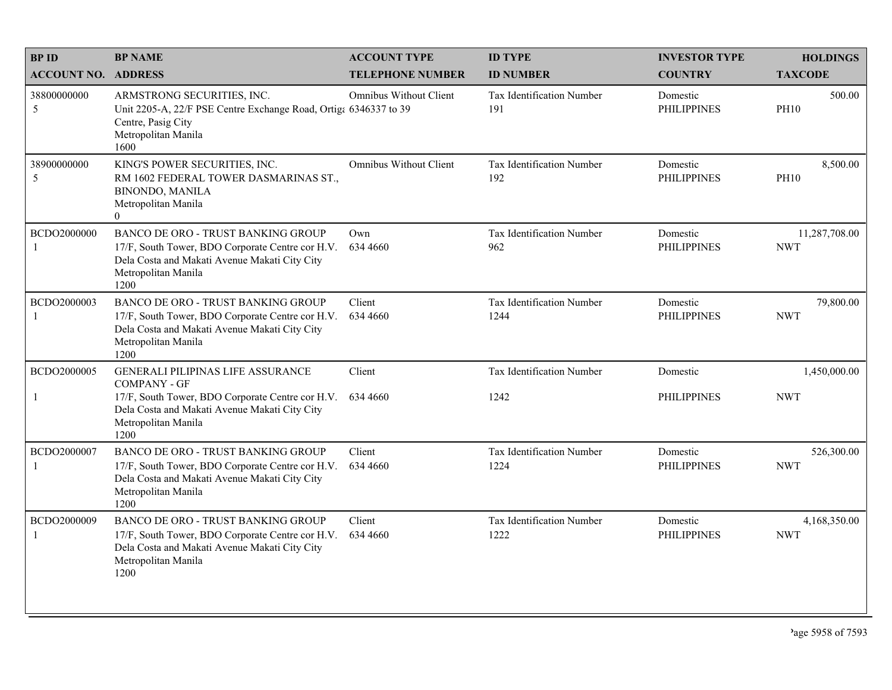| <b>BPID</b>                 | <b>BP NAME</b>                                                                                                                                                                | <b>ACCOUNT TYPE</b>           | <b>ID TYPE</b>                          | <b>INVESTOR TYPE</b>           | <b>HOLDINGS</b>             |
|-----------------------------|-------------------------------------------------------------------------------------------------------------------------------------------------------------------------------|-------------------------------|-----------------------------------------|--------------------------------|-----------------------------|
| <b>ACCOUNT NO. ADDRESS</b>  |                                                                                                                                                                               | <b>TELEPHONE NUMBER</b>       | <b>ID NUMBER</b>                        | <b>COUNTRY</b>                 | <b>TAXCODE</b>              |
| 38800000000<br>5            | ARMSTRONG SECURITIES, INC.<br>Unit 2205-A, 22/F PSE Centre Exchange Road, Ortiga 6346337 to 39<br>Centre, Pasig City<br>Metropolitan Manila<br>1600                           | <b>Omnibus Without Client</b> | <b>Tax Identification Number</b><br>191 | Domestic<br><b>PHILIPPINES</b> | 500.00<br><b>PH10</b>       |
| 38900000000<br>5            | KING'S POWER SECURITIES, INC.<br>RM 1602 FEDERAL TOWER DASMARINAS ST.,<br><b>BINONDO, MANILA</b><br>Metropolitan Manila<br>$\theta$                                           | <b>Omnibus Without Client</b> | Tax Identification Number<br>192        | Domestic<br><b>PHILIPPINES</b> | 8,500.00<br><b>PH10</b>     |
| BCDO2000000<br>1            | BANCO DE ORO - TRUST BANKING GROUP<br>17/F, South Tower, BDO Corporate Centre cor H.V.<br>Dela Costa and Makati Avenue Makati City City<br>Metropolitan Manila<br>1200        | Own<br>634 4660               | Tax Identification Number<br>962        | Domestic<br><b>PHILIPPINES</b> | 11,287,708.00<br><b>NWT</b> |
| BCDO2000003<br>$\mathbf{1}$ | <b>BANCO DE ORO - TRUST BANKING GROUP</b><br>17/F, South Tower, BDO Corporate Centre cor H.V.<br>Dela Costa and Makati Avenue Makati City City<br>Metropolitan Manila<br>1200 | Client<br>634 4660            | Tax Identification Number<br>1244       | Domestic<br><b>PHILIPPINES</b> | 79,800.00<br><b>NWT</b>     |
| BCDO2000005                 | <b>GENERALI PILIPINAS LIFE ASSURANCE</b><br><b>COMPANY - GF</b>                                                                                                               | Client                        | Tax Identification Number               | Domestic                       | 1,450,000.00                |
| 1                           | 17/F, South Tower, BDO Corporate Centre cor H.V.<br>Dela Costa and Makati Avenue Makati City City<br>Metropolitan Manila<br>1200                                              | 634 4660                      | 1242                                    | <b>PHILIPPINES</b>             | <b>NWT</b>                  |
| BCDO2000007<br>1            | <b>BANCO DE ORO - TRUST BANKING GROUP</b><br>17/F, South Tower, BDO Corporate Centre cor H.V.<br>Dela Costa and Makati Avenue Makati City City<br>Metropolitan Manila<br>1200 | Client<br>634 4660            | Tax Identification Number<br>1224       | Domestic<br><b>PHILIPPINES</b> | 526,300.00<br><b>NWT</b>    |
| BCDO2000009<br>1            | BANCO DE ORO - TRUST BANKING GROUP<br>17/F, South Tower, BDO Corporate Centre cor H.V.<br>Dela Costa and Makati Avenue Makati City City<br>Metropolitan Manila<br>1200        | Client<br>634 4660            | Tax Identification Number<br>1222       | Domestic<br><b>PHILIPPINES</b> | 4,168,350.00<br><b>NWT</b>  |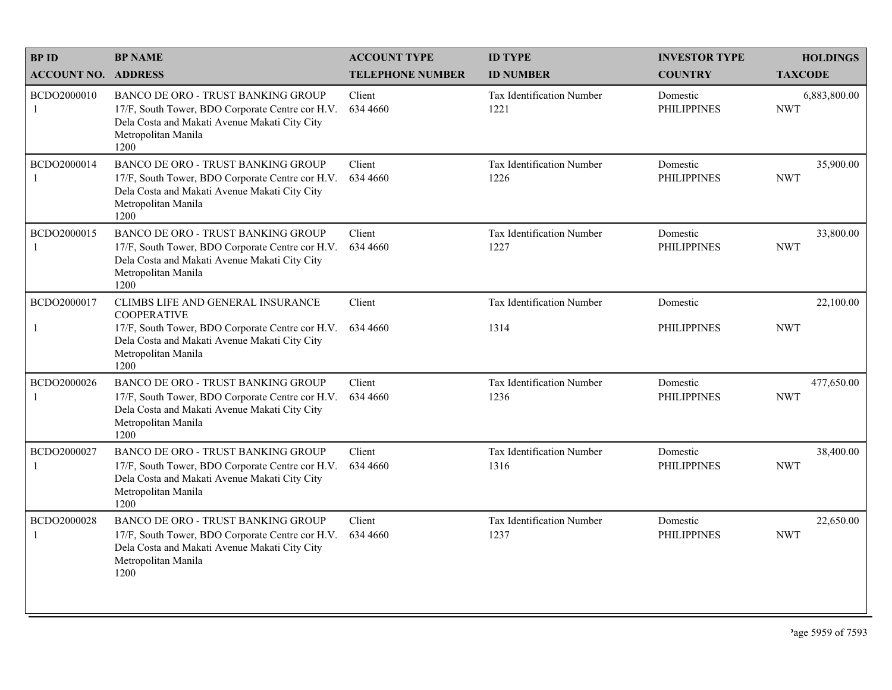| <b>BPID</b>                 | <b>BP NAME</b>                                                                                                                                                                              | <b>ACCOUNT TYPE</b>     | <b>ID TYPE</b>                           | <b>INVESTOR TYPE</b>           | <b>HOLDINGS</b>            |
|-----------------------------|---------------------------------------------------------------------------------------------------------------------------------------------------------------------------------------------|-------------------------|------------------------------------------|--------------------------------|----------------------------|
| <b>ACCOUNT NO. ADDRESS</b>  |                                                                                                                                                                                             | <b>TELEPHONE NUMBER</b> | <b>ID NUMBER</b>                         | <b>COUNTRY</b>                 | <b>TAXCODE</b>             |
| BCDO2000010<br>1            | <b>BANCO DE ORO - TRUST BANKING GROUP</b><br>17/F, South Tower, BDO Corporate Centre cor H.V.<br>Dela Costa and Makati Avenue Makati City City<br>Metropolitan Manila<br>1200               | Client<br>634 4660      | <b>Tax Identification Number</b><br>1221 | Domestic<br><b>PHILIPPINES</b> | 6,883,800.00<br><b>NWT</b> |
| BCDO2000014<br>$\mathbf{1}$ | BANCO DE ORO - TRUST BANKING GROUP<br>17/F, South Tower, BDO Corporate Centre cor H.V.<br>Dela Costa and Makati Avenue Makati City City<br>Metropolitan Manila<br>1200                      | Client<br>634 4660      | Tax Identification Number<br>1226        | Domestic<br><b>PHILIPPINES</b> | 35,900.00<br><b>NWT</b>    |
| BCDO2000015<br>$\mathbf{1}$ | <b>BANCO DE ORO - TRUST BANKING GROUP</b><br>17/F, South Tower, BDO Corporate Centre cor H.V.<br>Dela Costa and Makati Avenue Makati City City<br>Metropolitan Manila<br>1200               | Client<br>634 4660      | Tax Identification Number<br>1227        | Domestic<br><b>PHILIPPINES</b> | 33,800.00<br><b>NWT</b>    |
| BCDO2000017<br>1            | CLIMBS LIFE AND GENERAL INSURANCE<br><b>COOPERATIVE</b><br>17/F, South Tower, BDO Corporate Centre cor H.V.<br>Dela Costa and Makati Avenue Makati City City<br>Metropolitan Manila<br>1200 | Client<br>634 4660      | Tax Identification Number<br>1314        | Domestic<br><b>PHILIPPINES</b> | 22,100.00<br><b>NWT</b>    |
| BCDO2000026<br>-1           | BANCO DE ORO - TRUST BANKING GROUP<br>17/F, South Tower, BDO Corporate Centre cor H.V.<br>Dela Costa and Makati Avenue Makati City City<br>Metropolitan Manila<br>1200                      | Client<br>634 4660      | Tax Identification Number<br>1236        | Domestic<br><b>PHILIPPINES</b> | 477,650.00<br><b>NWT</b>   |
| BCDO2000027<br>1            | BANCO DE ORO - TRUST BANKING GROUP<br>17/F, South Tower, BDO Corporate Centre cor H.V.<br>Dela Costa and Makati Avenue Makati City City<br>Metropolitan Manila<br>1200                      | Client<br>634 4660      | Tax Identification Number<br>1316        | Domestic<br><b>PHILIPPINES</b> | 38,400.00<br><b>NWT</b>    |
| BCDO2000028<br>1            | BANCO DE ORO - TRUST BANKING GROUP<br>17/F, South Tower, BDO Corporate Centre cor H.V.<br>Dela Costa and Makati Avenue Makati City City<br>Metropolitan Manila<br>1200                      | Client<br>634 4660      | Tax Identification Number<br>1237        | Domestic<br><b>PHILIPPINES</b> | 22,650.00<br><b>NWT</b>    |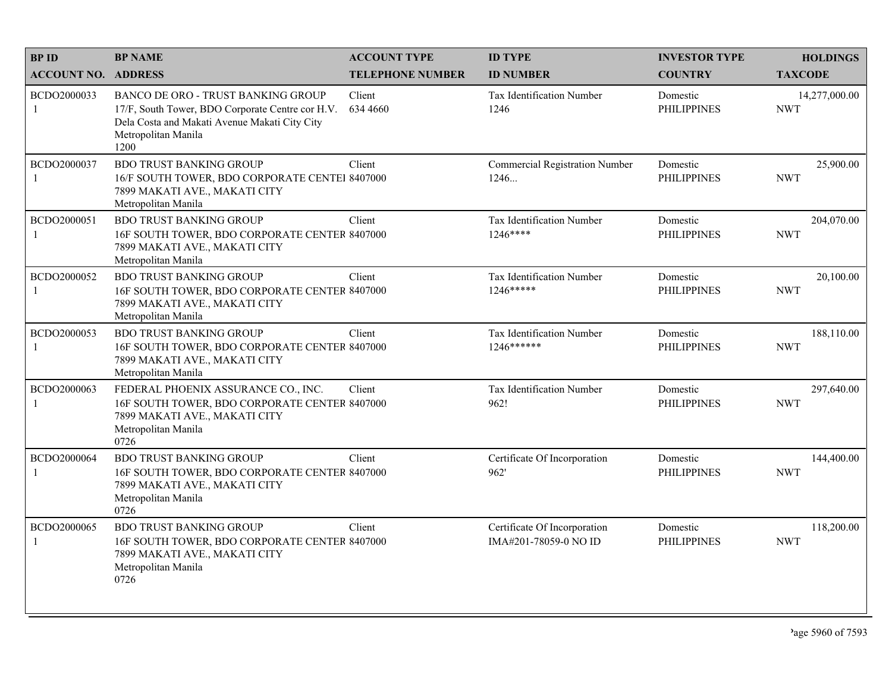| <b>BPID</b>                 | <b>BP NAME</b>                                                                                                                                                                | <b>ACCOUNT TYPE</b>     | <b>ID TYPE</b>                                        | <b>INVESTOR TYPE</b>           | <b>HOLDINGS</b>             |
|-----------------------------|-------------------------------------------------------------------------------------------------------------------------------------------------------------------------------|-------------------------|-------------------------------------------------------|--------------------------------|-----------------------------|
| <b>ACCOUNT NO. ADDRESS</b>  |                                                                                                                                                                               | <b>TELEPHONE NUMBER</b> | <b>ID NUMBER</b>                                      | <b>COUNTRY</b>                 | <b>TAXCODE</b>              |
| BCDO2000033<br>$\mathbf{1}$ | <b>BANCO DE ORO - TRUST BANKING GROUP</b><br>17/F, South Tower, BDO Corporate Centre cor H.V.<br>Dela Costa and Makati Avenue Makati City City<br>Metropolitan Manila<br>1200 | Client<br>634 4660      | <b>Tax Identification Number</b><br>1246              | Domestic<br><b>PHILIPPINES</b> | 14,277,000.00<br><b>NWT</b> |
| BCDO2000037<br>-1           | <b>BDO TRUST BANKING GROUP</b><br>16/F SOUTH TOWER, BDO CORPORATE CENTEI 8407000<br>7899 MAKATI AVE., MAKATI CITY<br>Metropolitan Manila                                      | Client                  | <b>Commercial Registration Number</b><br>1246         | Domestic<br><b>PHILIPPINES</b> | 25,900.00<br><b>NWT</b>     |
| BCDO2000051<br>-1           | <b>BDO TRUST BANKING GROUP</b><br>16F SOUTH TOWER, BDO CORPORATE CENTER 8407000<br>7899 MAKATI AVE., MAKATI CITY<br>Metropolitan Manila                                       | Client                  | Tax Identification Number<br>$1246***$                | Domestic<br><b>PHILIPPINES</b> | 204,070.00<br><b>NWT</b>    |
| BCDO2000052<br>1            | <b>BDO TRUST BANKING GROUP</b><br>16F SOUTH TOWER, BDO CORPORATE CENTER 8407000<br>7899 MAKATI AVE., MAKATI CITY<br>Metropolitan Manila                                       | Client                  | Tax Identification Number<br>$1246*****$              | Domestic<br><b>PHILIPPINES</b> | 20,100.00<br><b>NWT</b>     |
| BCDO2000053<br>1            | <b>BDO TRUST BANKING GROUP</b><br>16F SOUTH TOWER, BDO CORPORATE CENTER 8407000<br>7899 MAKATI AVE., MAKATI CITY<br>Metropolitan Manila                                       | Client                  | Tax Identification Number<br>1246******               | Domestic<br><b>PHILIPPINES</b> | 188,110.00<br><b>NWT</b>    |
| BCDO2000063<br>-1           | FEDERAL PHOENIX ASSURANCE CO., INC.<br>16F SOUTH TOWER, BDO CORPORATE CENTER 8407000<br>7899 MAKATI AVE., MAKATI CITY<br>Metropolitan Manila<br>0726                          | Client                  | Tax Identification Number<br>962!                     | Domestic<br><b>PHILIPPINES</b> | 297,640.00<br><b>NWT</b>    |
| BCDO2000064<br>-1           | <b>BDO TRUST BANKING GROUP</b><br>16F SOUTH TOWER, BDO CORPORATE CENTER 8407000<br>7899 MAKATI AVE., MAKATI CITY<br>Metropolitan Manila<br>0726                               | Client                  | Certificate Of Incorporation<br>962'                  | Domestic<br><b>PHILIPPINES</b> | 144,400.00<br><b>NWT</b>    |
| BCDO2000065<br>$\mathbf{1}$ | <b>BDO TRUST BANKING GROUP</b><br>16F SOUTH TOWER, BDO CORPORATE CENTER 8407000<br>7899 MAKATI AVE., MAKATI CITY<br>Metropolitan Manila<br>0726                               | Client                  | Certificate Of Incorporation<br>IMA#201-78059-0 NO ID | Domestic<br><b>PHILIPPINES</b> | 118,200.00<br><b>NWT</b>    |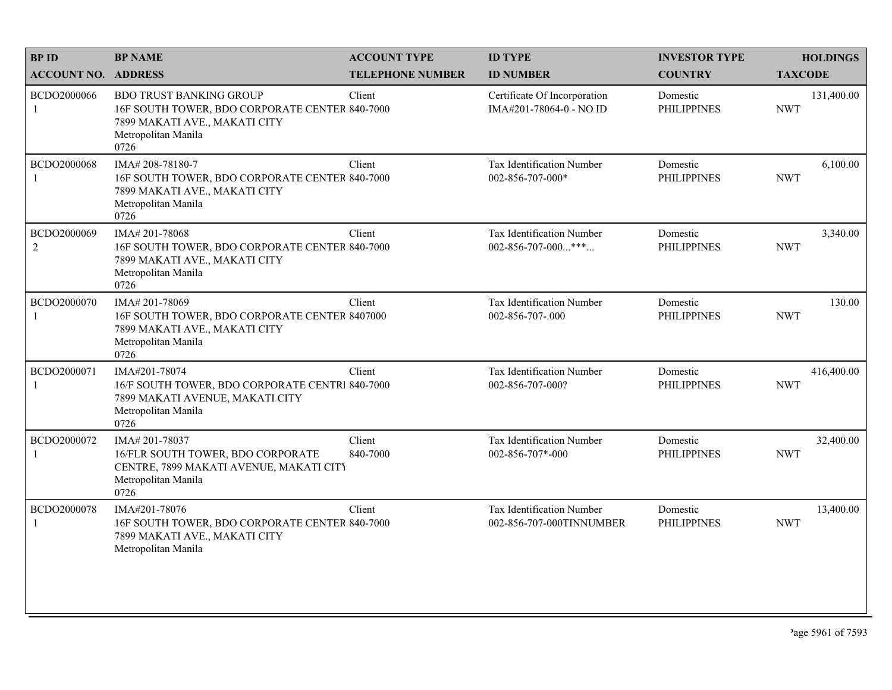| <b>BPID</b>                | <b>BP NAME</b>                                                                                                                                   | <b>ACCOUNT TYPE</b>     | <b>ID TYPE</b>                                          | <b>INVESTOR TYPE</b>           | <b>HOLDINGS</b>          |
|----------------------------|--------------------------------------------------------------------------------------------------------------------------------------------------|-------------------------|---------------------------------------------------------|--------------------------------|--------------------------|
| <b>ACCOUNT NO. ADDRESS</b> |                                                                                                                                                  | <b>TELEPHONE NUMBER</b> | <b>ID NUMBER</b>                                        | <b>COUNTRY</b>                 | <b>TAXCODE</b>           |
| BCDO2000066<br>1           | <b>BDO TRUST BANKING GROUP</b><br>16F SOUTH TOWER, BDO CORPORATE CENTER 840-7000<br>7899 MAKATI AVE., MAKATI CITY<br>Metropolitan Manila<br>0726 | Client                  | Certificate Of Incorporation<br>IMA#201-78064-0 - NO ID | Domestic<br><b>PHILIPPINES</b> | 131,400.00<br><b>NWT</b> |
| BCDO2000068                | IMA#208-78180-7<br>16F SOUTH TOWER, BDO CORPORATE CENTER 840-7000<br>7899 MAKATI AVE., MAKATI CITY<br>Metropolitan Manila<br>0726                | Client                  | Tax Identification Number<br>002-856-707-000*           | Domestic<br><b>PHILIPPINES</b> | 6,100.00<br><b>NWT</b>   |
| BCDO2000069<br>2           | IMA# 201-78068<br>16F SOUTH TOWER, BDO CORPORATE CENTER 840-7000<br>7899 MAKATI AVE., MAKATI CITY<br>Metropolitan Manila<br>0726                 | Client                  | Tax Identification Number<br>002-856-707-000***         | Domestic<br><b>PHILIPPINES</b> | 3,340.00<br><b>NWT</b>   |
| BCDO2000070                | IMA#201-78069<br>16F SOUTH TOWER, BDO CORPORATE CENTER 8407000<br>7899 MAKATI AVE., MAKATI CITY<br>Metropolitan Manila<br>0726                   | Client                  | Tax Identification Number<br>002-856-707-.000           | Domestic<br><b>PHILIPPINES</b> | 130.00<br><b>NWT</b>     |
| BCDO2000071                | IMA#201-78074<br>16/F SOUTH TOWER, BDO CORPORATE CENTRI 840-7000<br>7899 MAKATI AVENUE, MAKATI CITY<br>Metropolitan Manila<br>0726               | Client                  | Tax Identification Number<br>002-856-707-000?           | Domestic<br><b>PHILIPPINES</b> | 416,400.00<br><b>NWT</b> |
| BCDO2000072                | IMA#201-78037<br>16/FLR SOUTH TOWER, BDO CORPORATE<br>CENTRE, 7899 MAKATI AVENUE, MAKATI CITY<br>Metropolitan Manila<br>0726                     | Client<br>840-7000      | Tax Identification Number<br>002-856-707*-000           | Domestic<br><b>PHILIPPINES</b> | 32,400.00<br><b>NWT</b>  |
| BCDO2000078<br>-1          | IMA#201-78076<br>16F SOUTH TOWER, BDO CORPORATE CENTER 840-7000<br>7899 MAKATI AVE., MAKATI CITY<br>Metropolitan Manila                          | Client                  | Tax Identification Number<br>002-856-707-000TINNUMBER   | Domestic<br><b>PHILIPPINES</b> | 13,400.00<br><b>NWT</b>  |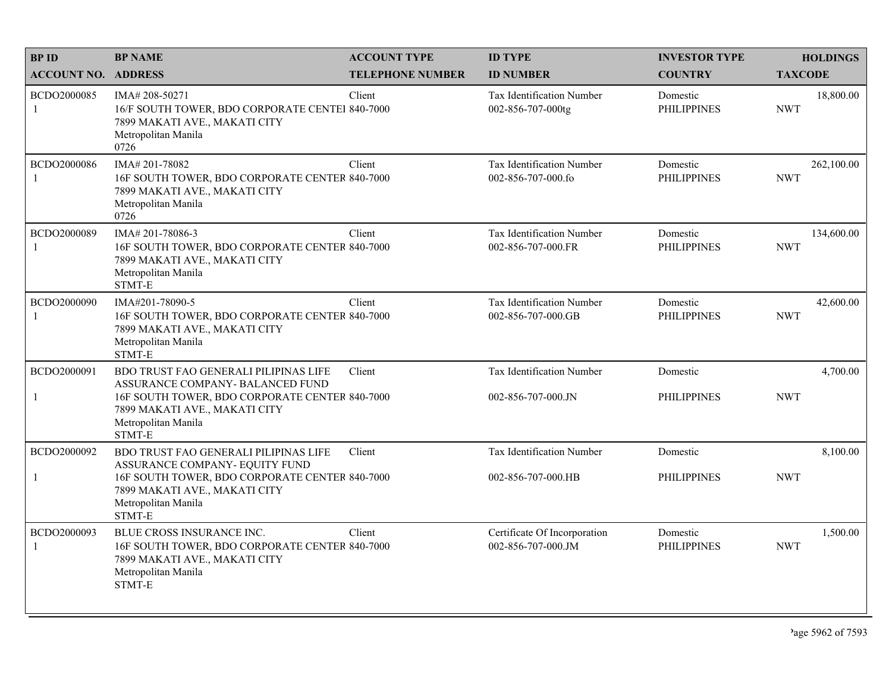| <b>BPID</b>                 | <b>BP NAME</b>                                                                                                                                | <b>ACCOUNT TYPE</b>     | <b>ID TYPE</b>                                     | <b>INVESTOR TYPE</b>           | <b>HOLDINGS</b>          |
|-----------------------------|-----------------------------------------------------------------------------------------------------------------------------------------------|-------------------------|----------------------------------------------------|--------------------------------|--------------------------|
| <b>ACCOUNT NO. ADDRESS</b>  |                                                                                                                                               | <b>TELEPHONE NUMBER</b> | <b>ID NUMBER</b>                                   | <b>COUNTRY</b>                 | <b>TAXCODE</b>           |
| BCDO2000085<br>1            | IMA# 208-50271<br>16/F SOUTH TOWER, BDO CORPORATE CENTEI 840-7000<br>7899 MAKATI AVE., MAKATI CITY<br>Metropolitan Manila<br>0726             | Client                  | Tax Identification Number<br>002-856-707-000tg     | Domestic<br><b>PHILIPPINES</b> | 18,800.00<br><b>NWT</b>  |
| BCDO2000086<br>1            | IMA#201-78082<br>16F SOUTH TOWER, BDO CORPORATE CENTER 840-7000<br>7899 MAKATI AVE., MAKATI CITY<br>Metropolitan Manila<br>0726               | Client                  | Tax Identification Number<br>002-856-707-000.fo    | Domestic<br><b>PHILIPPINES</b> | 262,100.00<br><b>NWT</b> |
| BCDO2000089<br>$\mathbf{1}$ | IMA#201-78086-3<br>16F SOUTH TOWER, BDO CORPORATE CENTER 840-7000<br>7899 MAKATI AVE., MAKATI CITY<br>Metropolitan Manila<br>STMT-E           | Client                  | Tax Identification Number<br>002-856-707-000.FR    | Domestic<br><b>PHILIPPINES</b> | 134,600.00<br><b>NWT</b> |
| BCDO2000090<br>1            | IMA#201-78090-5<br>16F SOUTH TOWER, BDO CORPORATE CENTER 840-7000<br>7899 MAKATI AVE., MAKATI CITY<br>Metropolitan Manila<br>STMT-E           | Client                  | Tax Identification Number<br>002-856-707-000.GB    | Domestic<br><b>PHILIPPINES</b> | 42,600.00<br><b>NWT</b>  |
| BCDO2000091                 | <b>BDO TRUST FAO GENERALI PILIPINAS LIFE</b><br>ASSURANCE COMPANY - BALANCED FUND                                                             | Client                  | Tax Identification Number                          | Domestic                       | 4,700.00                 |
| 1                           | 16F SOUTH TOWER, BDO CORPORATE CENTER 840-7000<br>7899 MAKATI AVE., MAKATI CITY<br>Metropolitan Manila<br>STMT-E                              |                         | 002-856-707-000.JN                                 | <b>PHILIPPINES</b>             | <b>NWT</b>               |
| BCDO2000092                 | BDO TRUST FAO GENERALI PILIPINAS LIFE<br>ASSURANCE COMPANY- EQUITY FUND                                                                       | Client                  | <b>Tax Identification Number</b>                   | Domestic                       | 8,100.00                 |
| $\mathbf{1}$                | 16F SOUTH TOWER, BDO CORPORATE CENTER 840-7000<br>7899 MAKATI AVE., MAKATI CITY<br>Metropolitan Manila<br>STMT-E                              |                         | 002-856-707-000.HB                                 | <b>PHILIPPINES</b>             | <b>NWT</b>               |
| BCDO2000093<br>$\mathbf{1}$ | BLUE CROSS INSURANCE INC.<br>16F SOUTH TOWER, BDO CORPORATE CENTER 840-7000<br>7899 MAKATI AVE., MAKATI CITY<br>Metropolitan Manila<br>STMT-E | Client                  | Certificate Of Incorporation<br>002-856-707-000.JM | Domestic<br><b>PHILIPPINES</b> | 1,500.00<br><b>NWT</b>   |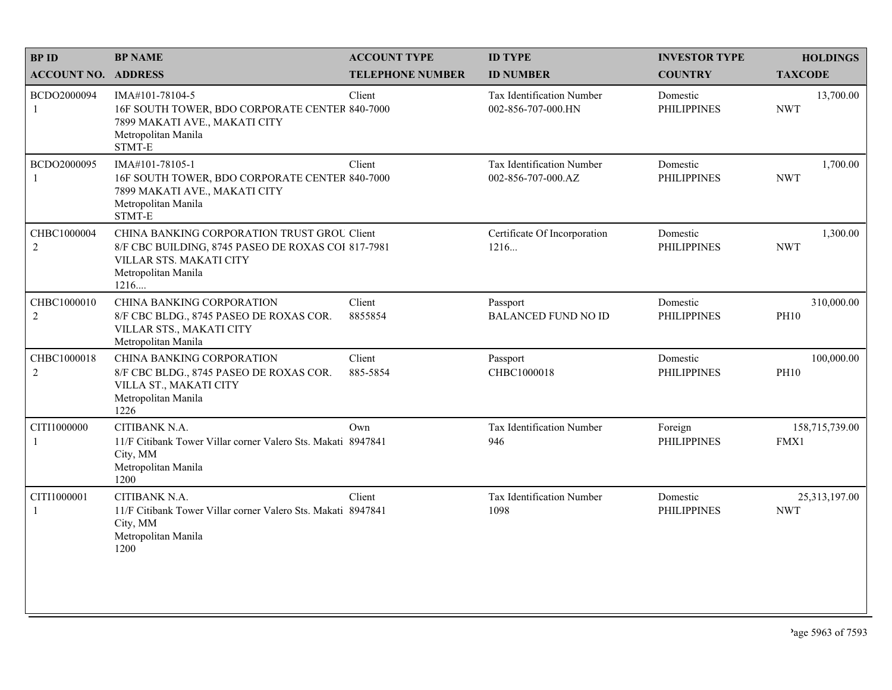| <b>BPID</b>                   | <b>BP NAME</b>                                                                                                                                              | <b>ACCOUNT TYPE</b>     | <b>ID TYPE</b>                                  | <b>INVESTOR TYPE</b>           | <b>HOLDINGS</b>             |
|-------------------------------|-------------------------------------------------------------------------------------------------------------------------------------------------------------|-------------------------|-------------------------------------------------|--------------------------------|-----------------------------|
| <b>ACCOUNT NO. ADDRESS</b>    |                                                                                                                                                             | <b>TELEPHONE NUMBER</b> | <b>ID NUMBER</b>                                | <b>COUNTRY</b>                 | <b>TAXCODE</b>              |
| BCDO2000094<br>1              | IMA#101-78104-5<br>16F SOUTH TOWER, BDO CORPORATE CENTER 840-7000<br>7899 MAKATI AVE., MAKATI CITY<br>Metropolitan Manila<br>STMT-E                         | Client                  | Tax Identification Number<br>002-856-707-000.HN | Domestic<br><b>PHILIPPINES</b> | 13,700.00<br><b>NWT</b>     |
| BCDO2000095<br>$\mathbf{1}$   | IMA#101-78105-1<br>16F SOUTH TOWER, BDO CORPORATE CENTER 840-7000<br>7899 MAKATI AVE., MAKATI CITY<br>Metropolitan Manila<br>STMT-E                         | Client                  | Tax Identification Number<br>002-856-707-000.AZ | Domestic<br><b>PHILIPPINES</b> | 1,700.00<br><b>NWT</b>      |
| CHBC1000004<br>$\overline{c}$ | CHINA BANKING CORPORATION TRUST GROU Client<br>8/F CBC BUILDING, 8745 PASEO DE ROXAS COI 817-7981<br>VILLAR STS. MAKATI CITY<br>Metropolitan Manila<br>1216 |                         | Certificate Of Incorporation<br>1216            | Domestic<br><b>PHILIPPINES</b> | 1,300.00<br><b>NWT</b>      |
| CHBC1000010<br>$\overline{c}$ | CHINA BANKING CORPORATION<br>8/F CBC BLDG., 8745 PASEO DE ROXAS COR.<br>VILLAR STS., MAKATI CITY<br>Metropolitan Manila                                     | Client<br>8855854       | Passport<br><b>BALANCED FUND NO ID</b>          | Domestic<br><b>PHILIPPINES</b> | 310,000.00<br><b>PH10</b>   |
| CHBC1000018<br>$\overline{c}$ | CHINA BANKING CORPORATION<br>8/F CBC BLDG., 8745 PASEO DE ROXAS COR.<br>VILLA ST., MAKATI CITY<br>Metropolitan Manila<br>1226                               | Client<br>885-5854      | Passport<br>CHBC1000018                         | Domestic<br><b>PHILIPPINES</b> | 100,000.00<br><b>PH10</b>   |
| CITI1000000<br>1              | CITIBANK N.A.<br>11/F Citibank Tower Villar corner Valero Sts. Makati 8947841<br>City, MM<br>Metropolitan Manila<br>1200                                    | Own                     | Tax Identification Number<br>946                | Foreign<br><b>PHILIPPINES</b>  | 158,715,739.00<br>FMX1      |
| CITI1000001<br>1              | CITIBANK N.A.<br>11/F Citibank Tower Villar corner Valero Sts. Makati 8947841<br>City, MM<br>Metropolitan Manila<br>1200                                    | Client                  | Tax Identification Number<br>1098               | Domestic<br><b>PHILIPPINES</b> | 25,313,197.00<br><b>NWT</b> |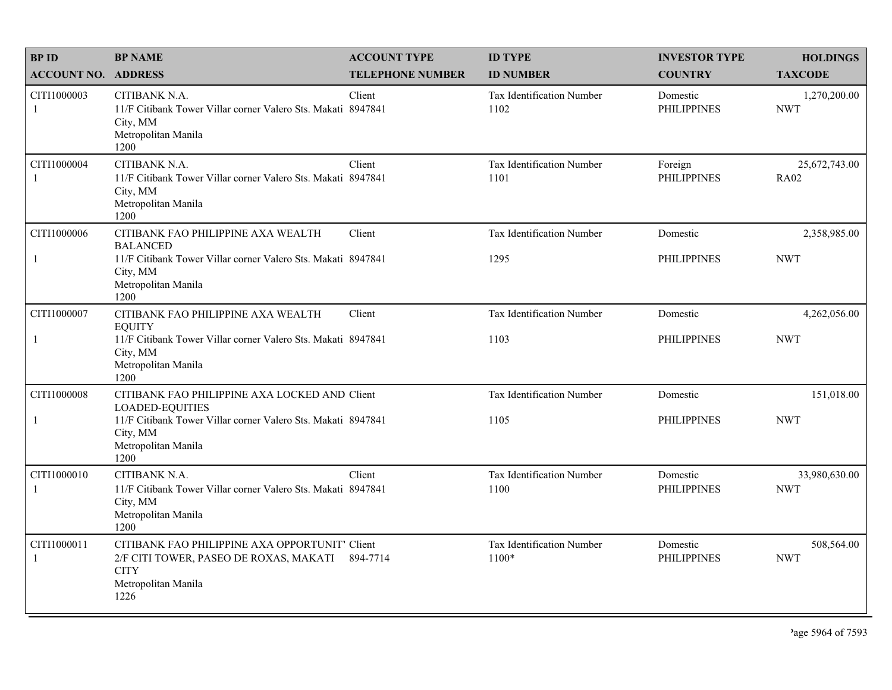| <b>BPID</b>                 | <b>BP NAME</b>                                                                                                                                  | <b>ACCOUNT TYPE</b>     | <b>ID TYPE</b>                     | <b>INVESTOR TYPE</b>           | <b>HOLDINGS</b>              |
|-----------------------------|-------------------------------------------------------------------------------------------------------------------------------------------------|-------------------------|------------------------------------|--------------------------------|------------------------------|
| <b>ACCOUNT NO. ADDRESS</b>  |                                                                                                                                                 | <b>TELEPHONE NUMBER</b> | <b>ID NUMBER</b>                   | <b>COUNTRY</b>                 | <b>TAXCODE</b>               |
| CITI1000003<br>1            | CITIBANK N.A.<br>11/F Citibank Tower Villar corner Valero Sts. Makati 8947841<br>City, MM<br>Metropolitan Manila<br>1200                        | Client                  | Tax Identification Number<br>1102  | Domestic<br><b>PHILIPPINES</b> | 1,270,200.00<br><b>NWT</b>   |
| CITI1000004<br>$\mathbf{1}$ | CITIBANK N.A.<br>11/F Citibank Tower Villar corner Valero Sts. Makati 8947841<br>City, MM<br>Metropolitan Manila<br>1200                        | Client                  | Tax Identification Number<br>1101  | Foreign<br><b>PHILIPPINES</b>  | 25,672,743.00<br><b>RA02</b> |
| CITI1000006                 | CITIBANK FAO PHILIPPINE AXA WEALTH<br><b>BALANCED</b>                                                                                           | Client                  | <b>Tax Identification Number</b>   | Domestic                       | 2,358,985.00                 |
| $\mathbf{1}$                | 11/F Citibank Tower Villar corner Valero Sts. Makati 8947841<br>City, MM<br>Metropolitan Manila<br>1200                                         |                         | 1295                               | <b>PHILIPPINES</b>             | <b>NWT</b>                   |
| CITI1000007                 | CITIBANK FAO PHILIPPINE AXA WEALTH<br><b>EOUITY</b>                                                                                             | Client                  | Tax Identification Number          | Domestic                       | 4,262,056.00                 |
| $\mathbf{1}$                | 11/F Citibank Tower Villar corner Valero Sts. Makati 8947841<br>City, MM<br>Metropolitan Manila<br>1200                                         |                         | 1103                               | <b>PHILIPPINES</b>             | <b>NWT</b>                   |
| CITI1000008                 | CITIBANK FAO PHILIPPINE AXA LOCKED AND Client<br><b>LOADED-EQUITIES</b>                                                                         |                         | Tax Identification Number          | Domestic                       | 151,018.00                   |
| $\mathbf{1}$                | 11/F Citibank Tower Villar corner Valero Sts. Makati 8947841<br>City, MM<br>Metropolitan Manila<br>1200                                         |                         | 1105                               | <b>PHILIPPINES</b>             | <b>NWT</b>                   |
| CITI1000010<br>$\mathbf{1}$ | CITIBANK N.A.<br>11/F Citibank Tower Villar corner Valero Sts. Makati 8947841<br>City, MM<br>Metropolitan Manila<br>1200                        | Client                  | Tax Identification Number<br>1100  | Domestic<br><b>PHILIPPINES</b> | 33,980,630.00<br><b>NWT</b>  |
| CITI1000011<br>-1           | CITIBANK FAO PHILIPPINE AXA OPPORTUNIT' Client<br>2/F CITI TOWER, PASEO DE ROXAS, MAKATI 894-7714<br><b>CITY</b><br>Metropolitan Manila<br>1226 |                         | Tax Identification Number<br>1100* | Domestic<br><b>PHILIPPINES</b> | 508,564.00<br><b>NWT</b>     |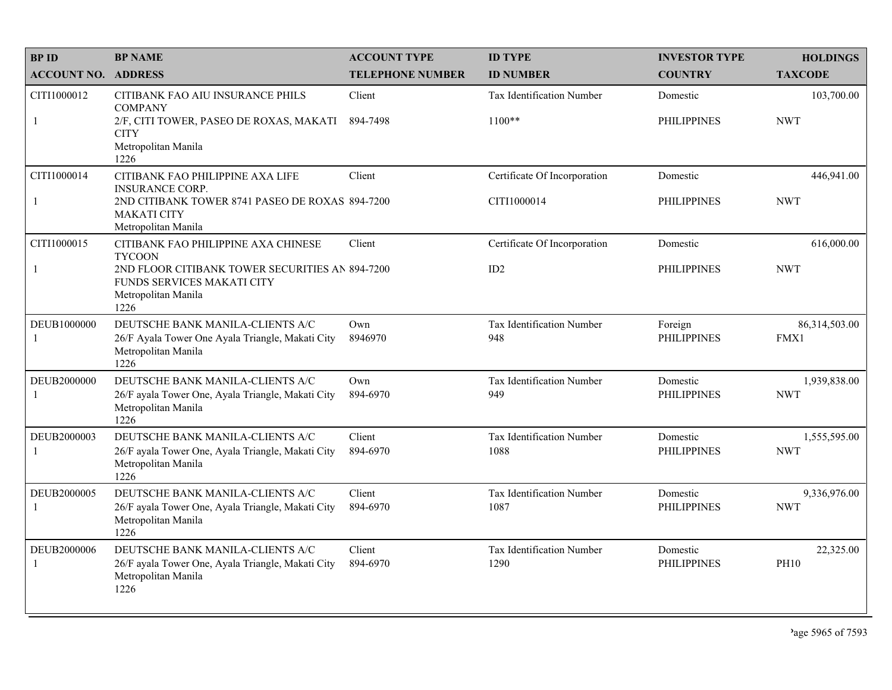| <b>BPID</b>                 | <b>BP NAME</b>                                                                                                       | <b>ACCOUNT TYPE</b>     | <b>ID TYPE</b>                    | <b>INVESTOR TYPE</b>           | <b>HOLDINGS</b>            |
|-----------------------------|----------------------------------------------------------------------------------------------------------------------|-------------------------|-----------------------------------|--------------------------------|----------------------------|
| <b>ACCOUNT NO. ADDRESS</b>  |                                                                                                                      | <b>TELEPHONE NUMBER</b> | <b>ID NUMBER</b>                  | <b>COUNTRY</b>                 | <b>TAXCODE</b>             |
| CITI1000012                 | CITIBANK FAO AIU INSURANCE PHILS<br><b>COMPANY</b>                                                                   | Client                  | Tax Identification Number         | Domestic                       | 103,700.00                 |
| -1                          | 2/F, CITI TOWER, PASEO DE ROXAS, MAKATI<br><b>CITY</b><br>Metropolitan Manila<br>1226                                | 894-7498                | $1100**$                          | <b>PHILIPPINES</b>             | <b>NWT</b>                 |
| CITI1000014                 | CITIBANK FAO PHILIPPINE AXA LIFE<br><b>INSURANCE CORP.</b>                                                           | Client                  | Certificate Of Incorporation      | Domestic                       | 446,941.00                 |
| -1                          | 2ND CITIBANK TOWER 8741 PASEO DE ROXAS 894-7200<br><b>MAKATI CITY</b><br>Metropolitan Manila                         |                         | CITI1000014                       | <b>PHILIPPINES</b>             | <b>NWT</b>                 |
| CITI1000015                 | CITIBANK FAO PHILIPPINE AXA CHINESE<br><b>TYCOON</b>                                                                 | Client                  | Certificate Of Incorporation      | Domestic                       | 616,000.00                 |
| -1                          | 2ND FLOOR CITIBANK TOWER SECURITIES AN 894-7200<br>FUNDS SERVICES MAKATI CITY<br>Metropolitan Manila<br>1226         |                         | ID2                               | <b>PHILIPPINES</b>             | <b>NWT</b>                 |
| DEUB1000000<br>$\mathbf{1}$ | DEUTSCHE BANK MANILA-CLIENTS A/C<br>26/F Ayala Tower One Ayala Triangle, Makati City<br>Metropolitan Manila<br>1226  | Own<br>8946970          | Tax Identification Number<br>948  | Foreign<br><b>PHILIPPINES</b>  | 86,314,503.00<br>FMX1      |
| DEUB2000000<br>$\mathbf{1}$ | DEUTSCHE BANK MANILA-CLIENTS A/C<br>26/F ayala Tower One, Ayala Triangle, Makati City<br>Metropolitan Manila<br>1226 | Own<br>894-6970         | Tax Identification Number<br>949  | Domestic<br><b>PHILIPPINES</b> | 1,939,838.00<br><b>NWT</b> |
| DEUB2000003<br>-1           | DEUTSCHE BANK MANILA-CLIENTS A/C<br>26/F ayala Tower One, Ayala Triangle, Makati City<br>Metropolitan Manila<br>1226 | Client<br>894-6970      | Tax Identification Number<br>1088 | Domestic<br><b>PHILIPPINES</b> | 1,555,595.00<br><b>NWT</b> |
| DEUB2000005<br>-1           | DEUTSCHE BANK MANILA-CLIENTS A/C<br>26/F ayala Tower One, Ayala Triangle, Makati City<br>Metropolitan Manila<br>1226 | Client<br>894-6970      | Tax Identification Number<br>1087 | Domestic<br><b>PHILIPPINES</b> | 9,336,976.00<br><b>NWT</b> |
| DEUB2000006<br>$\mathbf{1}$ | DEUTSCHE BANK MANILA-CLIENTS A/C<br>26/F ayala Tower One, Ayala Triangle, Makati City<br>Metropolitan Manila<br>1226 | Client<br>894-6970      | Tax Identification Number<br>1290 | Domestic<br><b>PHILIPPINES</b> | 22,325.00<br><b>PH10</b>   |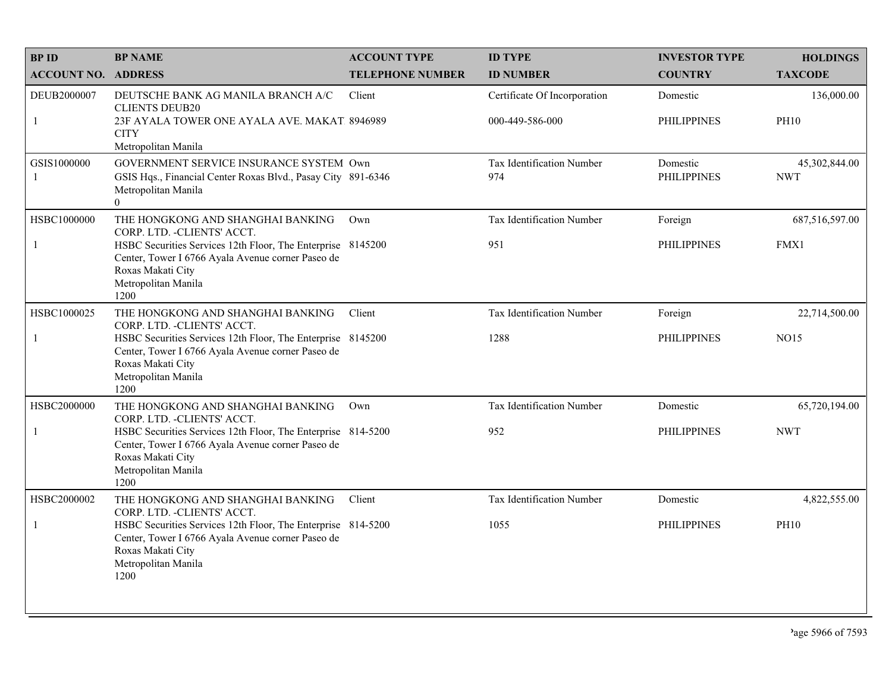| <b>BPID</b>                 | <b>BP NAME</b>                                                                                                                                                        | <b>ACCOUNT TYPE</b>     | <b>ID TYPE</b>                                  | <b>INVESTOR TYPE</b>           | <b>HOLDINGS</b>             |
|-----------------------------|-----------------------------------------------------------------------------------------------------------------------------------------------------------------------|-------------------------|-------------------------------------------------|--------------------------------|-----------------------------|
| <b>ACCOUNT NO. ADDRESS</b>  |                                                                                                                                                                       | <b>TELEPHONE NUMBER</b> | <b>ID NUMBER</b>                                | <b>COUNTRY</b>                 | <b>TAXCODE</b>              |
| DEUB2000007<br>-1           | DEUTSCHE BANK AG MANILA BRANCH A/C<br><b>CLIENTS DEUB20</b><br>23F AYALA TOWER ONE AYALA AVE. MAKAT. 8946989<br><b>CITY</b><br>Metropolitan Manila                    | Client                  | Certificate Of Incorporation<br>000-449-586-000 | Domestic<br><b>PHILIPPINES</b> | 136,000.00<br><b>PH10</b>   |
| GSIS1000000<br>$\mathbf{1}$ | GOVERNMENT SERVICE INSURANCE SYSTEM Own<br>GSIS Hqs., Financial Center Roxas Blvd., Pasay City 891-6346<br>Metropolitan Manila<br>$\theta$                            |                         | Tax Identification Number<br>974                | Domestic<br><b>PHILIPPINES</b> | 45,302,844.00<br><b>NWT</b> |
| HSBC1000000                 | THE HONGKONG AND SHANGHAI BANKING<br>CORP. LTD. - CLIENTS' ACCT.                                                                                                      | Own                     | Tax Identification Number                       | Foreign                        | 687,516,597.00              |
| -1                          | HSBC Securities Services 12th Floor, The Enterprise 8145200<br>Center, Tower I 6766 Ayala Avenue corner Paseo de<br>Roxas Makati City<br>Metropolitan Manila<br>1200  |                         | 951                                             | <b>PHILIPPINES</b>             | FMX1                        |
| HSBC1000025                 | THE HONGKONG AND SHANGHAI BANKING<br>CORP. LTD. - CLIENTS' ACCT.                                                                                                      | Client                  | Tax Identification Number                       | Foreign                        | 22,714,500.00               |
| -1                          | HSBC Securities Services 12th Floor, The Enterprise 8145200<br>Center, Tower I 6766 Ayala Avenue corner Paseo de<br>Roxas Makati City<br>Metropolitan Manila<br>1200  |                         | 1288                                            | <b>PHILIPPINES</b>             | <b>NO15</b>                 |
| HSBC2000000                 | THE HONGKONG AND SHANGHAI BANKING<br>CORP. LTD. - CLIENTS' ACCT.                                                                                                      | Own                     | Tax Identification Number                       | Domestic                       | 65,720,194.00               |
| -1                          | HSBC Securities Services 12th Floor, The Enterprise 814-5200<br>Center, Tower I 6766 Ayala Avenue corner Paseo de<br>Roxas Makati City<br>Metropolitan Manila<br>1200 |                         | 952                                             | <b>PHILIPPINES</b>             | <b>NWT</b>                  |
| HSBC2000002                 | THE HONGKONG AND SHANGHAI BANKING<br>CORP. LTD. - CLIENTS' ACCT.                                                                                                      | Client                  | Tax Identification Number                       | Domestic                       | 4,822,555.00                |
| -1                          | HSBC Securities Services 12th Floor, The Enterprise 814-5200<br>Center, Tower I 6766 Ayala Avenue corner Paseo de<br>Roxas Makati City<br>Metropolitan Manila<br>1200 |                         | 1055                                            | <b>PHILIPPINES</b>             | <b>PH10</b>                 |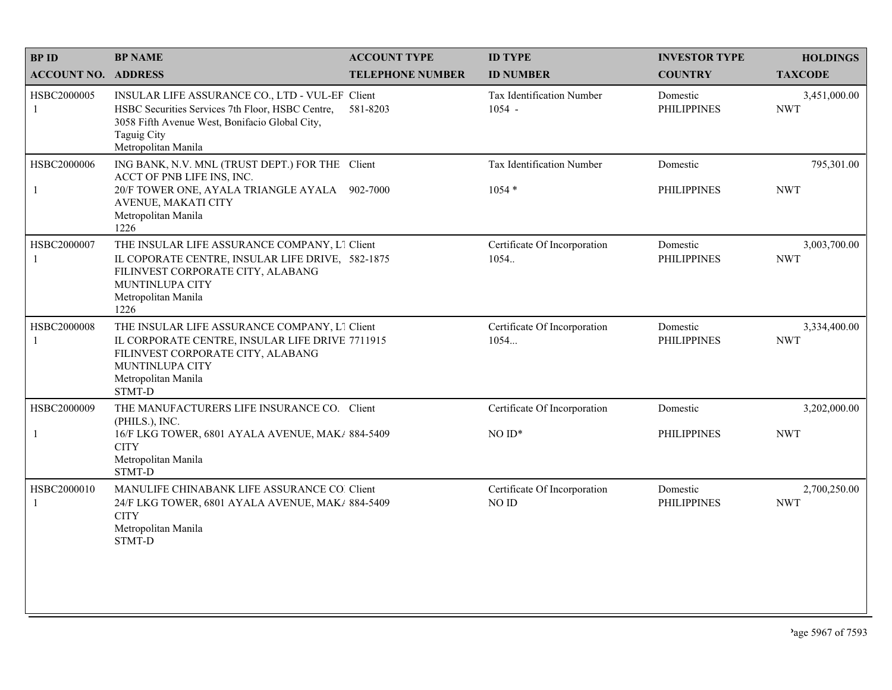| <b>BPID</b>                 | <b>BP NAME</b>                                                                                                                                                                              | <b>ACCOUNT TYPE</b>     | <b>ID TYPE</b>                        | <b>INVESTOR TYPE</b>           | <b>HOLDINGS</b>            |
|-----------------------------|---------------------------------------------------------------------------------------------------------------------------------------------------------------------------------------------|-------------------------|---------------------------------------|--------------------------------|----------------------------|
| <b>ACCOUNT NO. ADDRESS</b>  |                                                                                                                                                                                             | <b>TELEPHONE NUMBER</b> | <b>ID NUMBER</b>                      | <b>COUNTRY</b>                 | <b>TAXCODE</b>             |
| HSBC2000005<br>$\mathbf{1}$ | INSULAR LIFE ASSURANCE CO., LTD - VUL-EF Client<br>HSBC Securities Services 7th Floor, HSBC Centre,<br>3058 Fifth Avenue West, Bonifacio Global City,<br>Taguig City<br>Metropolitan Manila | 581-8203                | Tax Identification Number<br>$1054 -$ | Domestic<br><b>PHILIPPINES</b> | 3,451,000.00<br><b>NWT</b> |
| HSBC2000006<br>$\mathbf{1}$ | ING BANK, N.V. MNL (TRUST DEPT.) FOR THE Client<br>ACCT OF PNB LIFE INS, INC.<br>20/F TOWER ONE, AYALA TRIANGLE AYALA 902-7000<br>AVENUE, MAKATI CITY<br>Metropolitan Manila<br>1226        |                         | Tax Identification Number<br>$1054*$  | Domestic<br><b>PHILIPPINES</b> | 795,301.00<br><b>NWT</b>   |
| HSBC2000007<br>$\mathbf{1}$ | THE INSULAR LIFE ASSURANCE COMPANY, L1 Client<br>IL COPORATE CENTRE, INSULAR LIFE DRIVE, 582-1875<br>FILINVEST CORPORATE CITY, ALABANG<br>MUNTINLUPA CITY<br>Metropolitan Manila<br>1226    |                         | Certificate Of Incorporation<br>1054. | Domestic<br><b>PHILIPPINES</b> | 3,003,700.00<br><b>NWT</b> |
| HSBC2000008<br>1            | THE INSULAR LIFE ASSURANCE COMPANY, L1 Client<br>IL CORPORATE CENTRE, INSULAR LIFE DRIVE 7711915<br>FILINVEST CORPORATE CITY, ALABANG<br>MUNTINLUPA CITY<br>Metropolitan Manila<br>STMT-D   |                         | Certificate Of Incorporation<br>1054  | Domestic<br><b>PHILIPPINES</b> | 3,334,400.00<br><b>NWT</b> |
| HSBC2000009                 | THE MANUFACTURERS LIFE INSURANCE CO. Client<br>(PHILS.), INC.                                                                                                                               |                         | Certificate Of Incorporation          | Domestic                       | 3,202,000.00               |
| $\mathbf{1}$                | 16/F LKG TOWER, 6801 AYALA AVENUE, MAK/ 884-5409<br><b>CITY</b><br>Metropolitan Manila<br>STMT-D                                                                                            |                         | $NOID*$                               | <b>PHILIPPINES</b>             | <b>NWT</b>                 |
| HSBC2000010<br>$\mathbf{1}$ | MANULIFE CHINABANK LIFE ASSURANCE CO. Client<br>24/F LKG TOWER, 6801 AYALA AVENUE, MAK/ 884-5409<br><b>CITY</b><br>Metropolitan Manila<br>STMT-D                                            |                         | Certificate Of Incorporation<br>NO ID | Domestic<br><b>PHILIPPINES</b> | 2,700,250.00<br><b>NWT</b> |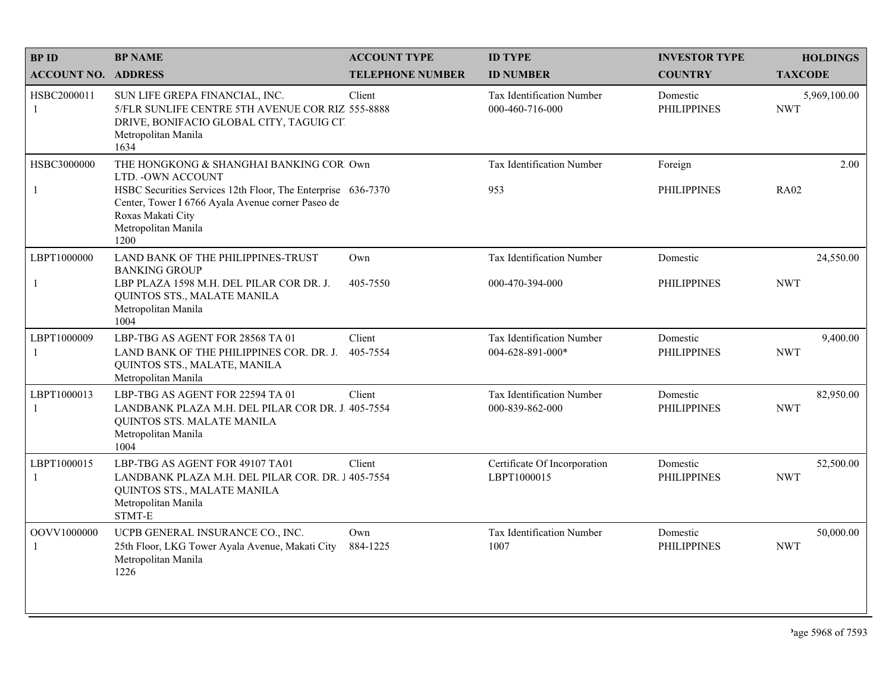| <b>BPID</b>                 | <b>BP NAME</b>                                                                                                                                                                                                                         | <b>ACCOUNT TYPE</b>     | <b>ID TYPE</b>                                      | <b>INVESTOR TYPE</b>           | <b>HOLDINGS</b>            |
|-----------------------------|----------------------------------------------------------------------------------------------------------------------------------------------------------------------------------------------------------------------------------------|-------------------------|-----------------------------------------------------|--------------------------------|----------------------------|
| <b>ACCOUNT NO. ADDRESS</b>  |                                                                                                                                                                                                                                        | <b>TELEPHONE NUMBER</b> | <b>ID NUMBER</b>                                    | <b>COUNTRY</b>                 | <b>TAXCODE</b>             |
| HSBC2000011<br>1            | SUN LIFE GREPA FINANCIAL, INC.<br>5/FLR SUNLIFE CENTRE 5TH AVENUE COR RIZ 555-8888<br>DRIVE, BONIFACIO GLOBAL CITY, TAGUIG CIT<br>Metropolitan Manila<br>1634                                                                          | Client                  | <b>Tax Identification Number</b><br>000-460-716-000 | Domestic<br><b>PHILIPPINES</b> | 5,969,100.00<br><b>NWT</b> |
| HSBC3000000<br>$\mathbf{1}$ | THE HONGKONG & SHANGHAI BANKING COR Own<br>LTD. - OWN ACCOUNT<br>HSBC Securities Services 12th Floor, The Enterprise 636-7370<br>Center, Tower I 6766 Ayala Avenue corner Paseo de<br>Roxas Makati City<br>Metropolitan Manila<br>1200 |                         | <b>Tax Identification Number</b><br>953             | Foreign<br><b>PHILIPPINES</b>  | 2.00<br><b>RA02</b>        |
| LBPT1000000<br>$\mathbf{1}$ | LAND BANK OF THE PHILIPPINES-TRUST<br><b>BANKING GROUP</b><br>LBP PLAZA 1598 M.H. DEL PILAR COR DR. J.<br>QUINTOS STS., MALATE MANILA<br>Metropolitan Manila<br>1004                                                                   | Own<br>405-7550         | Tax Identification Number<br>000-470-394-000        | Domestic<br><b>PHILIPPINES</b> | 24,550.00<br><b>NWT</b>    |
| LBPT1000009<br>$\mathbf{1}$ | LBP-TBG AS AGENT FOR 28568 TA 01<br>LAND BANK OF THE PHILIPPINES COR. DR. J.<br>QUINTOS STS., MALATE, MANILA<br>Metropolitan Manila                                                                                                    | Client<br>405-7554      | Tax Identification Number<br>004-628-891-000*       | Domestic<br><b>PHILIPPINES</b> | 9,400.00<br><b>NWT</b>     |
| LBPT1000013<br>1            | LBP-TBG AS AGENT FOR 22594 TA 01<br>LANDBANK PLAZA M.H. DEL PILAR COR DR. J. 405-7554<br>QUINTOS STS. MALATE MANILA<br>Metropolitan Manila<br>1004                                                                                     | Client                  | Tax Identification Number<br>000-839-862-000        | Domestic<br><b>PHILIPPINES</b> | 82,950.00<br><b>NWT</b>    |
| LBPT1000015<br>1            | LBP-TBG AS AGENT FOR 49107 TA01<br>LANDBANK PLAZA M.H. DEL PILAR COR. DR. J 405-7554<br>QUINTOS STS., MALATE MANILA<br>Metropolitan Manila<br>STMT-E                                                                                   | Client                  | Certificate Of Incorporation<br>LBPT1000015         | Domestic<br><b>PHILIPPINES</b> | 52,500.00<br><b>NWT</b>    |
| OOVV1000000<br>1            | UCPB GENERAL INSURANCE CO., INC.<br>25th Floor, LKG Tower Ayala Avenue, Makati City<br>Metropolitan Manila<br>1226                                                                                                                     | Own<br>884-1225         | Tax Identification Number<br>1007                   | Domestic<br><b>PHILIPPINES</b> | 50,000.00<br><b>NWT</b>    |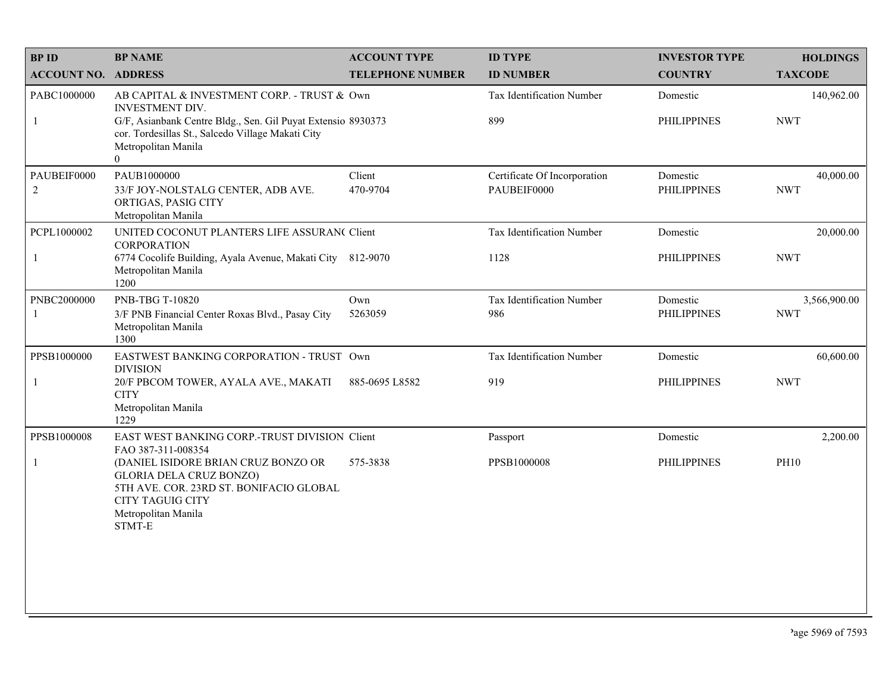| <b>BPID</b>                 | <b>BP NAME</b>                                                                                                                                                                                                               | <b>ACCOUNT TYPE</b>     | <b>ID TYPE</b>                              | <b>INVESTOR TYPE</b>           | <b>HOLDINGS</b>            |
|-----------------------------|------------------------------------------------------------------------------------------------------------------------------------------------------------------------------------------------------------------------------|-------------------------|---------------------------------------------|--------------------------------|----------------------------|
| <b>ACCOUNT NO. ADDRESS</b>  |                                                                                                                                                                                                                              | <b>TELEPHONE NUMBER</b> | <b>ID NUMBER</b>                            | <b>COUNTRY</b>                 | <b>TAXCODE</b>             |
| PABC1000000<br>-1           | AB CAPITAL & INVESTMENT CORP. - TRUST & Own<br>INVESTMENT DIV.<br>G/F, Asianbank Centre Bldg., Sen. Gil Puyat Extensio 8930373<br>cor. Tordesillas St., Salcedo Village Makati City<br>Metropolitan Manila<br>$\overline{0}$ |                         | Tax Identification Number<br>899            | Domestic<br><b>PHILIPPINES</b> | 140,962.00<br><b>NWT</b>   |
| PAUBEIF0000<br>2            | PAUB1000000<br>33/F JOY-NOLSTALG CENTER, ADB AVE.<br>ORTIGAS, PASIG CITY<br>Metropolitan Manila                                                                                                                              | Client<br>470-9704      | Certificate Of Incorporation<br>PAUBEIF0000 | Domestic<br><b>PHILIPPINES</b> | 40,000.00<br><b>NWT</b>    |
| PCPL1000002<br>$\mathbf{1}$ | UNITED COCONUT PLANTERS LIFE ASSURAN( Client<br><b>CORPORATION</b><br>6774 Cocolife Building, Ayala Avenue, Makati City<br>Metropolitan Manila<br>1200                                                                       | 812-9070                | Tax Identification Number<br>1128           | Domestic<br><b>PHILIPPINES</b> | 20,000.00<br><b>NWT</b>    |
| PNBC2000000<br>-1           | PNB-TBG T-10820<br>3/F PNB Financial Center Roxas Blvd., Pasay City<br>Metropolitan Manila<br>1300                                                                                                                           | Own<br>5263059          | Tax Identification Number<br>986            | Domestic<br><b>PHILIPPINES</b> | 3,566,900.00<br><b>NWT</b> |
| PPSB1000000                 | EASTWEST BANKING CORPORATION - TRUST Own<br><b>DIVISION</b>                                                                                                                                                                  |                         | Tax Identification Number                   | Domestic                       | 60,600.00                  |
| $\mathbf{1}$                | 20/F PBCOM TOWER, AYALA AVE., MAKATI<br><b>CITY</b><br>Metropolitan Manila<br>1229                                                                                                                                           | 885-0695 L8582          | 919                                         | <b>PHILIPPINES</b>             | <b>NWT</b>                 |
| PPSB1000008                 | EAST WEST BANKING CORP.-TRUST DIVISION Client<br>FAO 387-311-008354                                                                                                                                                          |                         | Passport                                    | Domestic                       | 2,200.00                   |
| $\mathbf{1}$                | (DANIEL ISIDORE BRIAN CRUZ BONZO OR<br><b>GLORIA DELA CRUZ BONZO)</b><br>5TH AVE. COR. 23RD ST. BONIFACIO GLOBAL<br><b>CITY TAGUIG CITY</b><br>Metropolitan Manila<br>STMT-E                                                 | 575-3838                | PPSB1000008                                 | <b>PHILIPPINES</b>             | <b>PH10</b>                |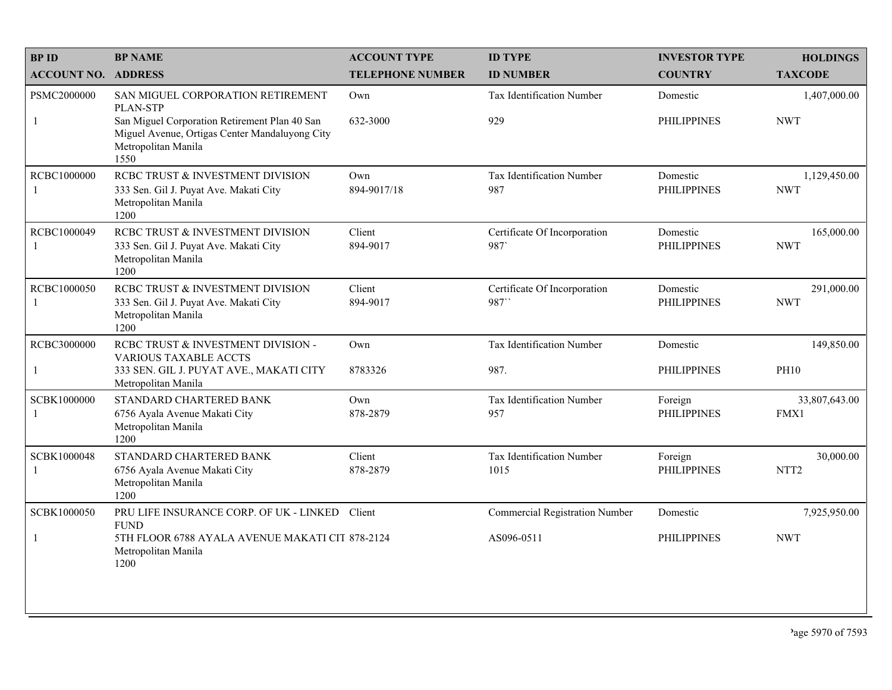| <b>BPID</b>                 | <b>BP NAME</b>                                                                                            | <b>ACCOUNT TYPE</b>     | <b>ID TYPE</b>                          | <b>INVESTOR TYPE</b>           | <b>HOLDINGS</b>               |
|-----------------------------|-----------------------------------------------------------------------------------------------------------|-------------------------|-----------------------------------------|--------------------------------|-------------------------------|
| <b>ACCOUNT NO. ADDRESS</b>  |                                                                                                           | <b>TELEPHONE NUMBER</b> | <b>ID NUMBER</b>                        | <b>COUNTRY</b>                 | <b>TAXCODE</b>                |
| PSMC2000000<br>$\mathbf{1}$ | SAN MIGUEL CORPORATION RETIREMENT<br><b>PLAN-STP</b><br>San Miguel Corporation Retirement Plan 40 San     | Own<br>632-3000         | <b>Tax Identification Number</b><br>929 | Domestic<br><b>PHILIPPINES</b> | 1,407,000.00<br><b>NWT</b>    |
|                             | Miguel Avenue, Ortigas Center Mandaluyong City<br>Metropolitan Manila<br>1550                             |                         |                                         |                                |                               |
| RCBC1000000<br>1            | RCBC TRUST & INVESTMENT DIVISION<br>333 Sen. Gil J. Puyat Ave. Makati City<br>Metropolitan Manila<br>1200 | Own<br>894-9017/18      | Tax Identification Number<br>987        | Domestic<br><b>PHILIPPINES</b> | 1,129,450.00<br><b>NWT</b>    |
| RCBC1000049<br>-1           | RCBC TRUST & INVESTMENT DIVISION<br>333 Sen. Gil J. Puyat Ave. Makati City<br>Metropolitan Manila<br>1200 | Client<br>894-9017      | Certificate Of Incorporation<br>987     | Domestic<br><b>PHILIPPINES</b> | 165,000.00<br><b>NWT</b>      |
| RCBC1000050<br>1            | RCBC TRUST & INVESTMENT DIVISION<br>333 Sen. Gil J. Puyat Ave. Makati City<br>Metropolitan Manila<br>1200 | Client<br>894-9017      | Certificate Of Incorporation<br>987``   | Domestic<br><b>PHILIPPINES</b> | 291,000.00<br><b>NWT</b>      |
| RCBC3000000                 | RCBC TRUST & INVESTMENT DIVISION -<br><b>VARIOUS TAXABLE ACCTS</b>                                        | Own                     | Tax Identification Number               | Domestic                       | 149,850.00                    |
| $\mathbf{1}$                | 333 SEN. GIL J. PUYAT AVE., MAKATI CITY<br>Metropolitan Manila                                            | 8783326                 | 987.                                    | <b>PHILIPPINES</b>             | <b>PH10</b>                   |
| SCBK1000000<br>1            | STANDARD CHARTERED BANK<br>6756 Ayala Avenue Makati City<br>Metropolitan Manila<br>1200                   | Own<br>878-2879         | Tax Identification Number<br>957        | Foreign<br><b>PHILIPPINES</b>  | 33,807,643.00<br>FMX1         |
| SCBK1000048<br>1            | STANDARD CHARTERED BANK<br>6756 Ayala Avenue Makati City<br>Metropolitan Manila<br>1200                   | Client<br>878-2879      | Tax Identification Number<br>1015       | Foreign<br><b>PHILIPPINES</b>  | 30,000.00<br>NTT <sub>2</sub> |
| SCBK1000050                 | PRU LIFE INSURANCE CORP. OF UK - LINKED Client<br><b>FUND</b>                                             |                         | <b>Commercial Registration Number</b>   | Domestic                       | 7,925,950.00                  |
| $\mathbf{1}$                | 5TH FLOOR 6788 AYALA AVENUE MAKATI CIT 878-2124<br>Metropolitan Manila<br>1200                            |                         | AS096-0511                              | <b>PHILIPPINES</b>             | <b>NWT</b>                    |
|                             |                                                                                                           |                         |                                         |                                |                               |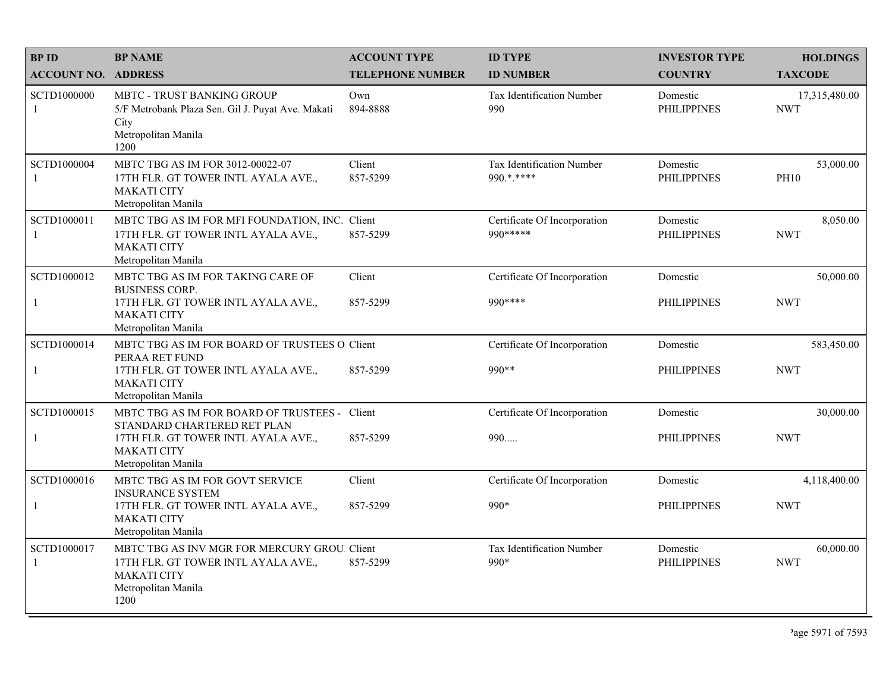| <b>BPID</b>                 | <b>BP NAME</b>                                                                                                                           | <b>ACCOUNT TYPE</b>     | <b>ID TYPE</b>                                 | <b>INVESTOR TYPE</b>           | <b>HOLDINGS</b>             |
|-----------------------------|------------------------------------------------------------------------------------------------------------------------------------------|-------------------------|------------------------------------------------|--------------------------------|-----------------------------|
| <b>ACCOUNT NO. ADDRESS</b>  |                                                                                                                                          | <b>TELEPHONE NUMBER</b> | <b>ID NUMBER</b>                               | <b>COUNTRY</b>                 | <b>TAXCODE</b>              |
| SCTD1000000<br>1            | MBTC - TRUST BANKING GROUP<br>5/F Metrobank Plaza Sen. Gil J. Puyat Ave. Makati<br>City<br>Metropolitan Manila<br>1200                   | Own<br>894-8888         | Tax Identification Number<br>990               | Domestic<br><b>PHILIPPINES</b> | 17,315,480.00<br><b>NWT</b> |
| SCTD1000004<br>-1           | MBTC TBG AS IM FOR 3012-00022-07<br>17TH FLR. GT TOWER INTL AYALA AVE.,<br><b>MAKATI CITY</b><br>Metropolitan Manila                     | Client<br>857-5299      | <b>Tax Identification Number</b><br>990.*.**** | Domestic<br><b>PHILIPPINES</b> | 53,000.00<br><b>PH10</b>    |
| SCTD1000011<br>-1           | MBTC TBG AS IM FOR MFI FOUNDATION, INC. Client<br>17TH FLR. GT TOWER INTL AYALA AVE.,<br><b>MAKATI CITY</b><br>Metropolitan Manila       | 857-5299                | Certificate Of Incorporation<br>990 *****      | Domestic<br><b>PHILIPPINES</b> | 8,050.00<br><b>NWT</b>      |
| SCTD1000012                 | MBTC TBG AS IM FOR TAKING CARE OF<br><b>BUSINESS CORP.</b>                                                                               | Client                  | Certificate Of Incorporation                   | Domestic                       | 50,000.00                   |
| $\mathbf{1}$                | 17TH FLR. GT TOWER INTL AYALA AVE.,<br><b>MAKATI CITY</b><br>Metropolitan Manila                                                         | 857-5299                | 990 ****                                       | <b>PHILIPPINES</b>             | <b>NWT</b>                  |
| SCTD1000014                 | MBTC TBG AS IM FOR BOARD OF TRUSTEES O Client<br>PERAA RET FUND                                                                          |                         | Certificate Of Incorporation                   | Domestic                       | 583,450.00                  |
| -1                          | 17TH FLR. GT TOWER INTL AYALA AVE.,<br><b>MAKATI CITY</b><br>Metropolitan Manila                                                         | 857-5299                | 990**                                          | <b>PHILIPPINES</b>             | <b>NWT</b>                  |
| SCTD1000015                 | MBTC TBG AS IM FOR BOARD OF TRUSTEES - Client<br>STANDARD CHARTERED RET PLAN                                                             |                         | Certificate Of Incorporation                   | Domestic                       | 30,000.00                   |
| $\mathbf{1}$                | 17TH FLR. GT TOWER INTL AYALA AVE.,<br><b>MAKATI CITY</b><br>Metropolitan Manila                                                         | 857-5299                | 990                                            | <b>PHILIPPINES</b>             | <b>NWT</b>                  |
| SCTD1000016                 | MBTC TBG AS IM FOR GOVT SERVICE<br><b>INSURANCE SYSTEM</b>                                                                               | Client                  | Certificate Of Incorporation                   | Domestic                       | 4,118,400.00                |
| $\mathbf{1}$                | 17TH FLR. GT TOWER INTL AYALA AVE.,<br><b>MAKATI CITY</b><br>Metropolitan Manila                                                         | 857-5299                | 990*                                           | <b>PHILIPPINES</b>             | <b>NWT</b>                  |
| SCTD1000017<br>$\mathbf{1}$ | MBTC TBG AS INV MGR FOR MERCURY GROU. Client<br>17TH FLR. GT TOWER INTL AYALA AVE.,<br><b>MAKATI CITY</b><br>Metropolitan Manila<br>1200 | 857-5299                | Tax Identification Number<br>990*              | Domestic<br><b>PHILIPPINES</b> | 60,000.00<br><b>NWT</b>     |